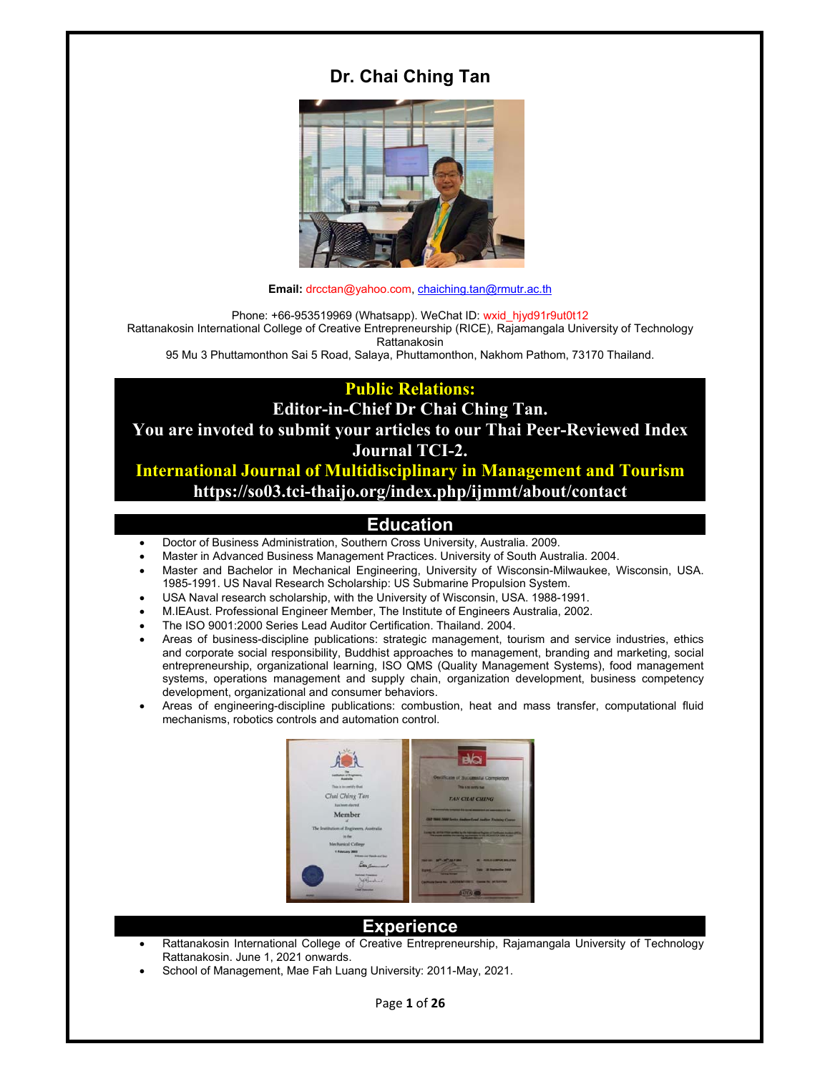# **Dr. Chai Ching Tan**



**Email:** drcctan@yahoo.com, chaiching.tan@rmutr.ac.th

Phone: +66-953519969 (Whatsapp). WeChat ID: wxid\_hjyd91r9ut0t12 Rattanakosin International College of Creative Entrepreneurship (RICE), Rajamangala University of Technology Rattanakosin

95 Mu 3 Phuttamonthon Sai 5 Road, Salaya, Phuttamonthon, Nakhom Pathom, 73170 Thailand.

**Public Relations:** 

**Editor-in-Chief Dr Chai Ching Tan.** 

**You are invoted to submit your articles to our Thai Peer-Reviewed Index Journal TCI-2.** 

**International Journal of Multidisciplinary in Management and Tourism https://so03.tci-thaijo.org/index.php/ijmmt/about/contact** 

## **Education**

- Doctor of Business Administration, Southern Cross University, Australia. 2009.
- Master in Advanced Business Management Practices. University of South Australia. 2004.
- Master and Bachelor in Mechanical Engineering, University of Wisconsin-Milwaukee, Wisconsin, USA. 1985-1991. US Naval Research Scholarship: US Submarine Propulsion System.
- USA Naval research scholarship, with the University of Wisconsin, USA. 1988-1991.
- M.IEAust. Professional Engineer Member, The Institute of Engineers Australia, 2002.
- The ISO 9001:2000 Series Lead Auditor Certification. Thailand. 2004.
- Areas of business-discipline publications: strategic management, tourism and service industries, ethics and corporate social responsibility, Buddhist approaches to management, branding and marketing, social entrepreneurship, organizational learning, ISO QMS (Quality Management Systems), food management systems, operations management and supply chain, organization development, business competency development, organizational and consumer behaviors.
- Areas of engineering-discipline publications: combustion, heat and mass transfer, computational fluid mechanisms, robotics controls and automation control.



#### **Experience**

- Rattanakosin International College of Creative Entrepreneurship, Rajamangala University of Technology Rattanakosin. June 1, 2021 onwards.
- School of Management, Mae Fah Luang University: 2011-May, 2021.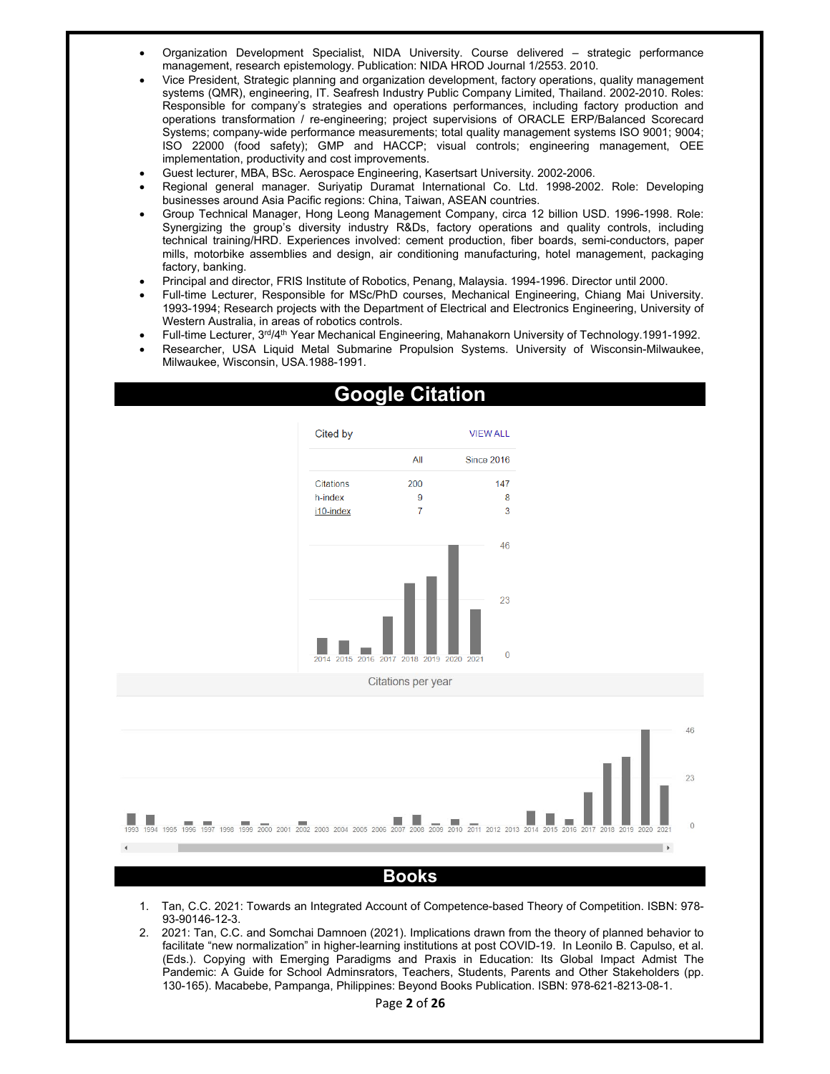- Organization Development Specialist, NIDA University. Course delivered strategic performance management, research epistemology. Publication: NIDA HROD Journal 1/2553. 2010.
- Vice President, Strategic planning and organization development, factory operations, quality management systems (QMR), engineering, IT. Seafresh Industry Public Company Limited, Thailand. 2002-2010. Roles: Responsible for company's strategies and operations performances, including factory production and operations transformation / re-engineering; project supervisions of ORACLE ERP/Balanced Scorecard Systems; company-wide performance measurements; total quality management systems ISO 9001; 9004; ISO 22000 (food safety); GMP and HACCP; visual controls; engineering management, OEE implementation, productivity and cost improvements.
- Guest lecturer, MBA, BSc. Aerospace Engineering, Kasertsart University. 2002-2006.
- Regional general manager. Suriyatip Duramat International Co. Ltd. 1998-2002. Role: Developing businesses around Asia Pacific regions: China, Taiwan, ASEAN countries.
- Group Technical Manager, Hong Leong Management Company, circa 12 billion USD. 1996-1998. Role: Synergizing the group's diversity industry R&Ds, factory operations and quality controls, including technical training/HRD. Experiences involved: cement production, fiber boards, semi-conductors, paper mills, motorbike assemblies and design, air conditioning manufacturing, hotel management, packaging factory, banking.
- Principal and director, FRIS Institute of Robotics, Penang, Malaysia. 1994-1996. Director until 2000.
- Full-time Lecturer, Responsible for MSc/PhD courses, Mechanical Engineering, Chiang Mai University. 1993-1994; Research projects with the Department of Electrical and Electronics Engineering, University of Western Australia, in areas of robotics controls.
- Full-time Lecturer, 3rd/4<sup>th</sup> Year Mechanical Engineering, Mahanakorn University of Technology.1991-1992.
- Researcher, USA Liquid Metal Submarine Propulsion Systems. University of Wisconsin-Milwaukee, Milwaukee, Wisconsin, USA.1988-1991.



# 46  $23$  $\frac{1}{2007}$  2008 2009 201 4 1995 1996 1997 1998 1999 2000 2001 2002 2003 2004 2005 2006 **Books**

- 1. Tan, C.C. 2021: Towards an Integrated Account of Competence-based Theory of Competition. ISBN: 978- 93-90146-12-3.
- 2. 2021: Tan, C.C. and Somchai Damnoen (2021). Implications drawn from the theory of planned behavior to facilitate "new normalization" in higher-learning institutions at post COVID-19. In Leonilo B. Capulso, et al. (Eds.). Copying with Emerging Paradigms and Praxis in Education: Its Global Impact Admist The Pandemic: A Guide for School Adminsrators, Teachers, Students, Parents and Other Stakeholders (pp. 130-165). Macabebe, Pampanga, Philippines: Beyond Books Publication. ISBN: 978-621-8213-08-1.

# **Google Citation**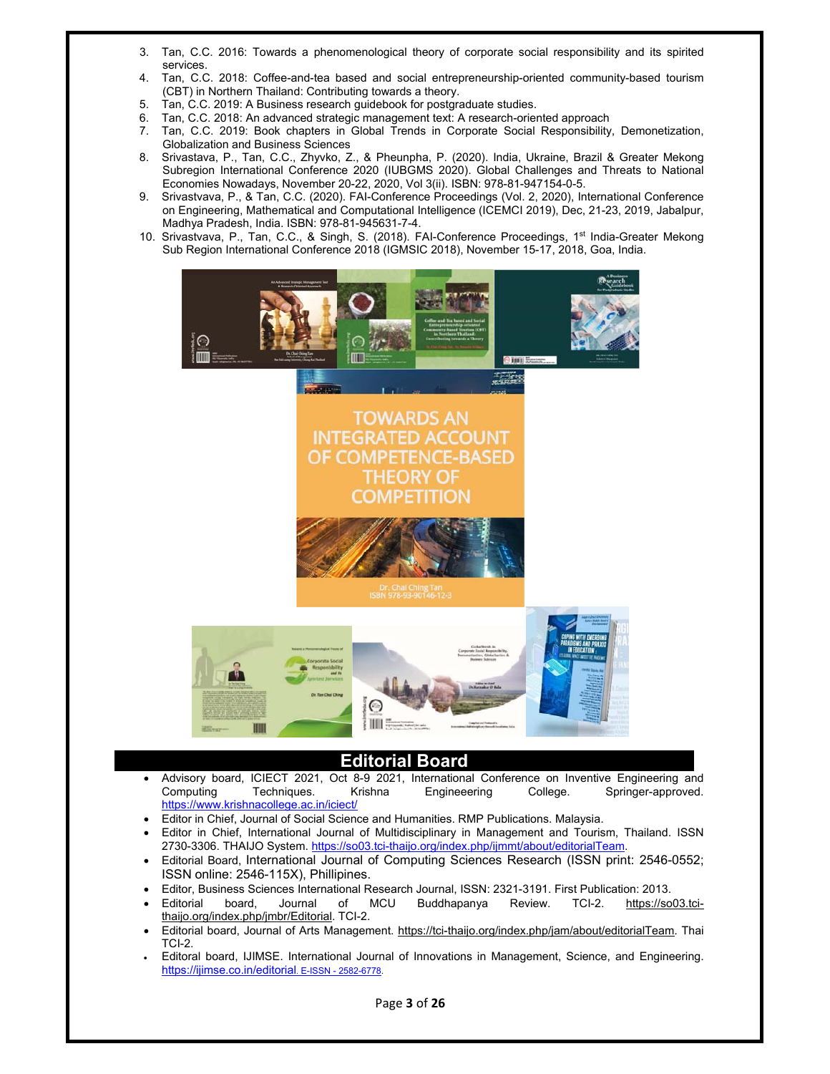- 3. Tan, C.C. 2016: Towards a phenomenological theory of corporate social responsibility and its spirited services.
- 4. Tan, C.C. 2018: Coffee-and-tea based and social entrepreneurship-oriented community-based tourism (CBT) in Northern Thailand: Contributing towards a theory.
- 5. Tan, C.C. 2019: A Business research guidebook for postgraduate studies.
- 6. Tan, C.C. 2018: An advanced strategic management text: A research-oriented approach
- 7. Tan, C.C. 2019: Book chapters in Global Trends in Corporate Social Responsibility, Demonetization, Globalization and Business Sciences
- 8. Srivastava, P., Tan, C.C., Zhyvko, Z., & Pheunpha, P. (2020). India, Ukraine, Brazil & Greater Mekong Subregion International Conference 2020 (IUBGMS 2020). Global Challenges and Threats to National Economies Nowadays, November 20-22, 2020, Vol 3(ii). ISBN: 978-81-947154-0-5.
- 9. Srivastvava, P., & Tan, C.C. (2020). FAI-Conference Proceedings (Vol. 2, 2020), International Conference on Engineering, Mathematical and Computational Intelligence (ICEMCI 2019), Dec, 21-23, 2019, Jabalpur, Madhya Pradesh, India. ISBN: 978-81-945631-7-4.
- 10. Srivastvava, P., Tan, C.C., & Singh, S. (2018). FAI-Conference Proceedings, 1<sup>st</sup> India-Greater Mekong Sub Region International Conference 2018 (IGMSIC 2018), November 15-17, 2018, Goa, India.



## **Editorial Board**

- Advisory board, ICIECT 2021, Oct 8-9 2021, International Conference on Inventive Engineering and Computing Techniques. Krishna Engineeering College. Springer-approved. https://www.krishnacollege.ac.in/iciect/
- Editor in Chief, Journal of Social Science and Humanities. RMP Publications. Malaysia.
- Editor in Chief, International Journal of Multidisciplinary in Management and Tourism, Thailand. ISSN 2730-3306. THAIJO System. https://so03.tci-thaijo.org/index.php/ijmmt/about/editorialTeam.
- Editorial Board, International Journal of Computing Sciences Research (ISSN print: 2546-0552; ISSN online: 2546-115X), Phillipines.
- Editor, Business Sciences International Research Journal, ISSN: 2321-3191. First Publication: 2013.
- Editorial board, Journal of MCU Buddhapanya Review. TCI-2. https://so03.tcithaijo.org/index.php/jmbr/Editorial. TCI-2.
- Editorial board, Journal of Arts Management. https://tci-thaijo.org/index.php/jam/about/editorialTeam. Thai TCI-2.
- Editoral board, IJIMSE. International Journal of Innovations in Management, Science, and Engineering. https://ijimse.co.in/editorial. E-ISSN - 2582-6778.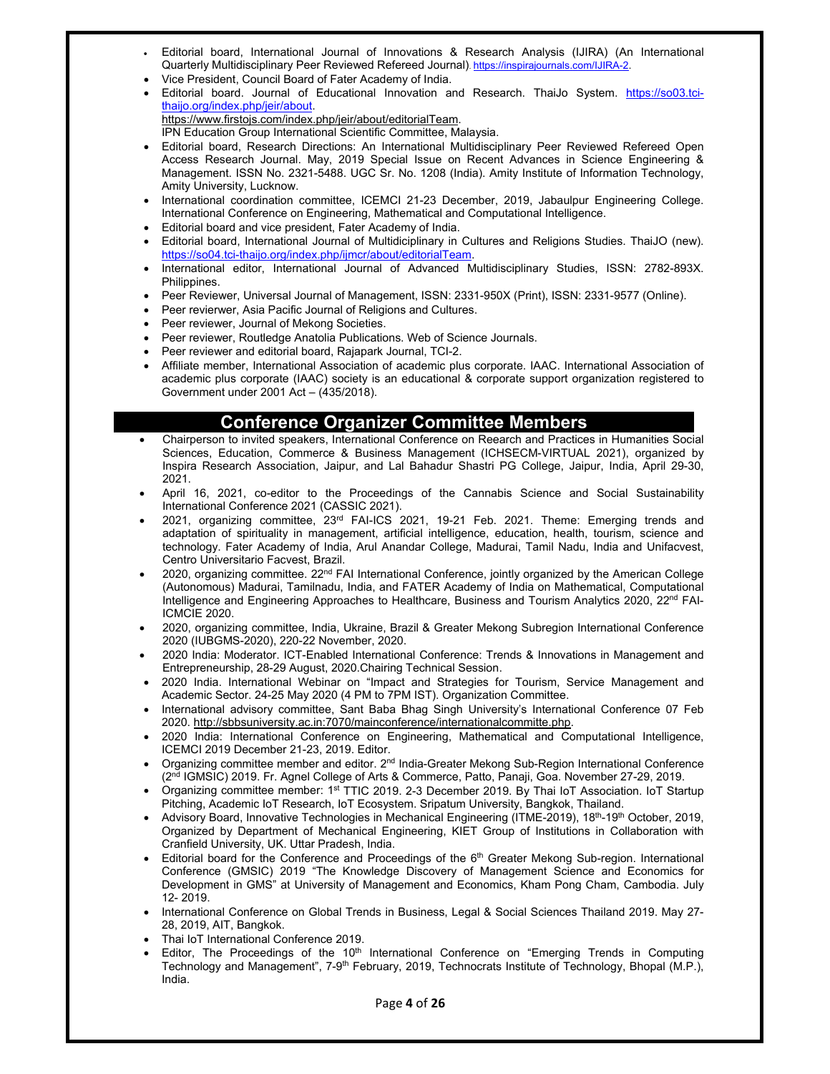- Editorial board, International Journal of Innovations & Research Analysis (IJIRA) (An International Quarterly Multidisciplinary Peer Reviewed Refereed Journal). https://inspirajournals.com/IJIRA-2.
- Vice President, Council Board of Fater Academy of India.
- Editorial board. Journal of Educational Innovation and Research. ThaiJo System. https://so03.tcithaijo.org/index.php/jeir/about.

https://www.firstojs.com/index.php/jeir/about/editorialTeam. IPN Education Group International Scientific Committee, Malaysia.

- Editorial board, Research Directions: An International Multidisciplinary Peer Reviewed Refereed Open Access Research Journal. May, 2019 Special Issue on Recent Advances in Science Engineering & Management. ISSN No. 2321-5488. UGC Sr. No. 1208 (India). Amity Institute of Information Technology, Amity University, Lucknow.
- International coordination committee, ICEMCI 21-23 December, 2019, Jabaulpur Engineering College. International Conference on Engineering, Mathematical and Computational Intelligence.
- Editorial board and vice president, Fater Academy of India.
- Editorial board, International Journal of Multidiciplinary in Cultures and Religions Studies. ThaiJO (new). https://so04.tci-thaijo.org/index.php/ijmcr/about/editorialTeam.
- International editor, International Journal of Advanced Multidisciplinary Studies, ISSN: 2782-893X. Philippines.
- Peer Reviewer, Universal Journal of Management, ISSN: 2331-950X (Print), ISSN: 2331-9577 (Online).
- Peer revierwer, Asia Pacific Journal of Religions and Cultures.
- Peer reviewer, Journal of Mekong Societies.
- Peer reviewer, Routledge Anatolia Publications. Web of Science Journals.
- Peer reviewer and editorial board, Rajapark Journal, TCI-2.
- Affiliate member, International Association of academic plus corporate. IAAC. International Association of academic plus corporate (IAAC) society is an educational & corporate support organization registered to Government under 2001 Act – (435/2018).

## **Conference Organizer Committee Members**

- Chairperson to invited speakers, International Conference on Reearch and Practices in Humanities Social Sciences, Education, Commerce & Business Management (ICHSECM-VIRTUAL 2021), organized by Inspira Research Association, Jaipur, and Lal Bahadur Shastri PG College, Jaipur, India, April 29-30, 2021.
- April 16, 2021, co-editor to the Proceedings of the Cannabis Science and Social Sustainability International Conference 2021 (CASSIC 2021).
- 2021, organizing committee, 23rd FAI-ICS 2021, 19-21 Feb. 2021. Theme: Emerging trends and adaptation of spirituality in management, artificial intelligence, education, health, tourism, science and technology. Fater Academy of India, Arul Anandar College, Madurai, Tamil Nadu, India and Unifacvest, Centro Universitario Facvest, Brazil.
- 2020, organizing committee.  $22<sup>nd</sup> FAI$  International Conference, jointly organized by the American College (Autonomous) Madurai, Tamilnadu, India, and FATER Academy of India on Mathematical, Computational Intelligence and Engineering Approaches to Healthcare, Business and Tourism Analytics 2020, 22<sup>nd</sup> FAI-ICMCIE 2020.
- 2020, organizing committee, India, Ukraine, Brazil & Greater Mekong Subregion International Conference 2020 (IUBGMS-2020), 220-22 November, 2020.
- 2020 India: Moderator. ICT-Enabled International Conference: Trends & Innovations in Management and Entrepreneurship, 28-29 August, 2020.Chairing Technical Session.
- 2020 India. International Webinar on "Impact and Strategies for Tourism, Service Management and Academic Sector. 24-25 May 2020 (4 PM to 7PM IST). Organization Committee.
- International advisory committee, Sant Baba Bhag Singh University's International Conference 07 Feb 2020. http://sbbsuniversity.ac.in:7070/mainconference/internationalcommitte.php.
- 2020 India: International Conference on Engineering, Mathematical and Computational Intelligence, ICEMCI 2019 December 21-23, 2019. Editor.
- Organizing committee member and editor. 2<sup>nd</sup> India-Greater Mekong Sub-Region International Conference (2nd IGMSIC) 2019. Fr. Agnel College of Arts & Commerce, Patto, Panaji, Goa. November 27-29, 2019.
- Organizing committee member: 1st TTIC 2019. 2-3 December 2019. By Thai IoT Association. IoT Startup Pitching, Academic IoT Research, IoT Ecosystem. Sripatum University, Bangkok, Thailand.
- Advisory Board, Innovative Technologies in Mechanical Engineering (ITME-2019), 18<sup>th</sup>-19<sup>th</sup> October, 2019, Organized by Department of Mechanical Engineering, KIET Group of Institutions in Collaboration with Cranfield University, UK. Uttar Pradesh, India.
- Editorial board for the Conference and Proceedings of the  $6<sup>th</sup>$  Greater Mekong Sub-region. International Conference (GMSIC) 2019 "The Knowledge Discovery of Management Science and Economics for Development in GMS" at University of Management and Economics, Kham Pong Cham, Cambodia. July 12- 2019.
- International Conference on Global Trends in Business, Legal & Social Sciences Thailand 2019. May 27- 28, 2019, AIT, Bangkok.
- Thai IoT International Conference 2019.
- Editor, The Proceedings of the  $10<sup>th</sup>$  International Conference on "Emerging Trends in Computing Technology and Management", 7-9<sup>th</sup> February, 2019, Technocrats Institute of Technology, Bhopal (M.P.), India.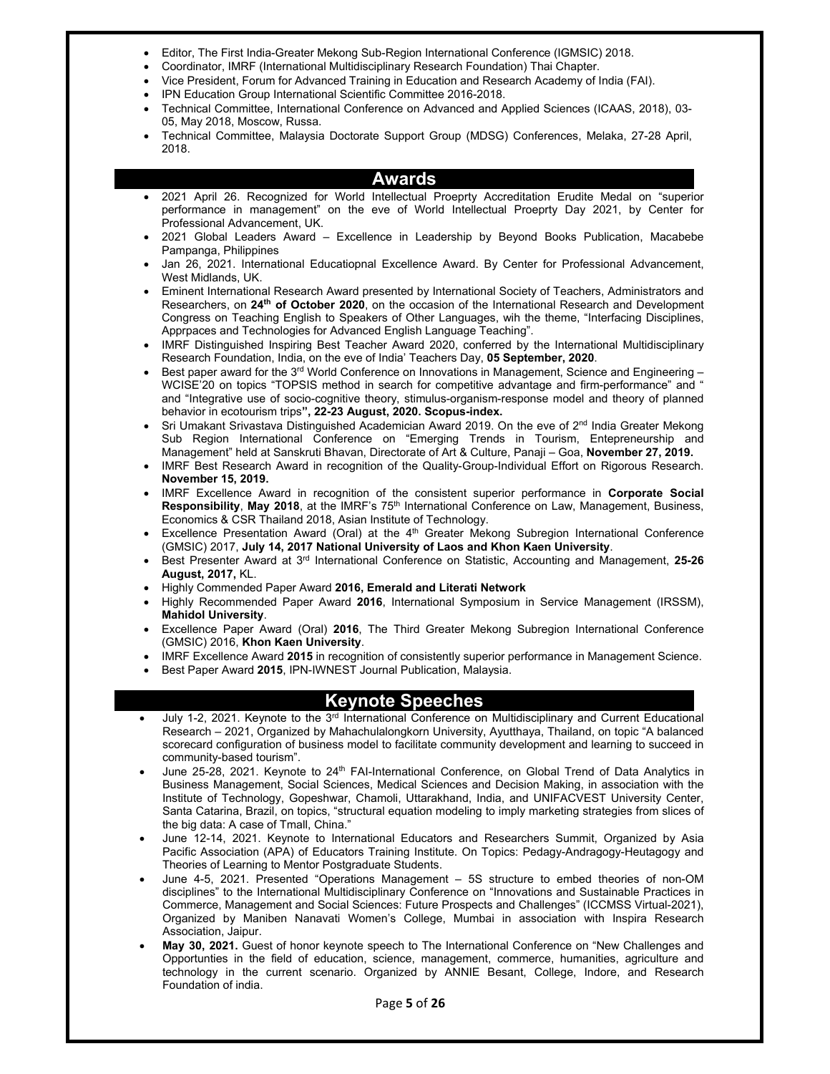- Editor, The First India-Greater Mekong Sub-Region International Conference (IGMSIC) 2018.
- Coordinator, IMRF (International Multidisciplinary Research Foundation) Thai Chapter.
- Vice President, Forum for Advanced Training in Education and Research Academy of India (FAI).
- IPN Education Group International Scientific Committee 2016-2018.
- Technical Committee, International Conference on Advanced and Applied Sciences (ICAAS, 2018), 03- 05, May 2018, Moscow, Russa.
- Technical Committee, Malaysia Doctorate Support Group (MDSG) Conferences, Melaka, 27-28 April, 2018.

#### **Awards**

- 2021 April 26. Recognized for World Intellectual Proeprty Accreditation Erudite Medal on "superior performance in management" on the eve of World Intellectual Proeprty Day 2021, by Center for Professional Advancement, UK.
- 2021 Global Leaders Award Excellence in Leadership by Beyond Books Publication, Macabebe Pampanga, Philippines
- Jan 26, 2021. International Educatiopnal Excellence Award. By Center for Professional Advancement, West Midlands, UK.
- Eminent International Research Award presented by International Society of Teachers, Administrators and Researchers, on **24th of October 2020**, on the occasion of the International Research and Development Congress on Teaching English to Speakers of Other Languages, wih the theme, "Interfacing Disciplines, Apprpaces and Technologies for Advanced English Language Teaching".
- IMRF Distinguished Inspiring Best Teacher Award 2020, conferred by the International Multidisciplinary Research Foundation, India, on the eve of India' Teachers Day, **05 September, 2020**.
- Best paper award for the 3<sup>rd</sup> World Conference on Innovations in Management, Science and Engineering WCISE'20 on topics "TOPSIS method in search for competitive advantage and firm-performance" and " and "Integrative use of socio-cognitive theory, stimulus-organism-response model and theory of planned behavior in ecotourism trips**", 22-23 August, 2020. Scopus-index.**
- Sri Umakant Srivastava Distinguished Academician Award 2019. On the eve of 2<sup>nd</sup> India Greater Mekong Sub Region International Conference on "Emerging Trends in Tourism, Entepreneurship and Management" held at Sanskruti Bhavan, Directorate of Art & Culture, Panaji – Goa, **November 27, 2019.**
- IMRF Best Research Award in recognition of the Quality-Group-Individual Effort on Rigorous Research. **November 15, 2019.**
- IMRF Excellence Award in recognition of the consistent superior performance in **Corporate Social Responsibility**, **May 2018**, at the IMRF's 75th International Conference on Law, Management, Business, Economics & CSR Thailand 2018, Asian Institute of Technology.
- Excellence Presentation Award (Oral) at the 4<sup>th</sup> Greater Mekong Subregion International Conference (GMSIC) 2017, **July 14, 2017 National University of Laos and Khon Kaen University**.
- Best Presenter Award at 3rd International Conference on Statistic, Accounting and Management, **25-26 August, 2017,** KL.
- Highly Commended Paper Award **2016, Emerald and Literati Network**
- Highly Recommended Paper Award **2016**, International Symposium in Service Management (IRSSM), **Mahidol University**.
- Excellence Paper Award (Oral) **2016**, The Third Greater Mekong Subregion International Conference (GMSIC) 2016, **Khon Kaen University**.
- IMRF Excellence Award **2015** in recognition of consistently superior performance in Management Science.
- Best Paper Award **2015**, IPN-IWNEST Journal Publication, Malaysia.

#### **Keynote Speeches**

- July 1-2, 2021. Keynote to the 3<sup>rd</sup> International Conference on Multidisciplinary and Current Educational Research – 2021, Organized by Mahachulalongkorn University, Ayutthaya, Thailand, on topic "A balanced scorecard configuration of business model to facilitate community development and learning to succeed in community-based tourism".
- June 25-28, 2021. Keynote to 24<sup>th</sup> FAI-International Conference, on Global Trend of Data Analytics in Business Management, Social Sciences, Medical Sciences and Decision Making, in association with the Institute of Technology, Gopeshwar, Chamoli, Uttarakhand, India, and UNIFACVEST University Center, Santa Catarina, Brazil, on topics, "structural equation modeling to imply marketing strategies from slices of the big data: A case of Tmall, China."
- June 12-14, 2021. Keynote to International Educators and Researchers Summit, Organized by Asia Pacific Association (APA) of Educators Training Institute. On Topics: Pedagy-Andragogy-Heutagogy and Theories of Learning to Mentor Postgraduate Students.
- June 4-5, 2021. Presented "Operations Management 5S structure to embed theories of non-OM disciplines" to the International Multidisciplinary Conference on "Innovations and Sustainable Practices in Commerce, Management and Social Sciences: Future Prospects and Challenges" (ICCMSS Virtual-2021), Organized by Maniben Nanavati Women's College, Mumbai in association with Inspira Research Association, Jaipur.
- **May 30, 2021.** Guest of honor keynote speech to The International Conference on "New Challenges and Opportunties in the field of education, science, management, commerce, humanities, agriculture and technology in the current scenario. Organized by ANNIE Besant, College, Indore, and Research Foundation of india.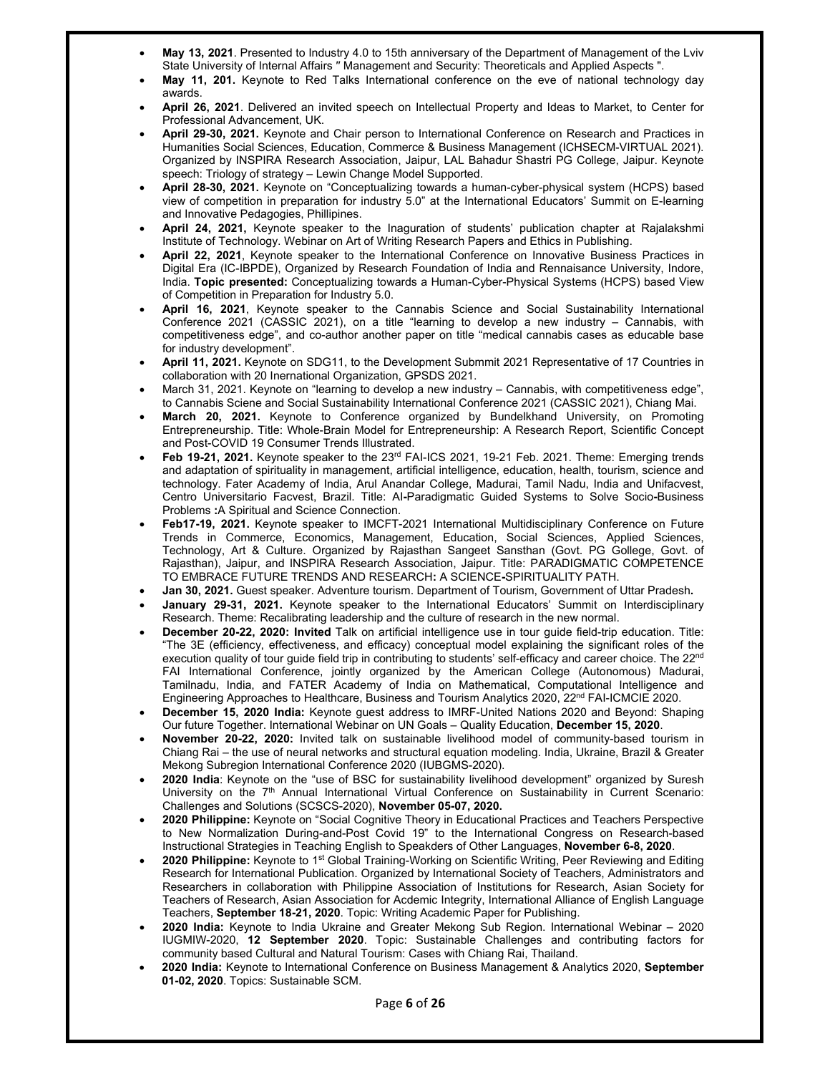- **May 13, 2021**. Presented to Industry 4.0 to 15th anniversary of the Department of Management of the Lviv State University of Internal Affairs ′′ Management and Security: Theoreticals and Applied Aspects ".
- **May 11, 201.** Keynote to Red Talks International conference on the eve of national technology day awards.
- **April 26, 2021**. Delivered an invited speech on Intellectual Property and Ideas to Market, to Center for Professional Advancement, UK.
- **April 29-30, 2021.** Keynote and Chair person to International Conference on Research and Practices in Humanities Social Sciences, Education, Commerce & Business Management (ICHSECM-VIRTUAL 2021). Organized by INSPIRA Research Association, Jaipur, LAL Bahadur Shastri PG College, Jaipur. Keynote speech: Triology of strategy – Lewin Change Model Supported.
- **April 28-30, 2021.** Keynote on "Conceptualizing towards a human-cyber-physical system (HCPS) based view of competition in preparation for industry 5.0" at the International Educators' Summit on E-learning and Innovative Pedagogies, Phillipines.
- **April 24, 2021,** Keynote speaker to the Inaguration of students' publication chapter at Rajalakshmi Institute of Technology. Webinar on Art of Writing Research Papers and Ethics in Publishing.
- **April 22, 2021**, Keynote speaker to the International Conference on Innovative Business Practices in Digital Era (IC-IBPDE), Organized by Research Foundation of India and Rennaisance University, Indore, India. **Topic presented:** Conceptualizing towards a Human-Cyber-Physical Systems (HCPS) based View of Competition in Preparation for Industry 5.0.
- **April 16, 2021**, Keynote speaker to the Cannabis Science and Social Sustainability International Conference 2021 (CASSIC 2021), on a title "learning to develop a new industry – Cannabis, with competitiveness edge", and co-author another paper on title "medical cannabis cases as educable base for industry development".
- **April 11, 2021.** Keynote on SDG11, to the Development Submmit 2021 Representative of 17 Countries in collaboration with 20 Inernational Organization, GPSDS 2021.
- March 31, 2021. Keynote on "learning to develop a new industry Cannabis, with competitiveness edge", to Cannabis Sciene and Social Sustainability International Conference 2021 (CASSIC 2021), Chiang Mai.
- **March 20, 2021.** Keynote to Conference organized by Bundelkhand University, on Promoting Entrepreneurship. Title: Whole-Brain Model for Entrepreneurship: A Research Report, Scientific Concept and Post-COVID 19 Consumer Trends Illustrated.
- Feb 19-21, 2021. Keynote speaker to the 23<sup>rd</sup> FAI-ICS 2021, 19-21 Feb. 2021. Theme: Emerging trends and adaptation of spirituality in management, artificial intelligence, education, health, tourism, science and technology. Fater Academy of India, Arul Anandar College, Madurai, Tamil Nadu, India and Unifacvest, Centro Universitario Facvest, Brazil. Title: AI**-**Paradigmatic Guided Systems to Solve Socio**-**Business Problems **:**A Spiritual and Science Connection.
- **Feb17-19, 2021.** Keynote speaker to IMCFT-2021 International Multidisciplinary Conference on Future Trends in Commerce, Economics, Management, Education, Social Sciences, Applied Sciences, Technology, Art & Culture. Organized by Rajasthan Sangeet Sansthan (Govt. PG Gollege, Govt. of Rajasthan), Jaipur, and INSPIRA Research Association, Jaipur. Title: PARADIGMATIC COMPETENCE TO EMBRACE FUTURE TRENDS AND RESEARCH**:** A SCIENCE**-**SPIRITUALITY PATH.
- **Jan 30, 2021.** Guest speaker. Adventure tourism. Department of Tourism, Government of Uttar Pradesh**.**
- **January 29-31, 2021.** Keynote speaker to the International Educators' Summit on Interdisciplinary Research. Theme: Recalibrating leadership and the culture of research in the new normal.
- **December 20-22, 2020: Invited** Talk on artificial intelligence use in tour guide field-trip education. Title: "The 3E (efficiency, effectiveness, and efficacy) conceptual model explaining the significant roles of the execution quality of tour quide field trip in contributing to students' self-efficacy and career choice. The 22<sup>nd</sup> FAI International Conference, jointly organized by the American College (Autonomous) Madurai, Tamilnadu, India, and FATER Academy of India on Mathematical, Computational Intelligence and Engineering Approaches to Healthcare, Business and Tourism Analytics 2020, 22<sup>nd</sup> FAI-ICMCIE 2020.
- **December 15, 2020 India:** Keynote guest address to IMRF-United Nations 2020 and Beyond: Shaping Our future Together. International Webinar on UN Goals – Quality Education, **December 15, 2020**.
- **November 20-22, 2020:** Invited talk on sustainable livelihood model of community-based tourism in Chiang Rai – the use of neural networks and structural equation modeling. India, Ukraine, Brazil & Greater Mekong Subregion International Conference 2020 (IUBGMS-2020).
- **2020 India**: Keynote on the "use of BSC for sustainability livelihood development" organized by Suresh University on the 7<sup>th</sup> Annual International Virtual Conference on Sustainability in Current Scenario: Challenges and Solutions (SCSCS-2020), **November 05-07, 2020.**
- **2020 Philippine:** Keynote on "Social Cognitive Theory in Educational Practices and Teachers Perspective to New Normalization During-and-Post Covid 19" to the International Congress on Research-based Instructional Strategies in Teaching English to Speakders of Other Languages, **November 6-8, 2020**.
- **2020 Philippine:** Keynote to 1st Global Training-Working on Scientific Writing, Peer Reviewing and Editing Research for International Publication. Organized by International Society of Teachers, Administrators and Researchers in collaboration with Philippine Association of Institutions for Research, Asian Society for Teachers of Research, Asian Association for Acdemic Integrity, International Alliance of English Language Teachers, **September 18-21, 2020**. Topic: Writing Academic Paper for Publishing.
- **2020 India:** Keynote to India Ukraine and Greater Mekong Sub Region. International Webinar 2020 IUGMIW-2020, **12 September 2020**. Topic: Sustainable Challenges and contributing factors for community based Cultural and Natural Tourism: Cases with Chiang Rai, Thailand.
- **2020 India:** Keynote to International Conference on Business Management & Analytics 2020, **September 01-02, 2020**. Topics: Sustainable SCM.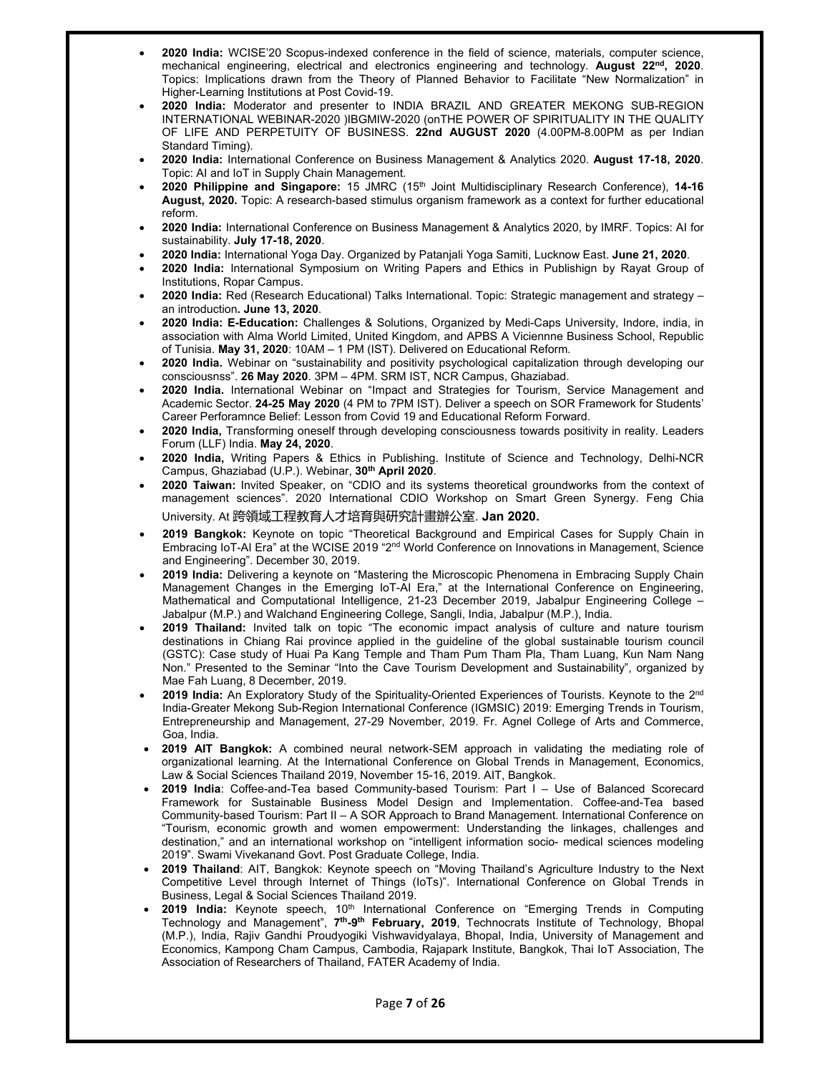- **2020 India:** WCISE'20 Scopus-indexed conference in the field of science, materials, computer science, mechanical engineering, electrical and electronics engineering and technology. **August 22nd, 2020**. Topics: Implications drawn from the Theory of Planned Behavior to Facilitate "New Normalization" in Higher-Learning Institutions at Post Covid-19.
- 2020 India: Moderator and presenter to INDIA BRAZIL AND GREATER MEKONG SUB-REGION INTERNATIONAL WEBINAR -2020 )IBGMIW -2020 (onTHE POWER OF SPIRITUALITY IN THE QUALITY OF LIFE AND PERPETUITY OF BUSINESS. **22nd AUGUST 2020** (4.00PM-8.00PM as per Indian Standard Timing).
- **2020 India:** International Conference on Business Management & Analytics 2020. **August 17-18, 2020**. Topic: AI and IoT in Supply Chain Management.
- **2020 Philippine and Singapore:** 15 JMRC (15th Joint Multidisciplinary Research Conference), **14-16 August, 2020.** Topic: A research-based stimulus organism framework as a context for further educational reform.
- **2020 India:** International Conference on Business Management & Analytics 2020, by IMRF. Topics: AI for sustainability. **July 17-18, 2020**.
- **2020 India:** International Yoga Day. Organized by Patanjali Yoga Samiti, Lucknow East. **June 21, 2020**.
- **2020 India:** International Symposium on Writing Papers and Ethics in Publishign by Rayat Group of Institutions, Ropar Campus.
- **2020 India:** Red (Research Educational) Talks International. Topic: Strategic management and strategy an introduction**. June 13, 2020**.
- **2020 India: E-Education:** Challenges & Solutions, Organized by Medi-Caps University, Indore, india, in association with Alma World Limited, United Kingdom, and APBS A Viciennne Business School, Republic of Tunisia. **May 31, 2020**: 10AM – 1 PM (IST). Delivered on Educational Reform.
- **2020 India.** Webinar on "sustainability and positivity psychological capitalization through developing our consciousnss". **26 May 2020**. 3PM – 4PM. SRM IST, NCR Campus, Ghaziabad.
- **2020 India.** International Webinar on "Impact and Strategies for Tourism, Service Management and Academic Sector. **24-25 May 2020** (4 PM to 7PM IST). Deliver a speech on SOR Framework for Students' Career Perforamnce Belief: Lesson from Covid 19 and Educational Reform Forward.
- **2020 India,** Transforming oneself through developing consciousness towards positivity in reality. Leaders Forum (LLF) India. **May 24, 2020**.
- **2020 India,** Writing Papers & Ethics in Publishing. Institute of Science and Technology, Delhi-NCR Campus, Ghaziabad (U.P.). Webinar, **30th April 2020**.
- **2020 Taiwan:** Invited Speaker, on "CDIO and its systems theoretical groundworks from the context of management sciences". 2020 International CDIO Workshop on Smart Green Synergy. Feng Chia University. At 跨領域工程教育人才培育與研究計畫辦公室. **Jan 2020.**
- **2019 Bangkok:** Keynote on topic "Theoretical Background and Empirical Cases for Supply Chain in Embracing IoT-AI Era" at the WCISE 2019 "2<sup>nd</sup> World Conference on Innovations in Management, Science and Engineering". December 30, 2019.
- **2019 India:** Delivering a keynote on "Mastering the Microscopic Phenomena in Embracing Supply Chain Management Changes in the Emerging IoT-AI Era," at the International Conference on Engineering, Mathematical and Computational Intelligence, 21-23 December 2019, Jabalpur Engineering College – Jabalpur (M.P.) and Walchand Engineering College, Sangli, India, Jabalpur (M.P.), India.
- **2019 Thailand:** Invited talk on topic "The economic impact analysis of culture and nature tourism destinations in Chiang Rai province applied in the guideline of the global sustainable tourism council (GSTC): Case study of Huai Pa Kang Temple and Tham Pum Tham Pla, Tham Luang, Kun Nam Nang Non." Presented to the Seminar "Into the Cave Tourism Development and Sustainability", organized by Mae Fah Luang, 8 December, 2019.
- 2019 India: An Exploratory Study of the Spirituality-Oriented Experiences of Tourists. Keynote to the 2<sup>nd</sup> India-Greater Mekong Sub-Region International Conference (IGMSIC) 2019: Emerging Trends in Tourism, Entrepreneurship and Management, 27-29 November, 2019. Fr. Agnel College of Arts and Commerce, Goa, India.
- **2019 AIT Bangkok:** A combined neural network-SEM approach in validating the mediating role of organizational learning. At the International Conference on Global Trends in Management, Economics, Law & Social Sciences Thailand 2019, November 15-16, 2019. AIT, Bangkok.
- **2019 India**: Coffee-and-Tea based Community-based Tourism: Part I Use of Balanced Scorecard Framework for Sustainable Business Model Design and Implementation. Coffee-and-Tea based Community-based Tourism: Part II – A SOR Approach to Brand Management. International Conference on "Tourism, economic growth and women empowerment: Understanding the linkages, challenges and destination," and an international workshop on "intelligent information socio- medical sciences modeling 2019". Swami Vivekanand Govt. Post Graduate College, India.
- **2019 Thailand**: AIT, Bangkok: Keynote speech on "Moving Thailand's Agriculture Industry to the Next Competitive Level through Internet of Things (IoTs)". International Conference on Global Trends in Business, Legal & Social Sciences Thailand 2019.
- 2019 India: Keynote speech, 10<sup>th</sup> International Conference on "Emerging Trends in Computing Technology and Management", **7th-9th February, 2019**, Technocrats Institute of Technology, Bhopal (M.P.), India, Rajiv Gandhi Proudyogiki Vishwavidyalaya, Bhopal, India, University of Management and Economics, Kampong Cham Campus, Cambodia, Rajapark Institute, Bangkok, Thai IoT Association, The Association of Researchers of Thailand, FATER Academy of India.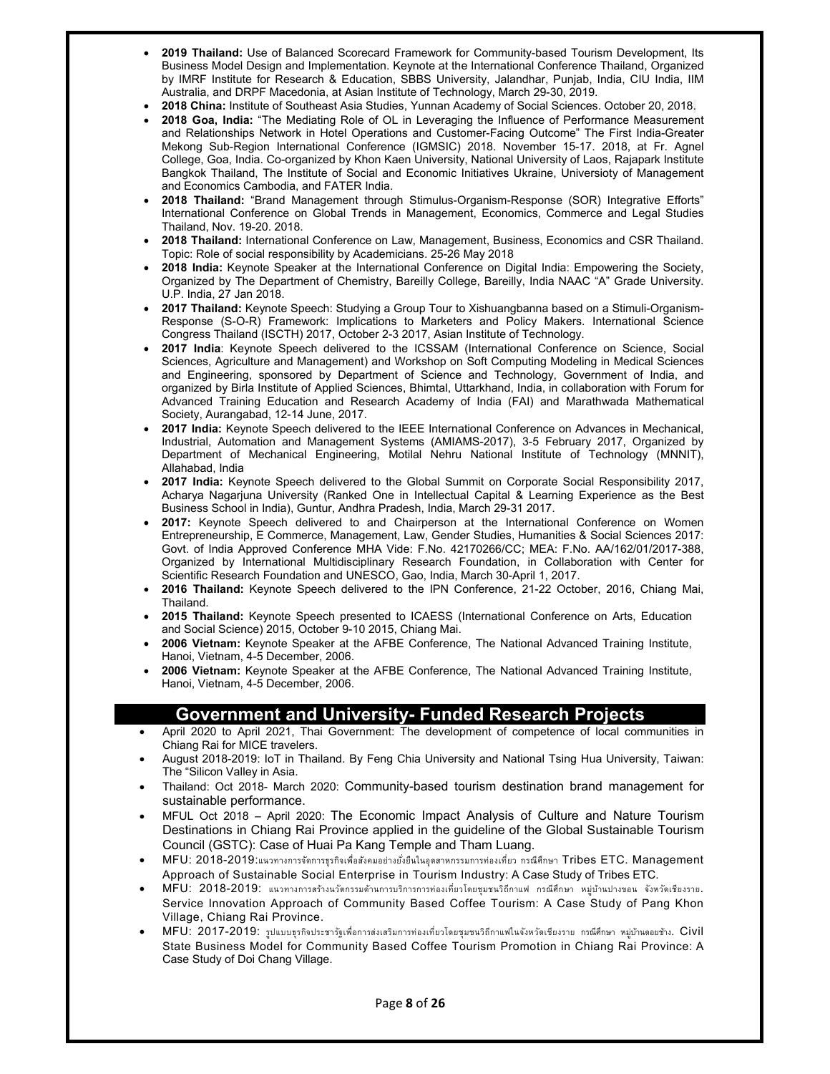- **2019 Thailand:** Use of Balanced Scorecard Framework for Community-based Tourism Development, Its Business Model Design and Implementation. Keynote at the International Conference Thailand, Organized by IMRF Institute for Research & Education, SBBS University, Jalandhar, Punjab, India, CIU India, IIM Australia, and DRPF Macedonia, at Asian Institute of Technology, March 29-30, 2019.
- **2018 China:** Institute of Southeast Asia Studies, Yunnan Academy of Social Sciences. October 20, 2018.
- **2018 Goa, India:** "The Mediating Role of OL in Leveraging the Influence of Performance Measurement and Relationships Network in Hotel Operations and Customer-Facing Outcome" The First India-Greater Mekong Sub-Region International Conference (IGMSIC) 2018. November 15-17. 2018, at Fr. Agnel College, Goa, India. Co-organized by Khon Kaen University, National University of Laos, Rajapark Institute Bangkok Thailand, The Institute of Social and Economic Initiatives Ukraine, Universioty of Management and Economics Cambodia, and FATER India.
- **2018 Thailand:** "Brand Management through Stimulus-Organism-Response (SOR) Integrative Efforts" International Conference on Global Trends in Management, Economics, Commerce and Legal Studies Thailand, Nov. 19-20. 2018.
- **2018 Thailand:** International Conference on Law, Management, Business, Economics and CSR Thailand. Topic: Role of social responsibility by Academicians. 25-26 May 2018
- **2018 India:** Keynote Speaker at the International Conference on Digital India: Empowering the Society, Organized by The Department of Chemistry, Bareilly College, Bareilly, India NAAC "A" Grade University. U.P. India, 27 Jan 2018.
- **2017 Thailand:** Keynote Speech: Studying a Group Tour to Xishuangbanna based on a Stimuli-Organism-Response (S-O-R) Framework: Implications to Marketers and Policy Makers. International Science Congress Thailand (ISCTH) 2017, October 2-3 2017, Asian Institute of Technology.
- **2017 India**: Keynote Speech delivered to the ICSSAM (International Conference on Science, Social Sciences, Agriculture and Management) and Workshop on Soft Computing Modeling in Medical Sciences and Engineering, sponsored by Department of Science and Technology, Government of India, and organized by Birla Institute of Applied Sciences, Bhimtal, Uttarkhand, India, in collaboration with Forum for Advanced Training Education and Research Academy of India (FAI) and Marathwada Mathematical Society, Aurangabad, 12-14 June, 2017.
- **2017 India:** Keynote Speech delivered to the IEEE International Conference on Advances in Mechanical, Industrial, Automation and Management Systems (AMIAMS-2017), 3-5 February 2017, Organized by Department of Mechanical Engineering, Motilal Nehru National Institute of Technology (MNNIT), Allahabad, India
- **2017 India:** Keynote Speech delivered to the Global Summit on Corporate Social Responsibility 2017, Acharya Nagarjuna University (Ranked One in Intellectual Capital & Learning Experience as the Best Business School in India), Guntur, Andhra Pradesh, India, March 29-31 2017.
- **2017:** Keynote Speech delivered to and Chairperson at the International Conference on Women Entrepreneurship, E Commerce, Management, Law, Gender Studies, Humanities & Social Sciences 2017: Govt. of India Approved Conference MHA Vide: F.No. 42170266/CC; MEA: F.No. AA/162/01/2017-388, Organized by International Multidisciplinary Research Foundation, in Collaboration with Center for Scientific Research Foundation and UNESCO, Gao, India, March 30-April 1, 2017.
- **2016 Thailand:** Keynote Speech delivered to the IPN Conference, 21-22 October, 2016, Chiang Mai, **Thailand**
- **2015 Thailand:** Keynote Speech presented to ICAESS (International Conference on Arts, Education and Social Science) 2015, October 9-10 2015, Chiang Mai.
- **2006 Vietnam:** Keynote Speaker at the AFBE Conference, The National Advanced Training Institute, Hanoi, Vietnam, 4-5 December, 2006.
- **2006 Vietnam:** Keynote Speaker at the AFBE Conference, The National Advanced Training Institute, Hanoi, Vietnam, 4-5 December, 2006.

## **Government and University- Funded Research Projects**

- April 2020 to April 2021, Thai Government: The development of competence of local communities in Chiang Rai for MICE travelers.
- August 2018-2019: IoT in Thailand. By Feng Chia University and National Tsing Hua University, Taiwan: The "Silicon Valley in Asia.
- Thailand: Oct 2018- March 2020: Community-based tourism destination brand management for sustainable performance.
- MFUL Oct 2018 April 2020: The Economic Impact Analysis of Culture and Nature Tourism Destinations in Chiang Rai Province applied in the guideline of the Global Sustainable Tourism Council (GSTC): Case of Huai Pa Kang Temple and Tham Luang.
- MFU: 2018-2019:แนวทางการจัดการธุรกิจเพ่ือสังคมอย่างยังย่ ืนในอุตสาหกรรมการท่องเท่ียว กรณีศึกษา Tribes ETC. Management Approach of Sustainable Social Enterprise in Tourism Industry: A Case Study of Tribes ETC.
- MFU: 2018-2019: แนวทางการสร้างนวัตกรรมด้านการบริการการท่องเท่ียวโดยชุมชนวิถีกาแฟ กรณีศึกษา หมู่บ้านปางขอน จังหวัดเชียงราย. Service Innovation Approach of Community Based Coffee Tourism: A Case Study of Pang Khon Village, Chiang Rai Province.
- MFU: 2017-2019: รูปแบบธุรกิจประชารัฐเพื่อการส่งเสริมการท่องเที่ยวโดยชุมชนวิถีกาแฟในจังหวัดเชียงราย กรณีศึกษา หมู่บ้านดอยช้าง. Civil State Business Model for Community Based Coffee Tourism Promotion in Chiang Rai Province: A Case Study of Doi Chang Village.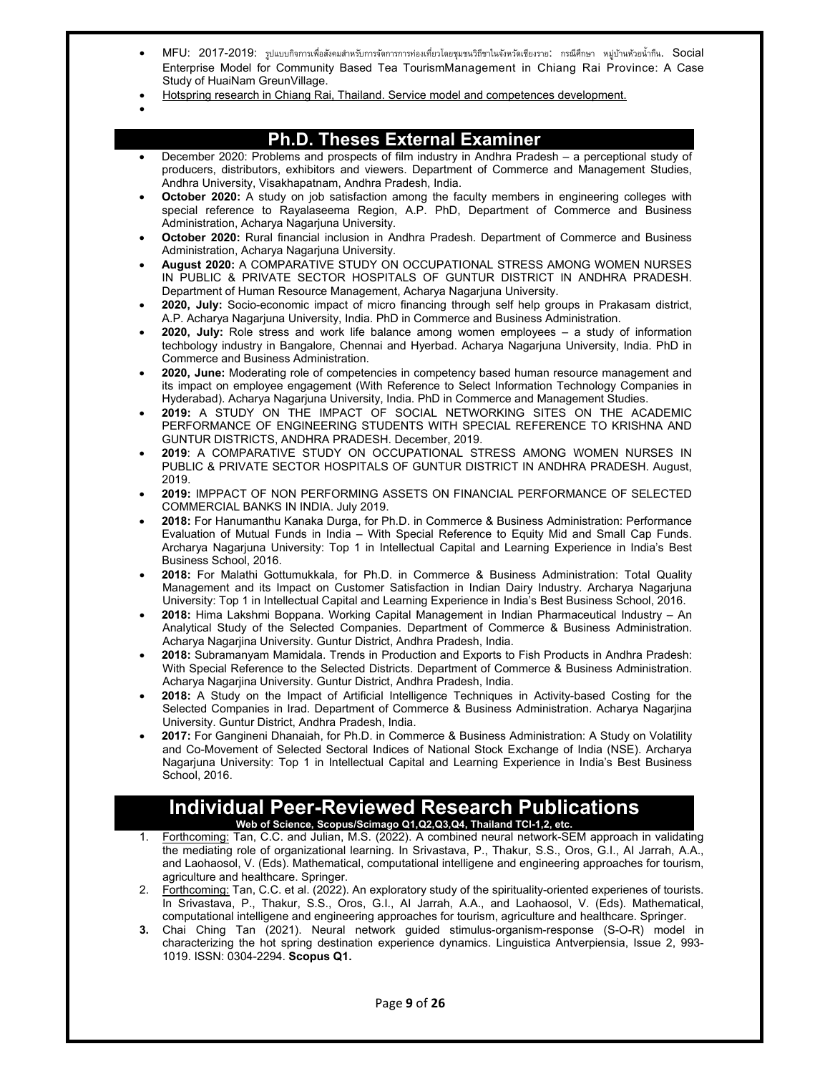- MFU: 2017-2019: รูปแบบกิจการเพื่อสังคมสำหรับการจัดการการท่องเที่ยวโดยชุมชนวิถีชาในจังหวัดเชียงราย: กรณีศึกษา หมู่บ้านห้วยน้ำกึน. Social Enterprise Model for Community Based Tea TourismManagement in Chiang Rai Province: A Case Study of HuaiNam GreunVillage.
- Hotspring research in Chiang Rai, Thailand. Service model and competences development.
- $\bullet$

## **Ph.D. Theses External Examiner**

- December 2020: Problems and prospects of film industry in Andhra Pradesh a perceptional study of producers, distributors, exhibitors and viewers. Department of Commerce and Management Studies, Andhra University, Visakhapatnam, Andhra Pradesh, India.
- **October 2020:** A study on job satisfaction among the faculty members in engineering colleges with special reference to Rayalaseema Region, A.P. PhD, Department of Commerce and Business Administration, Acharya Nagarjuna University.
- **October 2020:** Rural financial inclusion in Andhra Pradesh. Department of Commerce and Business Administration, Acharya Nagarjuna University.
- **August 2020:** A COMPARATIVE STUDY ON OCCUPATIONAL STRESS AMONG WOMEN NURSES IN PUBLIC & PRIVATE SECTOR HOSPITALS OF GUNTUR DISTRICT IN ANDHRA PRADESH. Department of Human Resource Management, Acharya Nagarjuna University.
- **2020, July:** Socio-economic impact of micro financing through self help groups in Prakasam district, A.P. Acharya Nagarjuna University, India. PhD in Commerce and Business Administration.
- **2020, July:** Role stress and work life balance among women employees a study of information techbology industry in Bangalore, Chennai and Hyerbad. Acharya Nagarjuna University, India. PhD in Commerce and Business Administration.
- **2020, June:** Moderating role of competencies in competency based human resource management and its impact on employee engagement (With Reference to Select Information Technology Companies in Hyderabad). Acharya Nagarjuna University, India. PhD in Commerce and Management Studies.
- **2019:** A STUDY ON THE IMPACT OF SOCIAL NETWORKING SITES ON THE ACADEMIC PERFORMANCE OF ENGINEERING STUDENTS WITH SPECIAL REFERENCE TO KRISHNA AND GUNTUR DISTRICTS, ANDHRA PRADESH. December, 2019.
- **2019**: A COMPARATIVE STUDY ON OCCUPATIONAL STRESS AMONG WOMEN NURSES IN PUBLIC & PRIVATE SECTOR HOSPITALS OF GUNTUR DISTRICT IN ANDHRA PRADESH. August, 2019.
- **2019:** IMPPACT OF NON PERFORMING ASSETS ON FINANCIAL PERFORMANCE OF SELECTED COMMERCIAL BANKS IN INDIA. July 2019.
- **2018:** For Hanumanthu Kanaka Durga, for Ph.D. in Commerce & Business Administration: Performance Evaluation of Mutual Funds in India – With Special Reference to Equity Mid and Small Cap Funds. Archarya Nagarjuna University: Top 1 in Intellectual Capital and Learning Experience in India's Best Business School, 2016.
- **2018:** For Malathi Gottumukkala, for Ph.D. in Commerce & Business Administration: Total Quality Management and its Impact on Customer Satisfaction in Indian Dairy Industry. Archarya Nagarjuna University: Top 1 in Intellectual Capital and Learning Experience in India's Best Business School, 2016.
- **2018:** Hima Lakshmi Boppana. Working Capital Management in Indian Pharmaceutical Industry An Analytical Study of the Selected Companies. Department of Commerce & Business Administration. Acharya Nagarjina University. Guntur District, Andhra Pradesh, India.
- **2018:** Subramanyam Mamidala. Trends in Production and Exports to Fish Products in Andhra Pradesh: With Special Reference to the Selected Districts. Department of Commerce & Business Administration. Acharya Nagarjina University. Guntur District, Andhra Pradesh, India.
- **2018:** A Study on the Impact of Artificial Intelligence Techniques in Activity-based Costing for the Selected Companies in Irad. Department of Commerce & Business Administration. Acharya Nagarjina University. Guntur District, Andhra Pradesh, India.
- **2017:** For Gangineni Dhanaiah, for Ph.D. in Commerce & Business Administration: A Study on Volatility and Co-Movement of Selected Sectoral Indices of National Stock Exchange of India (NSE). Archarya Nagarjuna University: Top 1 in Intellectual Capital and Learning Experience in India's Best Business School, 2016.

#### **Individual Peer-Reviewed Research Publications Web of Science, Scopus/Scimago Q1,Q2,Q3,Q4, Thailand TCI-1,2, etc.**

- 1. Forthcoming: Tan, C.C. and Julian, M.S. (2022). A combined neural network-SEM approach in validating the mediating role of organizational learning. In Srivastava, P., Thakur, S.S., Oros, G.I., AI Jarrah, A.A., and Laohaosol, V. (Eds). Mathematical, computational intelligene and engineering approaches for tourism, agriculture and healthcare. Springer.
- 2. Forthcoming: Tan, C.C. et al. (2022). An exploratory study of the spirituality-oriented experienes of tourists. In Srivastava, P., Thakur, S.S., Oros, G.I., AI Jarrah, A.A., and Laohaosol, V. (Eds). Mathematical, computational intelligene and engineering approaches for tourism, agriculture and healthcare. Springer.
- **3.** Chai Ching Tan (2021). Neural network guided stimulus-organism-response (S-O-R) model in characterizing the hot spring destination experience dynamics. Linguistica Antverpiensia, Issue 2, 993- 1019. ISSN: 0304-2294. **Scopus Q1.**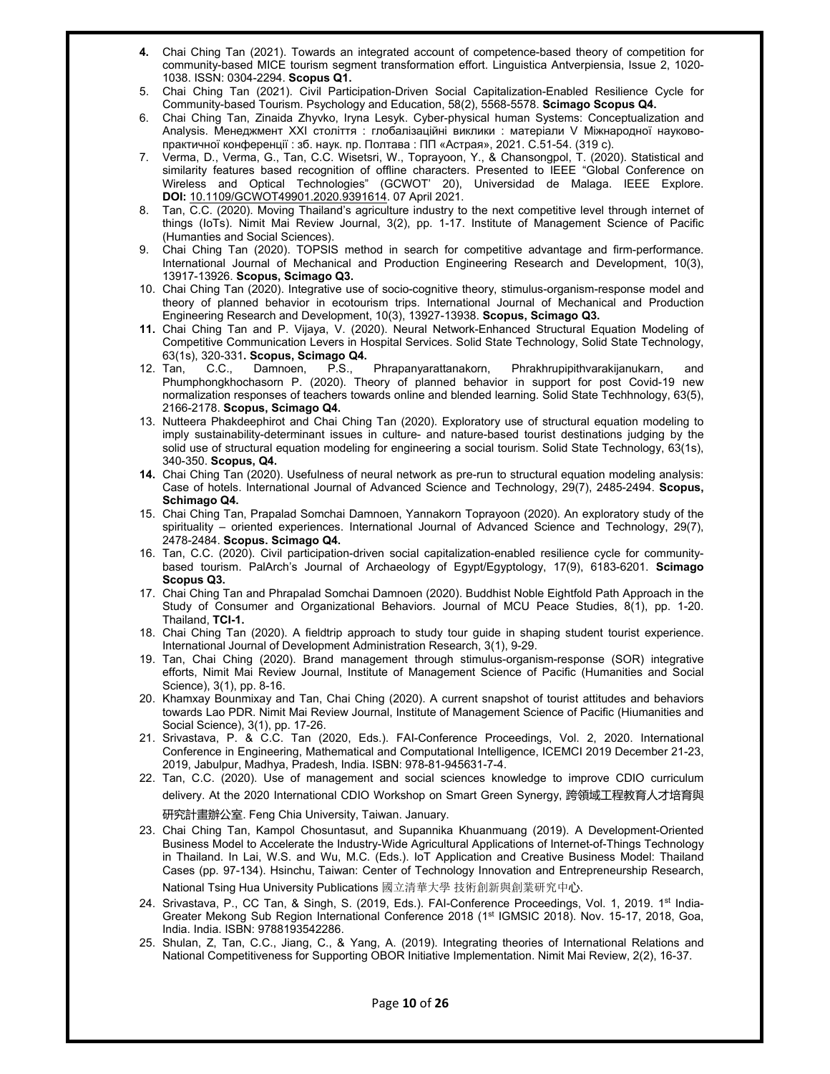- **4.** Chai Ching Tan (2021). Towards an integrated account of competence-based theory of competition for community-based MICE tourism segment transformation effort. Linguistica Antverpiensia, Issue 2, 1020- 1038. ISSN: 0304-2294. **Scopus Q1.**
- 5. Chai Ching Tan (2021). Civil Participation-Driven Social Capitalization-Enabled Resilience Cycle for Community-based Tourism. Psychology and Education, 58(2), 5568-5578. **Scimago Scopus Q4.**
- 6. Chai Ching Tan, Zinaida Zhyvko, Iryna Lesyk. Cyber-physical human Systems: Conceptualization and Analysis. Менеджмент ХХІ століття : глобалізаційні виклики : матеріали V Міжнародної науковопрактичної конференції : зб. наук. пр. Полтава : ПП «Астрая», 2021. С.51-54. (319 с).
- 7. Verma, D., Verma, G., Tan, C.C. Wisetsri, W., Toprayoon, Y., & Chansongpol, T. (2020). Statistical and similarity features based recognition of offline characters. Presented to IEEE "Global Conference on Wireless and Optical Technologies" (GCWOT' 20), Universidad de Malaga. IEEE Explore. **DOI:** 10.1109/GCWOT49901.2020.9391614. 07 April 2021.
- 8. Tan, C.C. (2020). Moving Thailand's agriculture industry to the next competitive level through internet of things (IoTs). Nimit Mai Review Journal, 3(2), pp. 1-17. Institute of Management Science of Pacific (Humanties and Social Sciences).
- 9. Chai Ching Tan (2020). TOPSIS method in search for competitive advantage and firm-performance. International Journal of Mechanical and Production Engineering Research and Development, 10(3), 13917-13926. **Scopus, Scimago Q3.**
- 10. Chai Ching Tan (2020). Integrative use of socio-cognitive theory, stimulus-organism-response model and theory of planned behavior in ecotourism trips. International Journal of Mechanical and Production Engineering Research and Development, 10(3), 13927-13938. **Scopus, Scimago Q3.**
- **11.** Chai Ching Tan and P. Vijaya, V. (2020). Neural Network-Enhanced Structural Equation Modeling of Competitive Communication Levers in Hospital Services. Solid State Technology, Solid State Technology, 63(1s), 320-331**. Scopus, Scimago Q4.**
- 12. Tan, C.C., Damnoen, P.S., Phrapanyarattanakorn, Phrakhrupipithvarakijanukarn, Phumphongkhochasorn P. (2020). Theory of planned behavior in support for post Covid-19 new normalization responses of teachers towards online and blended learning. Solid State Techhnology, 63(5), 2166-2178. **Scopus, Scimago Q4.**
- 13. Nutteera Phakdeephirot and Chai Ching Tan (2020). Exploratory use of structural equation modeling to imply sustainability-determinant issues in culture- and nature-based tourist destinations judging by the solid use of structural equation modeling for engineering a social tourism. Solid State Technology, 63(1s), 340-350. **Scopus, Q4.**
- **14.** Chai Ching Tan (2020). Usefulness of neural network as pre-run to structural equation modeling analysis: Case of hotels. International Journal of Advanced Science and Technology, 29(7), 2485-2494. **Scopus, Schimago Q4.**
- 15. Chai Ching Tan, Prapalad Somchai Damnoen, Yannakorn Toprayoon (2020). An exploratory study of the spirituality – oriented experiences. International Journal of Advanced Science and Technology, 29(7), 2478-2484. **Scopus. Scimago Q4.**
- 16. Tan, C.C. (2020). Civil participation-driven social capitalization-enabled resilience cycle for communitybased tourism. PalArch's Journal of Archaeology of Egypt/Egyptology, 17(9), 6183-6201. **Scimago Scopus Q3.**
- 17. Chai Ching Tan and Phrapalad Somchai Damnoen (2020). Buddhist Noble Eightfold Path Approach in the Study of Consumer and Organizational Behaviors. Journal of MCU Peace Studies, 8(1), pp. 1-20. Thailand, **TCI-1.**
- 18. Chai Ching Tan (2020). A fieldtrip approach to study tour guide in shaping student tourist experience. International Journal of Development Administration Research, 3(1), 9-29.
- 19. Tan, Chai Ching (2020). Brand management through stimulus-organism-response (SOR) integrative efforts, Nimit Mai Review Journal, Institute of Management Science of Pacific (Humanities and Social Science), 3(1), pp. 8-16.
- 20. Khamxay Bounmixay and Tan, Chai Ching (2020). A current snapshot of tourist attitudes and behaviors towards Lao PDR. Nimit Mai Review Journal, Institute of Management Science of Pacific (Hiumanities and Social Science), 3(1), pp. 17-26.
- 21. Srivastava, P. & C.C. Tan (2020, Eds.). FAI-Conference Proceedings, Vol. 2, 2020. International Conference in Engineering, Mathematical and Computational Intelligence, ICEMCI 2019 December 21-23, 2019, Jabulpur, Madhya, Pradesh, India. ISBN: 978-81-945631-7-4.
- 22. Tan, C.C. (2020). Use of management and social sciences knowledge to improve CDIO curriculum delivery. At the 2020 International CDIO Workshop on Smart Green Synergy, 跨領域工程教育人才培育與

研究計畫辦公室. Feng Chia University, Taiwan. January.

- 23. Chai Ching Tan, Kampol Chosuntasut, and Supannika Khuanmuang (2019). A Development-Oriented Business Model to Accelerate the Industry-Wide Agricultural Applications of Internet-of-Things Technology in Thailand. In Lai, W.S. and Wu, M.C. (Eds.). IoT Application and Creative Business Model: Thailand Cases (pp. 97-134). Hsinchu, Taiwan: Center of Technology Innovation and Entrepreneurship Research, National Tsing Hua University Publications 國立清華大學 技術創新與創業研究中心.
- 24. Srivastava, P., CC Tan, & Singh, S. (2019, Eds.). FAI-Conference Proceedings, Vol. 1, 2019. 1st India-Greater Mekong Sub Region International Conference 2018 (1st IGMSIC 2018). Nov. 15-17, 2018, Goa, India. India. ISBN: 9788193542286.
- 25. Shulan, Z, Tan, C.C., Jiang, C., & Yang, A. (2019). Integrating theories of International Relations and National Competitiveness for Supporting OBOR Initiative Implementation. Nimit Mai Review, 2(2), 16-37.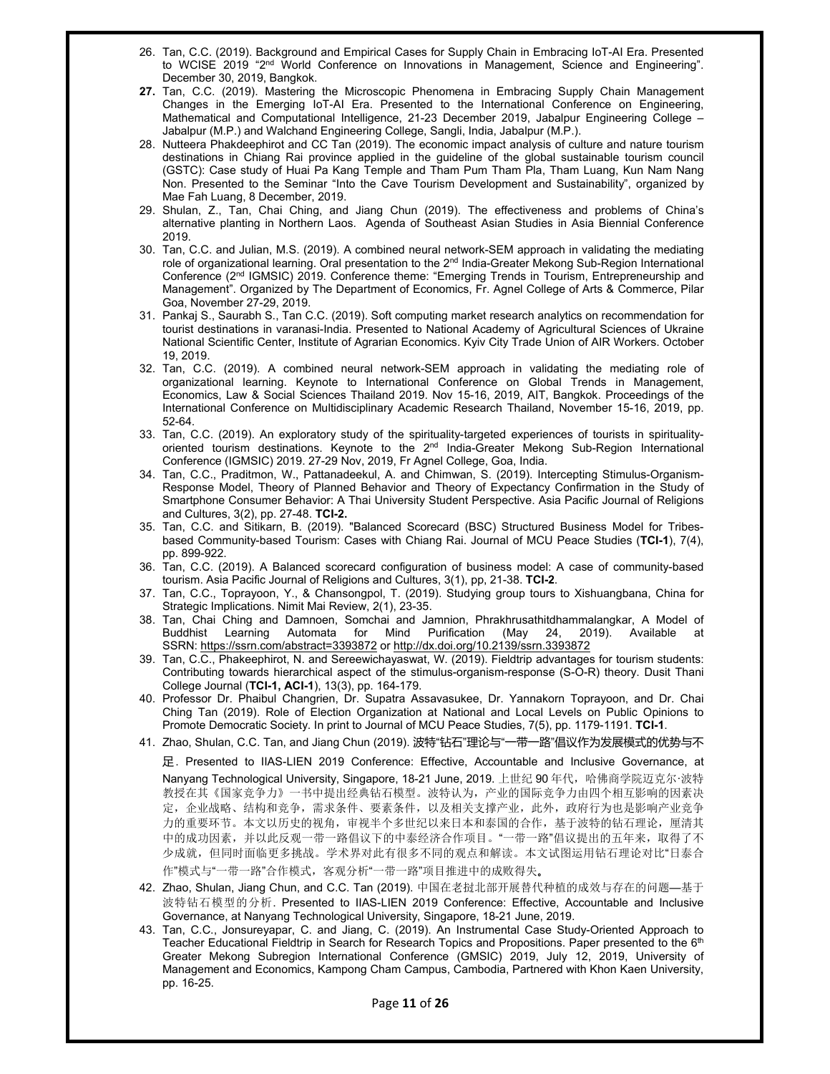- 26. Tan, C.C. (2019). Background and Empirical Cases for Supply Chain in Embracing IoT-AI Era. Presented to WCISE 2019 "2<sup>nd</sup> World Conference on Innovations in Management, Science and Engineering". December 30, 2019, Bangkok.
- **27.** Tan, C.C. (2019). Mastering the Microscopic Phenomena in Embracing Supply Chain Management Changes in the Emerging IoT-AI Era. Presented to the International Conference on Engineering, Mathematical and Computational Intelligence, 21-23 December 2019, Jabalpur Engineering College – Jabalpur (M.P.) and Walchand Engineering College, Sangli, India, Jabalpur (M.P.).
- 28. Nutteera Phakdeephirot and CC Tan (2019). The economic impact analysis of culture and nature tourism destinations in Chiang Rai province applied in the guideline of the global sustainable tourism council (GSTC): Case study of Huai Pa Kang Temple and Tham Pum Tham Pla, Tham Luang, Kun Nam Nang Non. Presented to the Seminar "Into the Cave Tourism Development and Sustainability", organized by Mae Fah Luang, 8 December, 2019.
- 29. Shulan, Z., Tan, Chai Ching, and Jiang Chun (2019). The effectiveness and problems of China's alternative planting in Northern Laos. Agenda of Southeast Asian Studies in Asia Biennial Conference 2019.
- 30. Tan, C.C. and Julian, M.S. (2019). A combined neural network-SEM approach in validating the mediating role of organizational learning. Oral presentation to the 2<sup>nd</sup> India-Greater Mekong Sub-Region International Conference (2nd IGMSIC) 2019. Conference theme: "Emerging Trends in Tourism, Entrepreneurship and Management". Organized by The Department of Economics, Fr. Agnel College of Arts & Commerce, Pilar Goa, November 27-29, 2019.
- 31. Pankaj S., Saurabh S., Tan C.C. (2019). Soft computing market research analytics on recommendation for tourist destinations in varanasi-India. Presented to National Academy of Agricultural Sciences of Ukraine National Scientific Center, Institute of Agrarian Economics. Kyiv City Trade Union of AIR Workers. October 19, 2019.
- 32. Tan, C.C. (2019). A combined neural network-SEM approach in validating the mediating role of organizational learning. Keynote to International Conference on Global Trends in Management, Economics, Law & Social Sciences Thailand 2019. Nov 15-16, 2019, AIT, Bangkok. Proceedings of the International Conference on Multidisciplinary Academic Research Thailand, November 15-16, 2019, pp. 52-64.
- 33. Tan, C.C. (2019). An exploratory study of the spirituality-targeted experiences of tourists in spiritualityoriented tourism destinations. Keynote to the 2<sup>nd</sup> India-Greater Mekong Sub-Region International Conference (IGMSIC) 2019. 27-29 Nov, 2019, Fr Agnel College, Goa, India.
- 34. Tan, C.C., Praditmon, W., Pattanadeekul, A. and Chimwan, S. (2019). Intercepting Stimulus-Organism-Response Model, Theory of Planned Behavior and Theory of Expectancy Confirmation in the Study of Smartphone Consumer Behavior: A Thai University Student Perspective. Asia Pacific Journal of Religions and Cultures, 3(2), pp. 27-48. **TCI-2.**
- 35. Tan, C.C. and Sitikarn, B. (2019). "Balanced Scorecard (BSC) Structured Business Model for Tribesbased Community-based Tourism: Cases with Chiang Rai. Journal of MCU Peace Studies (**TCI-1**), 7(4), pp. 899-922.
- 36. Tan, C.C. (2019). A Balanced scorecard configuration of business model: A case of community-based tourism. Asia Pacific Journal of Religions and Cultures, 3(1), pp, 21-38. **TCI-2**.
- 37. Tan, C.C., Toprayoon, Y., & Chansongpol, T. (2019). Studying group tours to Xishuangbana, China for Strategic Implications. Nimit Mai Review, 2(1), 23-35.
- 38. Tan, Chai Ching and Damnoen, Somchai and Jamnion, Phrakhrusathitdhammalangkar, A Model of Buddhist Learning Automata for Mind Purification (May 24, 2019). Available at SSRN: https://ssrn.com/abstract=3393872 or http://dx.doi.org/10.2139/ssrn.3393872
- 39. Tan, C.C., Phakeephirot, N. and Sereewichayaswat, W. (2019). Fieldtrip advantages for tourism students: Contributing towards hierarchical aspect of the stimulus-organism-response (S-O-R) theory. Dusit Thani College Journal (**TCI-1, ACI-1**), 13(3), pp. 164-179.
- 40. Professor Dr. Phaibul Changrien, Dr. Supatra Assavasukee, Dr. Yannakorn Toprayoon, and Dr. Chai Ching Tan (2019). Role of Election Organization at National and Local Levels on Public Opinions to Promote Democratic Society. In print to Journal of MCU Peace Studies, 7(5), pp. 1179-1191. **TCI-1**.
- 41. Zhao, Shulan, C.C. Tan, and Jiang Chun (2019). 波特"钻石"理论与"一带一路"倡议作为发展模式的优势与不

足. Presented to IIAS-LIEN 2019 Conference: Effective, Accountable and Inclusive Governance, at Nanyang Technological University, Singapore, 18-21 June, 2019. 上世纪 90 年代,哈佛商学院迈克尔·波特 教授在其《国家竞争力》一书中提出经典钻石模型。波特认为,产业的国际竞争力由四个相互影响的因素决 定,企业战略、结构和竞争,需求条件、要素条件,以及相关支撑产业,此外,政府行为也是影响产业竞争 力的重要环节。本文以历史的视角,审视半个多世纪以来日本和泰国的合作,基于波特的钻石理论,厘清其 中的成功因素,并以此反观一带一路倡议下的中泰经济合作项目。"一带一路"倡议提出的五年来,取得了不 少成就,但同时面临更多挑战。学术界对此有很多不同的观点和解读。本文试图运用钻石理论对比"日泰合 作"模式与"一带一路"合作模式,客观分析"一带一路"项目推进中的成败得失。

- 42. Zhao, Shulan, Jiang Chun, and C.C. Tan (2019). 中国在老挝北部开展替代种植的成效与存在的问题—基于 波特钻石模型的分析. Presented to IIAS-LIEN 2019 Conference: Effective, Accountable and Inclusive Governance, at Nanyang Technological University, Singapore, 18-21 June, 2019.
- 43. Tan, C.C., Jonsureyapar, C. and Jiang, C. (2019). An Instrumental Case Study-Oriented Approach to Teacher Educational Fieldtrip in Search for Research Topics and Propositions. Paper presented to the 6<sup>th</sup> Greater Mekong Subregion International Conference (GMSIC) 2019, July 12, 2019, University of Management and Economics, Kampong Cham Campus, Cambodia, Partnered with Khon Kaen University, pp. 16-25.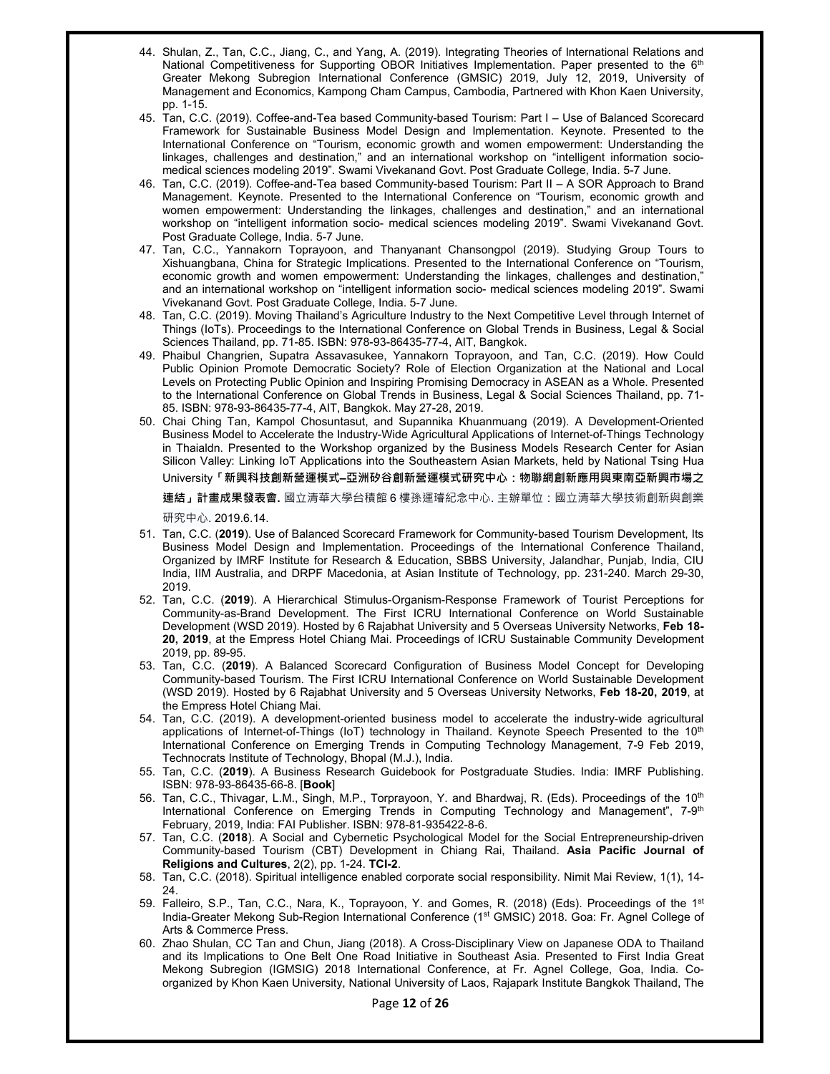- 44. Shulan, Z., Tan, C.C., Jiang, C., and Yang, A. (2019). Integrating Theories of International Relations and National Competitiveness for Supporting OBOR Initiatives Implementation. Paper presented to the 6<sup>th</sup> Greater Mekong Subregion International Conference (GMSIC) 2019, July 12, 2019, University of Management and Economics, Kampong Cham Campus, Cambodia, Partnered with Khon Kaen University, pp. 1-15.
- 45. Tan, C.C. (2019). Coffee-and-Tea based Community-based Tourism: Part I Use of Balanced Scorecard Framework for Sustainable Business Model Design and Implementation. Keynote. Presented to the International Conference on "Tourism, economic growth and women empowerment: Understanding the linkages, challenges and destination," and an international workshop on "intelligent information sociomedical sciences modeling 2019". Swami Vivekanand Govt. Post Graduate College, India. 5-7 June.
- 46. Tan, C.C. (2019). Coffee-and-Tea based Community-based Tourism: Part II A SOR Approach to Brand Management. Keynote. Presented to the International Conference on "Tourism, economic growth and women empowerment: Understanding the linkages, challenges and destination," and an international workshop on "intelligent information socio- medical sciences modeling 2019". Swami Vivekanand Govt. Post Graduate College, India. 5-7 June.
- 47. Tan, C.C., Yannakorn Toprayoon, and Thanyanant Chansongpol (2019). Studying Group Tours to Xishuangbana, China for Strategic Implications. Presented to the International Conference on "Tourism, economic growth and women empowerment: Understanding the linkages, challenges and destination," and an international workshop on "intelligent information socio- medical sciences modeling 2019". Swami Vivekanand Govt. Post Graduate College, India. 5-7 June.
- 48. Tan, C.C. (2019). Moving Thailand's Agriculture Industry to the Next Competitive Level through Internet of Things (IoTs). Proceedings to the International Conference on Global Trends in Business, Legal & Social Sciences Thailand, pp. 71-85. ISBN: 978-93-86435-77-4, AIT, Bangkok.
- 49. Phaibul Changrien, Supatra Assavasukee, Yannakorn Toprayoon, and Tan, C.C. (2019). How Could Public Opinion Promote Democratic Society? Role of Election Organization at the National and Local Levels on Protecting Public Opinion and Inspiring Promising Democracy in ASEAN as a Whole. Presented to the International Conference on Global Trends in Business, Legal & Social Sciences Thailand, pp. 71- 85. ISBN: 978-93-86435-77-4, AIT, Bangkok. May 27-28, 2019.
- 50. Chai Ching Tan, Kampol Chosuntasut, and Supannika Khuanmuang (2019). A Development-Oriented Business Model to Accelerate the Industry-Wide Agricultural Applications of Internet-of-Things Technology in Thaialdn. Presented to the Workshop organized by the Business Models Research Center for Asian Silicon Valley: Linking IoT Applications into the Southeastern Asian Markets, held by National Tsing Hua University**「新興科技創新營運模式–亞洲矽谷創新營運模式研究中心:物聯網創新應用與東南亞新興市場之**

**連結」計畫成果發表會.** 國立清華大學台積館 6 樓孫運璿紀念中心. 主辦單位:國立清華大學技術創新與創業 研究中心. 2019.6.14.

- 51. Tan, C.C. (**2019**). Use of Balanced Scorecard Framework for Community-based Tourism Development, Its Business Model Design and Implementation. Proceedings of the International Conference Thailand, Organized by IMRF Institute for Research & Education, SBBS University, Jalandhar, Punjab, India, CIU India, IIM Australia, and DRPF Macedonia, at Asian Institute of Technology, pp. 231-240. March 29-30, 2019.
- 52. Tan, C.C. (**2019**). A Hierarchical Stimulus-Organism-Response Framework of Tourist Perceptions for Community-as-Brand Development. The First ICRU International Conference on World Sustainable Development (WSD 2019). Hosted by 6 Rajabhat University and 5 Overseas University Networks, **Feb 18- 20, 2019**, at the Empress Hotel Chiang Mai. Proceedings of ICRU Sustainable Community Development 2019, pp. 89-95.
- 53. Tan, C.C. (**2019**). A Balanced Scorecard Configuration of Business Model Concept for Developing Community-based Tourism. The First ICRU International Conference on World Sustainable Development (WSD 2019). Hosted by 6 Rajabhat University and 5 Overseas University Networks, **Feb 18-20, 2019**, at the Empress Hotel Chiang Mai.
- 54. Tan, C.C. (2019). A development-oriented business model to accelerate the industry-wide agricultural applications of Internet-of-Things (IoT) technology in Thailand. Keynote Speech Presented to the 10<sup>th</sup> International Conference on Emerging Trends in Computing Technology Management, 7-9 Feb 2019, Technocrats Institute of Technology, Bhopal (M.J.), India.
- 55. Tan, C.C. (**2019**). A Business Research Guidebook for Postgraduate Studies. India: IMRF Publishing. ISBN: 978-93-86435-66-8. [**Book**]
- 56. Tan, C.C., Thivagar, L.M., Singh, M.P., Torprayoon, Y. and Bhardwaj, R. (Eds). Proceedings of the 10th International Conference on Emerging Trends in Computing Technology and Management", 7-9<sup>th</sup> February, 2019, India: FAI Publisher. ISBN: 978-81-935422-8-6.
- 57. Tan, C.C. (**2018**). A Social and Cybernetic Psychological Model for the Social Entrepreneurship-driven Community-based Tourism (CBT) Development in Chiang Rai, Thailand. **Asia Pacific Journal of Religions and Cultures**, 2(2), pp. 1-24. **TCI-2**.
- 58. Tan, C.C. (2018). Spiritual intelligence enabled corporate social responsibility. Nimit Mai Review, 1(1), 14- 24.
- 59. Falleiro, S.P., Tan, C.C., Nara, K., Toprayoon, Y. and Gomes, R. (2018) (Eds). Proceedings of the 1<sup>st</sup> India-Greater Mekong Sub-Region International Conference (1<sup>st</sup> GMSIC) 2018. Goa: Fr. Agnel College of Arts & Commerce Press.
- 60. Zhao Shulan, CC Tan and Chun, Jiang (2018). A Cross-Disciplinary View on Japanese ODA to Thailand and its Implications to One Belt One Road Initiative in Southeast Asia. Presented to First India Great Mekong Subregion (IGMSIG) 2018 International Conference, at Fr. Agnel College, Goa, India. Coorganized by Khon Kaen University, National University of Laos, Rajapark Institute Bangkok Thailand, The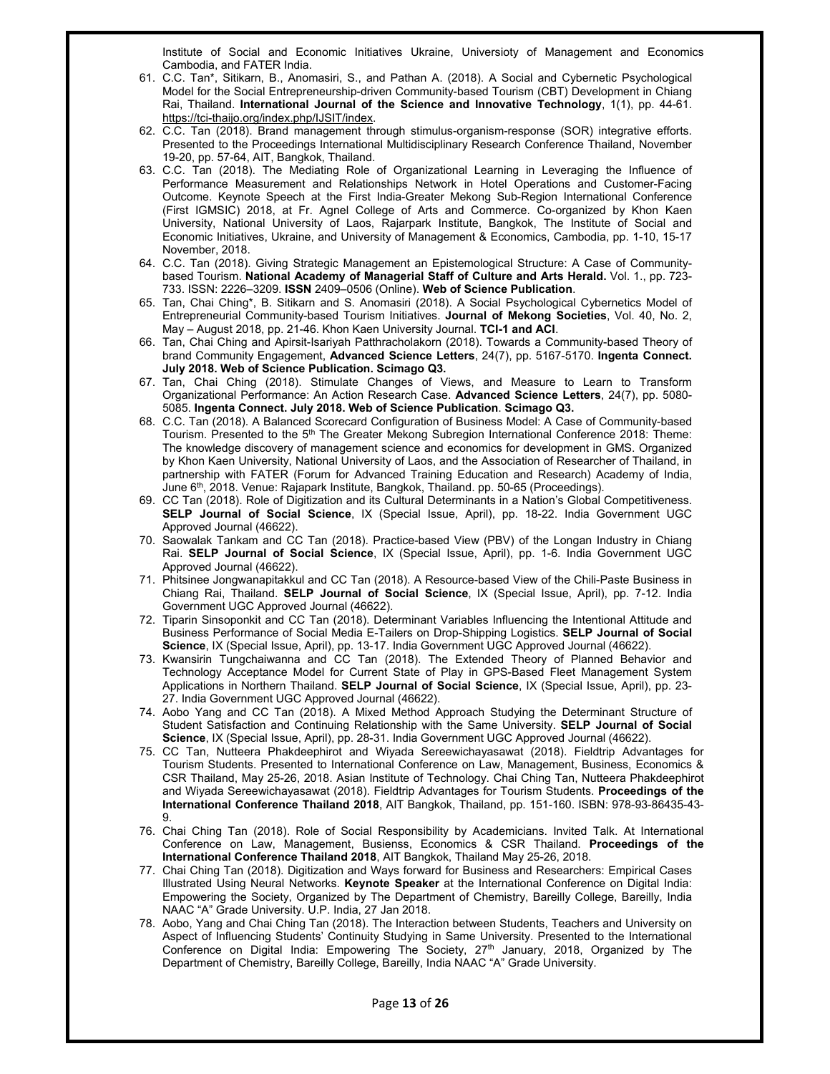Institute of Social and Economic Initiatives Ukraine, Universioty of Management and Economics Cambodia, and FATER India.

- 61. C.C. Tan\*, Sitikarn, B., Anomasiri, S., and Pathan A. (2018). A Social and Cybernetic Psychological Model for the Social Entrepreneurship-driven Community-based Tourism (CBT) Development in Chiang Rai, Thailand. **International Journal of the Science and Innovative Technology**, 1(1), pp. 44-61. https://tci-thaijo.org/index.php/IJSIT/index.
- 62. C.C. Tan (2018). Brand management through stimulus-organism-response (SOR) integrative efforts. Presented to the Proceedings International Multidisciplinary Research Conference Thailand, November 19-20, pp. 57-64, AIT, Bangkok, Thailand.
- 63. C.C. Tan (2018). The Mediating Role of Organizational Learning in Leveraging the Influence of Performance Measurement and Relationships Network in Hotel Operations and Customer-Facing Outcome. Keynote Speech at the First India-Greater Mekong Sub-Region International Conference (First IGMSIC) 2018, at Fr. Agnel College of Arts and Commerce. Co-organized by Khon Kaen University, National University of Laos, Rajarpark Institute, Bangkok, The Institute of Social and Economic Initiatives, Ukraine, and University of Management & Economics, Cambodia, pp. 1-10, 15-17 November, 2018.
- 64. C.C. Tan (2018). Giving Strategic Management an Epistemological Structure: A Case of Communitybased Tourism. **National Academy of Managerial Staff of Culture and Arts Herald.** Vol. 1., pp. 723- 733. ISSN: 2226–3209. **ІSSN** 2409–0506 (Online). **Web of Science Publication**.
- 65. Tan, Chai Ching\*, B. Sitikarn and S. Anomasiri (2018). A Social Psychological Cybernetics Model of Entrepreneurial Community-based Tourism Initiatives. **Journal of Mekong Societies**, Vol. 40, No. 2, May – August 2018, pp. 21-46. Khon Kaen University Journal. **TCI-1 and ACI**.
- 66. Tan, Chai Ching and Apirsit-Isariyah Patthracholakorn (2018). Towards a Community-based Theory of brand Community Engagement, **Advanced Science Letters**, 24(7), pp. 5167-5170. **Ingenta Connect. July 2018. Web of Science Publication. Scimago Q3.**
- 67. Tan, Chai Ching (2018). Stimulate Changes of Views, and Measure to Learn to Transform Organizational Performance: An Action Research Case. **Advanced Science Letters**, 24(7), pp. 5080- 5085. **Ingenta Connect. July 2018. Web of Science Publication**. **Scimago Q3.**
- 68. C.C. Tan (2018). A Balanced Scorecard Configuration of Business Model: A Case of Community-based Tourism. Presented to the 5<sup>th</sup> The Greater Mekong Subregion International Conference 2018: Theme: The knowledge discovery of management science and economics for development in GMS. Organized by Khon Kaen University, National University of Laos, and the Association of Researcher of Thailand, in partnership with FATER (Forum for Advanced Training Education and Research) Academy of India, June 6th, 2018. Venue: Rajapark Institute, Bangkok, Thailand. pp. 50-65 (Proceedings).
- 69. CC Tan (2018). Role of Digitization and its Cultural Determinants in a Nation's Global Competitiveness. **SELP Journal of Social Science**, IX (Special Issue, April), pp. 18-22. India Government UGC Approved Journal (46622).
- 70. Saowalak Tankam and CC Tan (2018). Practice-based View (PBV) of the Longan Industry in Chiang Rai. **SELP Journal of Social Science**, IX (Special Issue, April), pp. 1-6. India Government UGC Approved Journal (46622).
- 71. Phitsinee Jongwanapitakkul and CC Tan (2018). A Resource-based View of the Chili-Paste Business in Chiang Rai, Thailand. **SELP Journal of Social Science**, IX (Special Issue, April), pp. 7-12. India Government UGC Approved Journal (46622).
- 72. Tiparin Sinsoponkit and CC Tan (2018). Determinant Variables Influencing the Intentional Attitude and Business Performance of Social Media E-Tailers on Drop-Shipping Logistics. **SELP Journal of Social Science**, IX (Special Issue, April), pp. 13-17. India Government UGC Approved Journal (46622).
- 73. Kwansirin Tungchaiwanna and CC Tan (2018). The Extended Theory of Planned Behavior and Technology Acceptance Model for Current State of Play in GPS-Based Fleet Management System Applications in Northern Thailand. **SELP Journal of Social Science**, IX (Special Issue, April), pp. 23- 27. India Government UGC Approved Journal (46622).
- 74. Aobo Yang and CC Tan (2018). A Mixed Method Approach Studying the Determinant Structure of Student Satisfaction and Continuing Relationship with the Same University. **SELP Journal of Social Science**, IX (Special Issue, April), pp. 28-31. India Government UGC Approved Journal (46622).
- 75. CC Tan, Nutteera Phakdeephirot and Wiyada Sereewichayasawat (2018). Fieldtrip Advantages for Tourism Students. Presented to International Conference on Law, Management, Business, Economics & CSR Thailand, May 25-26, 2018. Asian Institute of Technology. Chai Ching Tan, Nutteera Phakdeephirot and Wiyada Sereewichayasawat (2018). Fieldtrip Advantages for Tourism Students. **Proceedings of the International Conference Thailand 2018**, AIT Bangkok, Thailand, pp. 151-160. ISBN: 978-93-86435-43- 9.
- 76. Chai Ching Tan (2018). Role of Social Responsibility by Academicians. Invited Talk. At International Conference on Law, Management, Busienss, Economics & CSR Thailand. **Proceedings of the International Conference Thailand 2018**, AIT Bangkok, Thailand May 25-26, 2018.
- 77. Chai Ching Tan (2018). Digitization and Ways forward for Business and Researchers: Empirical Cases Illustrated Using Neural Networks. **Keynote Speaker** at the International Conference on Digital India: Empowering the Society, Organized by The Department of Chemistry, Bareilly College, Bareilly, India NAAC "A" Grade University. U.P. India, 27 Jan 2018.
- 78. Aobo, Yang and Chai Ching Tan (2018). The Interaction between Students, Teachers and University on Aspect of Influencing Students' Continuity Studying in Same University. Presented to the International Conference on Digital India: Empowering The Society, 27<sup>th</sup> January, 2018, Organized by The Department of Chemistry, Bareilly College, Bareilly, India NAAC "A" Grade University.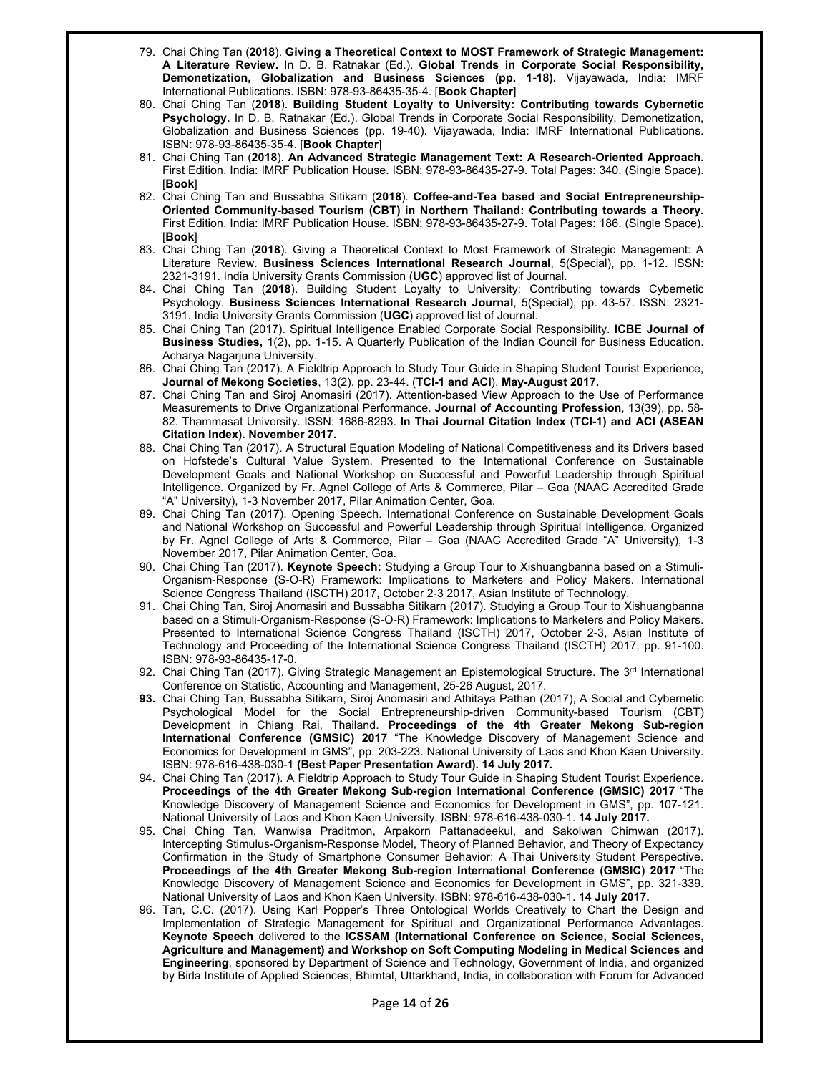- 79. Chai Ching Tan (**2018**). **Giving a Theoretical Context to MOST Framework of Strategic Management: A Literature Review.** In D. B. Ratnakar (Ed.). **Global Trends in Corporate Social Responsibility, Demonetization, Globalization and Business Sciences (pp. 1-18).** Vijayawada, India: IMRF International Publications. ISBN: 978-93-86435-35-4. [**Book Chapter**]
- 80. Chai Ching Tan (**2018**). **Building Student Loyalty to University: Contributing towards Cybernetic Psychology.** In D. B. Ratnakar (Ed.). Global Trends in Corporate Social Responsibility, Demonetization, Globalization and Business Sciences (pp. 19-40). Vijayawada, India: IMRF International Publications. ISBN: 978-93-86435-35-4. [**Book Chapter**]
- 81. Chai Ching Tan (**2018**). **An Advanced Strategic Management Text: A Research-Oriented Approach.**  First Edition. India: IMRF Publication House. ISBN: 978-93-86435-27-9. Total Pages: 340. (Single Space). [**Book**]
- 82. Chai Ching Tan and Bussabha Sitikarn (**2018**). **Coffee-and-Tea based and Social Entrepreneurship-Oriented Community-based Tourism (CBT) in Northern Thailand: Contributing towards a Theory.** First Edition. India: IMRF Publication House. ISBN: 978-93-86435-27-9. Total Pages: 186. (Single Space). [**Book**]
- 83. Chai Ching Tan (**2018**). Giving a Theoretical Context to Most Framework of Strategic Management: A Literature Review. **Business Sciences International Research Journal**, 5(Special), pp. 1-12. ISSN: 2321-3191. India University Grants Commission (**UGC**) approved list of Journal.
- 84. Chai Ching Tan (**2018**). Building Student Loyalty to University: Contributing towards Cybernetic Psychology. **Business Sciences International Research Journal**, 5(Special), pp. 43-57. ISSN: 2321- 3191. India University Grants Commission (**UGC**) approved list of Journal.
- 85. Chai Ching Tan (2017). Spiritual Intelligence Enabled Corporate Social Responsibility. **ICBE Journal of Business Studies,** 1(2), pp. 1-15. A Quarterly Publication of the Indian Council for Business Education. Acharya Nagarjuna University.
- 86. Chai Ching Tan (2017). A Fieldtrip Approach to Study Tour Guide in Shaping Student Tourist Experience, **Journal of Mekong Societies**, 13(2), pp. 23-44. (**TCI-1 and ACI**). **May-August 2017.**
- 87. Chai Ching Tan and Siroj Anomasiri (2017). Attention-based View Approach to the Use of Performance Measurements to Drive Organizational Performance. **Journal of Accounting Profession**, 13(39), pp. 58- 82. Thammasat University. ISSN: 1686-8293. **In Thai Journal Citation Index (TCI-1) and ACI (ASEAN Citation Index). November 2017.**
- 88. Chai Ching Tan (2017). A Structural Equation Modeling of National Competitiveness and its Drivers based on Hofstede's Cultural Value System. Presented to the International Conference on Sustainable Development Goals and National Workshop on Successful and Powerful Leadership through Spiritual Intelligence. Organized by Fr. Agnel College of Arts & Commerce, Pilar – Goa (NAAC Accredited Grade "A" University), 1-3 November 2017, Pilar Animation Center, Goa.
- 89. Chai Ching Tan (2017). Opening Speech. International Conference on Sustainable Development Goals and National Workshop on Successful and Powerful Leadership through Spiritual Intelligence. Organized by Fr. Agnel College of Arts & Commerce, Pilar – Goa (NAAC Accredited Grade "A" University), 1-3 November 2017, Pilar Animation Center, Goa.
- 90. Chai Ching Tan (2017). **Keynote Speech:** Studying a Group Tour to Xishuangbanna based on a Stimuli-Organism-Response (S-O-R) Framework: Implications to Marketers and Policy Makers. International Science Congress Thailand (ISCTH) 2017, October 2-3 2017, Asian Institute of Technology.
- 91. Chai Ching Tan, Siroj Anomasiri and Bussabha Sitikarn (2017). Studying a Group Tour to Xishuangbanna based on a Stimuli-Organism-Response (S-O-R) Framework: Implications to Marketers and Policy Makers. Presented to International Science Congress Thailand (ISCTH) 2017, October 2-3, Asian Institute of Technology and Proceeding of the International Science Congress Thailand (ISCTH) 2017, pp. 91-100. ISBN: 978-93-86435-17-0.
- 92. Chai Ching Tan (2017). Giving Strategic Management an Epistemological Structure. The 3<sup>rd</sup> International Conference on Statistic, Accounting and Management, 25-26 August, 2017.
- **93.** Chai Ching Tan, Bussabha Sitikarn, Siroj Anomasiri and Athitaya Pathan (2017), A Social and Cybernetic Psychological Model for the Social Entrepreneurship-driven Community-based Tourism (CBT) Development in Chiang Rai, Thailand. **Proceedings of the 4th Greater Mekong Sub-region International Conference (GMSIC) 2017** "The Knowledge Discovery of Management Science and Economics for Development in GMS", pp. 203-223. National University of Laos and Khon Kaen University. ISBN: 978-616-438-030-1 **(Best Paper Presentation Award). 14 July 2017.**
- 94. Chai Ching Tan (2017). A Fieldtrip Approach to Study Tour Guide in Shaping Student Tourist Experience. **Proceedings of the 4th Greater Mekong Sub-region International Conference (GMSIC) 2017** "The Knowledge Discovery of Management Science and Economics for Development in GMS", pp. 107-121. National University of Laos and Khon Kaen University. ISBN: 978-616-438-030-1. **14 July 2017.**
- 95. Chai Ching Tan, Wanwisa Praditmon, Arpakorn Pattanadeekul, and Sakolwan Chimwan (2017). Intercepting Stimulus-Organism-Response Model, Theory of Planned Behavior, and Theory of Expectancy Confirmation in the Study of Smartphone Consumer Behavior: A Thai University Student Perspective. **Proceedings of the 4th Greater Mekong Sub-region International Conference (GMSIC) 2017** "The Knowledge Discovery of Management Science and Economics for Development in GMS", pp. 321-339. National University of Laos and Khon Kaen University. ISBN: 978-616-438-030-1. **14 July 2017.**
- 96. Tan, C.C. (2017). Using Karl Popper's Three Ontological Worlds Creatively to Chart the Design and Implementation of Strategic Management for Spiritual and Organizational Performance Advantages. **Keynote Speech** delivered to the **ICSSAM (International Conference on Science, Social Sciences, Agriculture and Management) and Workshop on Soft Computing Modeling in Medical Sciences and Engineering**, sponsored by Department of Science and Technology, Government of India, and organized by Birla Institute of Applied Sciences, Bhimtal, Uttarkhand, India, in collaboration with Forum for Advanced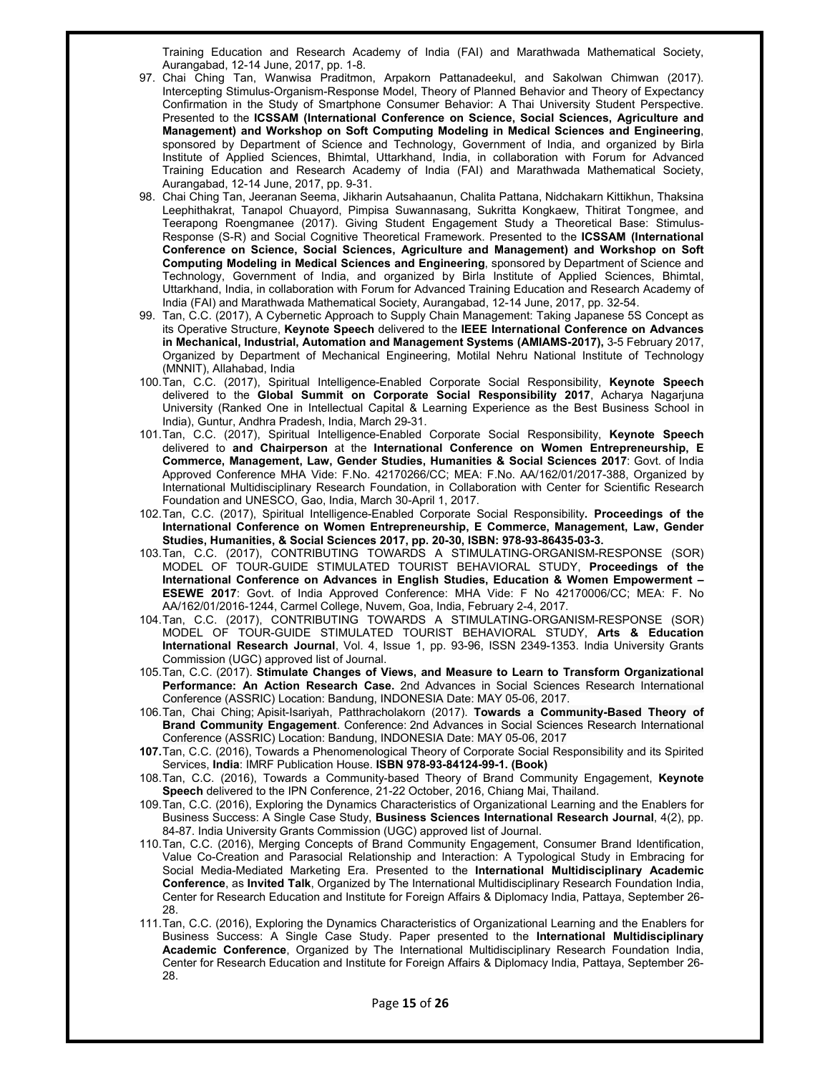Training Education and Research Academy of India (FAI) and Marathwada Mathematical Society, Aurangabad, 12-14 June, 2017, pp. 1-8.

- 97. Chai Ching Tan, Wanwisa Praditmon, Arpakorn Pattanadeekul, and Sakolwan Chimwan (2017). Intercepting Stimulus-Organism-Response Model, Theory of Planned Behavior and Theory of Expectancy Confirmation in the Study of Smartphone Consumer Behavior: A Thai University Student Perspective. Presented to the **ICSSAM (International Conference on Science, Social Sciences, Agriculture and Management) and Workshop on Soft Computing Modeling in Medical Sciences and Engineering**, sponsored by Department of Science and Technology, Government of India, and organized by Birla Institute of Applied Sciences, Bhimtal, Uttarkhand, India, in collaboration with Forum for Advanced Training Education and Research Academy of India (FAI) and Marathwada Mathematical Society, Aurangabad, 12-14 June, 2017, pp. 9-31.
- 98. Chai Ching Tan, Jeeranan Seema, Jikharin Autsahaanun, Chalita Pattana, Nidchakarn Kittikhun, Thaksina Leephithakrat, Tanapol Chuayord, Pimpisa Suwannasang, Sukritta Kongkaew, Thitirat Tongmee, and Teerapong Roengmanee (2017). Giving Student Engagement Study a Theoretical Base: Stimulus-Response (S-R) and Social Cognitive Theoretical Framework. Presented to the **ICSSAM (International Conference on Science, Social Sciences, Agriculture and Management) and Workshop on Soft Computing Modeling in Medical Sciences and Engineering**, sponsored by Department of Science and Technology, Government of India, and organized by Birla Institute of Applied Sciences, Bhimtal, Uttarkhand, India, in collaboration with Forum for Advanced Training Education and Research Academy of India (FAI) and Marathwada Mathematical Society, Aurangabad, 12-14 June, 2017, pp. 32-54.
- 99. Tan, C.C. (2017), A Cybernetic Approach to Supply Chain Management: Taking Japanese 5S Concept as its Operative Structure, **Keynote Speech** delivered to the **IEEE International Conference on Advances in Mechanical, Industrial, Automation and Management Systems (AMIAMS-2017),** 3-5 February 2017, Organized by Department of Mechanical Engineering, Motilal Nehru National Institute of Technology (MNNIT), Allahabad, India
- 100. Tan, C.C. (2017), Spiritual Intelligence-Enabled Corporate Social Responsibility, **Keynote Speech**  delivered to the **Global Summit on Corporate Social Responsibility 2017**, Acharya Nagarjuna University (Ranked One in Intellectual Capital & Learning Experience as the Best Business School in India), Guntur, Andhra Pradesh, India, March 29-31.
- 101. Tan, C.C. (2017), Spiritual Intelligence-Enabled Corporate Social Responsibility, **Keynote Speech**  delivered to **and Chairperson** at the **International Conference on Women Entrepreneurship, E Commerce, Management, Law, Gender Studies, Humanities & Social Sciences 2017**: Govt. of India Approved Conference MHA Vide: F.No. 42170266/CC; MEA: F.No. AA/162/01/2017-388, Organized by International Multidisciplinary Research Foundation, in Collaboration with Center for Scientific Research Foundation and UNESCO, Gao, India, March 30-April 1, 2017.
- 102. Tan, C.C. (2017), Spiritual Intelligence-Enabled Corporate Social Responsibility**. Proceedings of the International Conference on Women Entrepreneurship, E Commerce, Management, Law, Gender Studies, Humanities, & Social Sciences 2017, pp. 20-30, ISBN: 978-93-86435-03-3.**
- 103. Tan, C.C. (2017), CONTRIBUTING TOWARDS A STIMULATING-ORGANISM-RESPONSE (SOR) MODEL OF TOUR-GUIDE STIMULATED TOURIST BEHAVIORAL STUDY, **Proceedings of the International Conference on Advances in English Studies, Education & Women Empowerment – ESEWE 2017**: Govt. of India Approved Conference: MHA Vide: F No 42170006/CC; MEA: F. No AA/162/01/2016-1244, Carmel College, Nuvem, Goa, India, February 2-4, 2017.
- 104. Tan, C.C. (2017), CONTRIBUTING TOWARDS A STIMULATING-ORGANISM-RESPONSE (SOR) MODEL OF TOUR-GUIDE STIMULATED TOURIST BEHAVIORAL STUDY, **Arts & Education International Research Journal**, Vol. 4, Issue 1, pp. 93-96, ISSN 2349-1353. India University Grants Commission (UGC) approved list of Journal.
- 105. Tan, C.C. (2017). **Stimulate Changes of Views, and Measure to Learn to Transform Organizational Performance: An Action Research Case.** 2nd Advances in Social Sciences Research International Conference (ASSRIC) Location: Bandung, INDONESIA Date: MAY 05-06, 2017.
- 106. Tan, Chai Ching; Apisit-Isariyah, Patthracholakorn (2017). **Towards a Community-Based Theory of Brand Community Engagement**. Conference: 2nd Advances in Social Sciences Research International Conference (ASSRIC) Location: Bandung, INDONESIA Date: MAY 05-06, 2017
- **107.** Tan, C.C. (2016), Towards a Phenomenological Theory of Corporate Social Responsibility and its Spirited Services, **India**: IMRF Publication House. **ISBN 978-93-84124-99-1. (Book)**
- 108. Tan, C.C. (2016), Towards a Community-based Theory of Brand Community Engagement, **Keynote Speech** delivered to the IPN Conference, 21-22 October, 2016, Chiang Mai, Thailand.
- 109. Tan, C.C. (2016), Exploring the Dynamics Characteristics of Organizational Learning and the Enablers for Business Success: A Single Case Study, **Business Sciences International Research Journal**, 4(2), pp. 84-87. India University Grants Commission (UGC) approved list of Journal.
- 110. Tan, C.C. (2016), Merging Concepts of Brand Community Engagement, Consumer Brand Identification, Value Co-Creation and Parasocial Relationship and Interaction: A Typological Study in Embracing for Social Media-Mediated Marketing Era. Presented to the **International Multidisciplinary Academic Conference**, as **Invited Talk**, Organized by The International Multidisciplinary Research Foundation India, Center for Research Education and Institute for Foreign Affairs & Diplomacy India, Pattaya, September 26- 28.
- 111. Tan, C.C. (2016), Exploring the Dynamics Characteristics of Organizational Learning and the Enablers for Business Success: A Single Case Study. Paper presented to the **International Multidisciplinary Academic Conference**, Organized by The International Multidisciplinary Research Foundation India, Center for Research Education and Institute for Foreign Affairs & Diplomacy India, Pattaya, September 26- 28.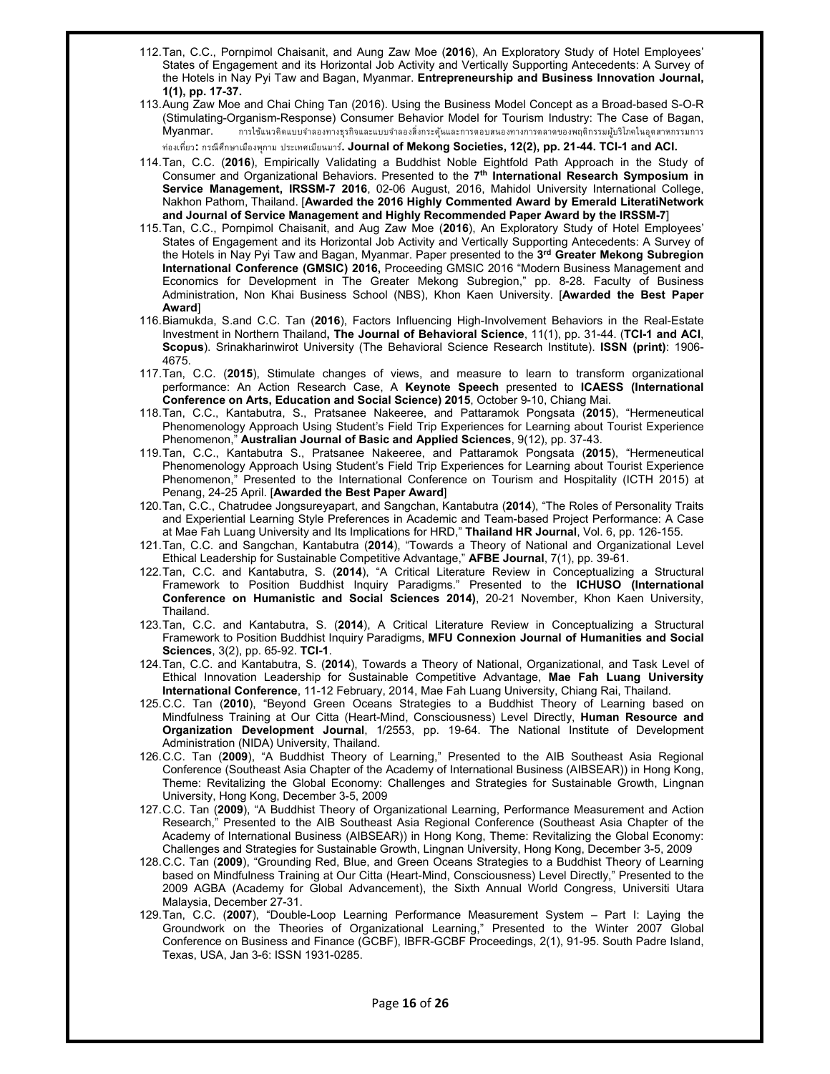- 112. Tan, C.C., Pornpimol Chaisanit, and Aung Zaw Moe (**2016**), An Exploratory Study of Hotel Employees' States of Engagement and its Horizontal Job Activity and Vertically Supporting Antecedents: A Survey of the Hotels in Nay Pyi Taw and Bagan, Myanmar. **Entrepreneurship and Business Innovation Journal, 1(1), pp. 17-37.**
- 113. Aung Zaw Moe and Chai Ching Tan (2016). Using the Business Model Concept as a Broad-based S-O-R (Stimulating-Organism-Response) Consumer Behavior Model for Tourism Industry: The Case of Bagan,  ${\sf Myanmar.}$  การใช้แนวคิดแบบจำลองทางธุรกิจและแบบจำลองสิ่งกระตุ้นและการตอบสนองทางการตลาดของพฤติกรรมผู้บริโภคในอุตสาหกรรมการ ท่องเที่ยว**:** กรณีศึกษาเมืองพกาม ุ ประเทศเมียนมาร**. Journal of Mekong Societies, 12(2), pp. 21-44. TCI-1 and ACI.** ์
- 114. Tan, C.C. (**2016**), Empirically Validating a Buddhist Noble Eightfold Path Approach in the Study of Consumer and Organizational Behaviors. Presented to the **7th International Research Symposium in Service Management, IRSSM-7 2016**, 02-06 August, 2016, Mahidol University International College, Nakhon Pathom, Thailand. [**Awarded the 2016 Highly Commented Award by Emerald LiteratiNetwork and Journal of Service Management and Highly Recommended Paper Award by the IRSSM-7**]
- 115. Tan, C.C., Pornpimol Chaisanit, and Aug Zaw Moe (**2016**), An Exploratory Study of Hotel Employees' States of Engagement and its Horizontal Job Activity and Vertically Supporting Antecedents: A Survey of the Hotels in Nay Pyi Taw and Bagan, Myanmar. Paper presented to the **3rd Greater Mekong Subregion International Conference (GMSIC) 2016,** Proceeding GMSIC 2016 "Modern Business Management and Economics for Development in The Greater Mekong Subregion," pp. 8-28. Faculty of Business Administration, Non Khai Business School (NBS), Khon Kaen University. [**Awarded the Best Paper Award**]
- 116. Biamukda, S.and C.C. Tan (**2016**), Factors Influencing High-Involvement Behaviors in the Real-Estate Investment in Northern Thailand**, The Journal of Behavioral Science**, 11(1), pp. 31-44. (**TCI-1 and ACI**, **Scopus**). Srinakharinwirot University (The Behavioral Science Research Institute). **ISSN (print)**: 1906- 4675.
- 117. Tan, C.C. (**2015**), Stimulate changes of views, and measure to learn to transform organizational performance: An Action Research Case, A **Keynote Speech** presented to **ICAESS (International Conference on Arts, Education and Social Science) 2015**, October 9-10, Chiang Mai.
- 118. Tan, C.C., Kantabutra, S., Pratsanee Nakeeree, and Pattaramok Pongsata (**2015**), "Hermeneutical Phenomenology Approach Using Student's Field Trip Experiences for Learning about Tourist Experience Phenomenon," **Australian Journal of Basic and Applied Sciences**, 9(12), pp. 37-43.
- 119. Tan, C.C., Kantabutra S., Pratsanee Nakeeree, and Pattaramok Pongsata (**2015**), "Hermeneutical Phenomenology Approach Using Student's Field Trip Experiences for Learning about Tourist Experience Phenomenon," Presented to the International Conference on Tourism and Hospitality (ICTH 2015) at Penang, 24-25 April. [**Awarded the Best Paper Award**]
- 120. Tan, C.C., Chatrudee Jongsureyapart, and Sangchan, Kantabutra (**2014**), "The Roles of Personality Traits and Experiential Learning Style Preferences in Academic and Team-based Project Performance: A Case at Mae Fah Luang University and Its Implications for HRD," **Thailand HR Journal**, Vol. 6, pp. 126-155.
- 121. Tan, C.C. and Sangchan, Kantabutra (**2014**), "Towards a Theory of National and Organizational Level Ethical Leadership for Sustainable Competitive Advantage," **AFBE Journal**, 7(1), pp. 39-61.
- 122. Tan, C.C. and Kantabutra, S. (**2014**), "A Critical Literature Review in Conceptualizing a Structural Framework to Position Buddhist Inquiry Paradigms." Presented to the **ICHUSO (International Conference on Humanistic and Social Sciences 2014)**, 20-21 November, Khon Kaen University, Thailand.
- 123. Tan, C.C. and Kantabutra, S. (**2014**), A Critical Literature Review in Conceptualizing a Structural Framework to Position Buddhist Inquiry Paradigms, **MFU Connexion Journal of Humanities and Social Sciences**, 3(2), pp. 65-92. **TCI-1**.
- 124. Tan, C.C. and Kantabutra, S. (**2014**), Towards a Theory of National, Organizational, and Task Level of Ethical Innovation Leadership for Sustainable Competitive Advantage, **Mae Fah Luang University International Conference**, 11-12 February, 2014, Mae Fah Luang University, Chiang Rai, Thailand.
- 125. C.C. Tan (**2010**), "Beyond Green Oceans Strategies to a Buddhist Theory of Learning based on Mindfulness Training at Our Citta (Heart-Mind, Consciousness) Level Directly, **Human Resource and Organization Development Journal**, 1/2553, pp. 19-64. The National Institute of Development Administration (NIDA) University, Thailand.
- 126. C.C. Tan (**2009**), "A Buddhist Theory of Learning," Presented to the AIB Southeast Asia Regional Conference (Southeast Asia Chapter of the Academy of International Business (AIBSEAR)) in Hong Kong, Theme: Revitalizing the Global Economy: Challenges and Strategies for Sustainable Growth, Lingnan University, Hong Kong, December 3-5, 2009
- 127. C.C. Tan (**2009**), "A Buddhist Theory of Organizational Learning, Performance Measurement and Action Research," Presented to the AIB Southeast Asia Regional Conference (Southeast Asia Chapter of the Academy of International Business (AIBSEAR)) in Hong Kong, Theme: Revitalizing the Global Economy: Challenges and Strategies for Sustainable Growth, Lingnan University, Hong Kong, December 3-5, 2009
- 128. C.C. Tan (**2009**), "Grounding Red, Blue, and Green Oceans Strategies to a Buddhist Theory of Learning based on Mindfulness Training at Our Citta (Heart-Mind, Consciousness) Level Directly," Presented to the 2009 AGBA (Academy for Global Advancement), the Sixth Annual World Congress, Universiti Utara Malaysia, December 27-31.
- 129. Tan, C.C. (**2007**), "Double-Loop Learning Performance Measurement System Part I: Laying the Groundwork on the Theories of Organizational Learning," Presented to the Winter 2007 Global Conference on Business and Finance (GCBF), IBFR-GCBF Proceedings, 2(1), 91-95. South Padre Island, Texas, USA, Jan 3-6: ISSN 1931-0285.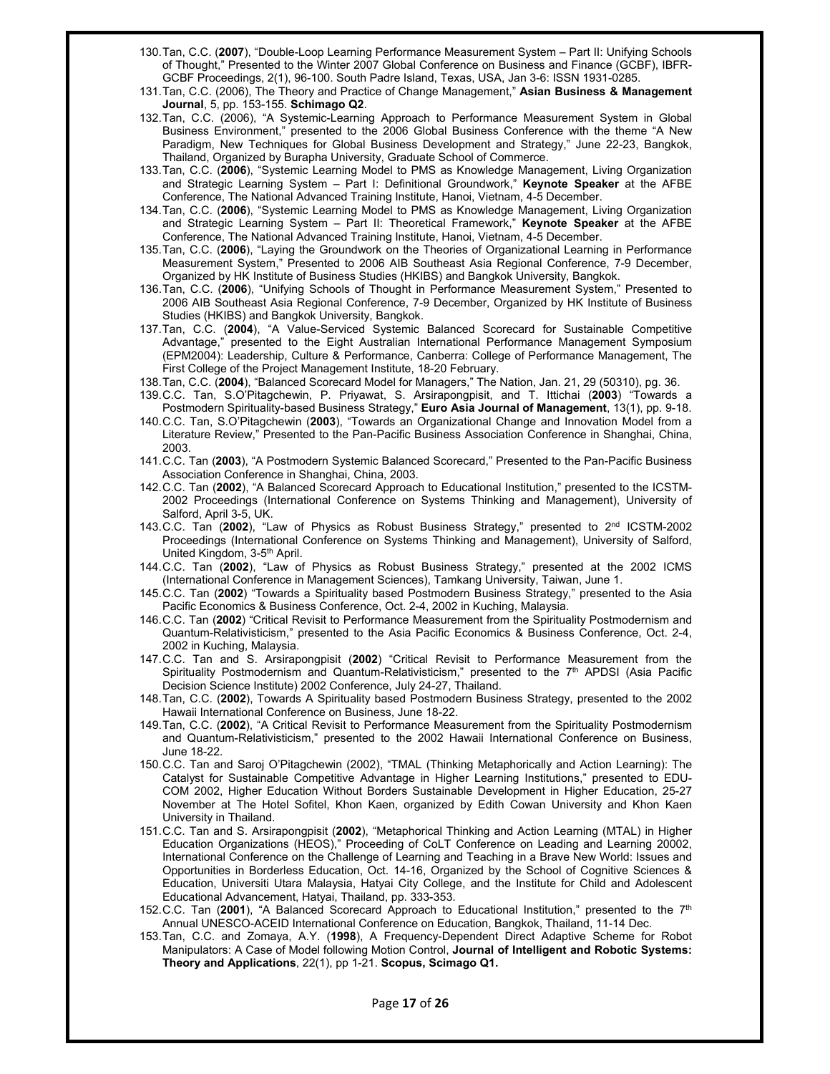- 130. Tan, C.C. (**2007**), "Double-Loop Learning Performance Measurement System Part II: Unifying Schools of Thought," Presented to the Winter 2007 Global Conference on Business and Finance (GCBF), IBFR-GCBF Proceedings, 2(1), 96-100. South Padre Island, Texas, USA, Jan 3-6: ISSN 1931-0285.
- 131. Tan, C.C. (2006), The Theory and Practice of Change Management," **Asian Business & Management Journal**, 5, pp. 153-155. **Schimago Q2**.
- 132. Tan, C.C. (2006), "A Systemic-Learning Approach to Performance Measurement System in Global Business Environment," presented to the 2006 Global Business Conference with the theme "A New Paradigm, New Techniques for Global Business Development and Strategy," June 22-23, Bangkok, Thailand, Organized by Burapha University, Graduate School of Commerce.
- 133. Tan, C.C. (**2006**), "Systemic Learning Model to PMS as Knowledge Management, Living Organization and Strategic Learning System – Part I: Definitional Groundwork," **Keynote Speaker** at the AFBE Conference, The National Advanced Training Institute, Hanoi, Vietnam, 4-5 December.
- 134. Tan, C.C. (**2006**), "Systemic Learning Model to PMS as Knowledge Management, Living Organization and Strategic Learning System – Part II: Theoretical Framework," **Keynote Speaker** at the AFBE Conference, The National Advanced Training Institute, Hanoi, Vietnam, 4-5 December.
- 135. Tan, C.C. (**2006**), "Laying the Groundwork on the Theories of Organizational Learning in Performance Measurement System," Presented to 2006 AIB Southeast Asia Regional Conference, 7-9 December, Organized by HK Institute of Business Studies (HKIBS) and Bangkok University, Bangkok.
- 136. Tan, C.C. (**2006**), "Unifying Schools of Thought in Performance Measurement System," Presented to 2006 AIB Southeast Asia Regional Conference, 7-9 December, Organized by HK Institute of Business Studies (HKIBS) and Bangkok University, Bangkok.
- 137. Tan, C.C. (**2004**), "A Value-Serviced Systemic Balanced Scorecard for Sustainable Competitive Advantage," presented to the Eight Australian International Performance Management Symposium (EPM2004): Leadership, Culture & Performance, Canberra: College of Performance Management, The First College of the Project Management Institute, 18-20 February.
- 138. Tan, C.C. (**2004**), "Balanced Scorecard Model for Managers," The Nation, Jan. 21, 29 (50310), pg. 36.
- 139. C.C. Tan, S.O'Pitagchewin, P. Priyawat, S. Arsirapongpisit, and T. Ittichai (**2003**) "Towards a Postmodern Spirituality-based Business Strategy," **Euro Asia Journal of Management**, 13(1), pp. 9-18.
- 140. C.C. Tan, S.O'Pitagchewin (**2003**), "Towards an Organizational Change and Innovation Model from a Literature Review," Presented to the Pan-Pacific Business Association Conference in Shanghai, China, 2003.
- 141. C.C. Tan (**2003**), "A Postmodern Systemic Balanced Scorecard," Presented to the Pan-Pacific Business Association Conference in Shanghai, China, 2003.
- 142. C.C. Tan (**2002**), "A Balanced Scorecard Approach to Educational Institution," presented to the ICSTM-2002 Proceedings (International Conference on Systems Thinking and Management), University of Salford, April 3-5, UK.
- 143. C.C. Tan (**2002**), "Law of Physics as Robust Business Strategy," presented to 2nd ICSTM-2002 Proceedings (International Conference on Systems Thinking and Management), University of Salford, United Kingdom, 3-5<sup>th</sup> April.
- 144. C.C. Tan (**2002**), "Law of Physics as Robust Business Strategy," presented at the 2002 ICMS (International Conference in Management Sciences), Tamkang University, Taiwan, June 1.
- 145. C.C. Tan (**2002**) "Towards a Spirituality based Postmodern Business Strategy," presented to the Asia Pacific Economics & Business Conference, Oct. 2-4, 2002 in Kuching, Malaysia.
- 146. C.C. Tan (**2002**) "Critical Revisit to Performance Measurement from the Spirituality Postmodernism and Quantum-Relativisticism," presented to the Asia Pacific Economics & Business Conference, Oct. 2-4, 2002 in Kuching, Malaysia.
- 147. C.C. Tan and S. Arsirapongpisit (**2002**) "Critical Revisit to Performance Measurement from the Spirituality Postmodernism and Quantum-Relativisticism," presented to the 7<sup>th</sup> APDSI (Asia Pacific Decision Science Institute) 2002 Conference, July 24-27, Thailand.
- 148. Tan, C.C. (**2002**), Towards A Spirituality based Postmodern Business Strategy, presented to the 2002 Hawaii International Conference on Business, June 18-22.
- 149. Tan, C.C. (**2002**), "A Critical Revisit to Performance Measurement from the Spirituality Postmodernism and Quantum-Relativisticism," presented to the 2002 Hawaii International Conference on Business, June 18-22.
- 150. C.C. Tan and Saroj O'Pitagchewin (2002), "TMAL (Thinking Metaphorically and Action Learning): The Catalyst for Sustainable Competitive Advantage in Higher Learning Institutions," presented to EDU-COM 2002, Higher Education Without Borders Sustainable Development in Higher Education, 25-27 November at The Hotel Sofitel, Khon Kaen, organized by Edith Cowan University and Khon Kaen University in Thailand.
- 151. C.C. Tan and S. Arsirapongpisit (**2002**), "Metaphorical Thinking and Action Learning (MTAL) in Higher Education Organizations (HEOS)," Proceeding of CoLT Conference on Leading and Learning 20002, International Conference on the Challenge of Learning and Teaching in a Brave New World: Issues and Opportunities in Borderless Education, Oct. 14-16, Organized by the School of Cognitive Sciences & Education, Universiti Utara Malaysia, Hatyai City College, and the Institute for Child and Adolescent Educational Advancement, Hatyai, Thailand, pp. 333-353.
- 152. C.C. Tan (**2001**), "A Balanced Scorecard Approach to Educational Institution," presented to the 7th Annual UNESCO-ACEID International Conference on Education, Bangkok, Thailand, 11-14 Dec.
- 153. Tan, C.C. and Zomaya, A.Y. (**1998**), A Frequency-Dependent Direct Adaptive Scheme for Robot Manipulators: A Case of Model following Motion Control, **Journal of Intelligent and Robotic Systems: Theory and Applications**, 22(1), pp 1-21. **Scopus, Scimago Q1.**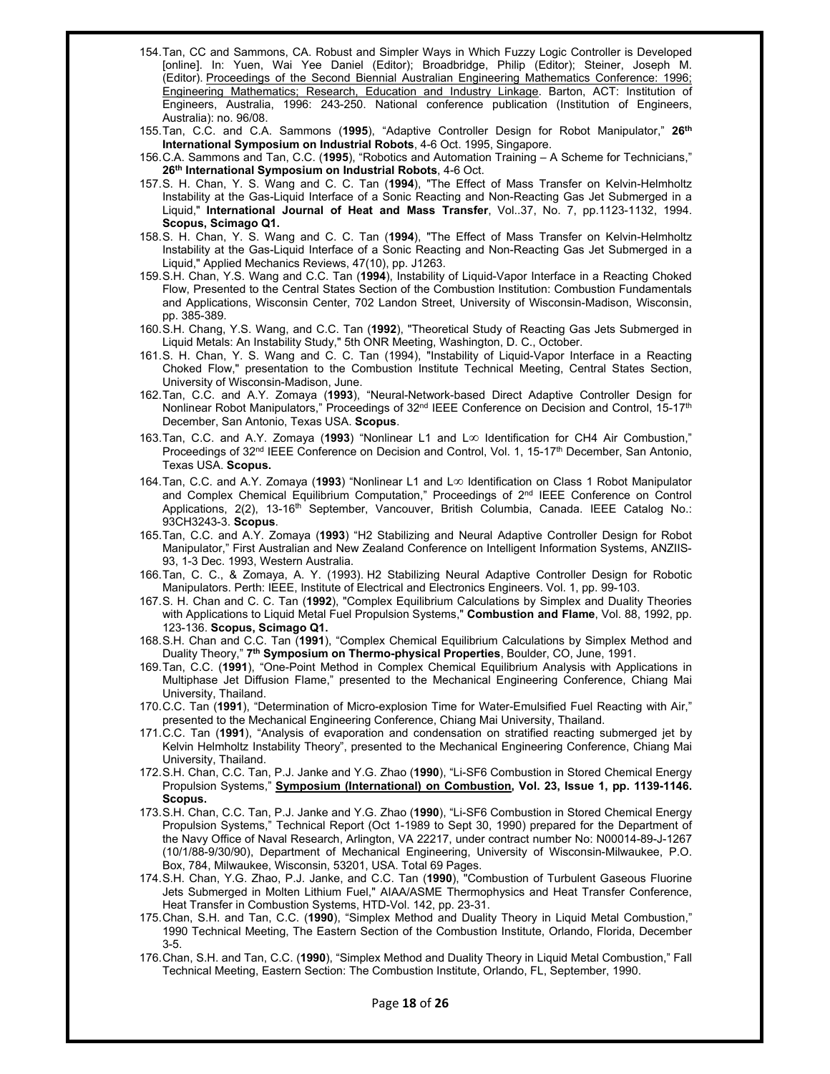- 154. Tan, CC and Sammons, CA. Robust and Simpler Ways in Which Fuzzy Logic Controller is Developed [online]. In: Yuen, Wai Yee Daniel (Editor); Broadbridge, Philip (Editor); Steiner, Joseph M. (Editor). Proceedings of the Second Biennial Australian Engineering Mathematics Conference: 1996; Engineering Mathematics; Research, Education and Industry Linkage. Barton, ACT: Institution of Engineers, Australia, 1996: 243-250. National conference publication (Institution of Engineers, Australia): no. 96/08.
- 155. Tan, C.C. and C.A. Sammons (**1995**), "Adaptive Controller Design for Robot Manipulator," **26th International Symposium on Industrial Robots**, 4-6 Oct. 1995, Singapore.
- 156. C.A. Sammons and Tan, C.C. (**1995**), "Robotics and Automation Training A Scheme for Technicians," **26th International Symposium on Industrial Robots**, 4-6 Oct.
- 157. S. H. Chan, Y. S. Wang and C. C. Tan (**1994**), "The Effect of Mass Transfer on Kelvin-Helmholtz Instability at the Gas-Liquid Interface of a Sonic Reacting and Non-Reacting Gas Jet Submerged in a Liquid," **International Journal of Heat and Mass Transfer**, Vol..37, No. 7, pp.1123-1132, 1994. **Scopus, Scimago Q1.**
- 158. S. H. Chan, Y. S. Wang and C. C. Tan (**1994**), "The Effect of Mass Transfer on Kelvin-Helmholtz Instability at the Gas-Liquid Interface of a Sonic Reacting and Non-Reacting Gas Jet Submerged in a Liquid," Applied Mechanics Reviews, 47(10), pp. J1263.
- 159. S.H. Chan, Y.S. Wang and C.C. Tan (**1994**), Instability of Liquid-Vapor Interface in a Reacting Choked Flow, Presented to the Central States Section of the Combustion Institution: Combustion Fundamentals and Applications, Wisconsin Center, 702 Landon Street, University of Wisconsin-Madison, Wisconsin, pp. 385-389.
- 160. S.H. Chang, Y.S. Wang, and C.C. Tan (**1992**), "Theoretical Study of Reacting Gas Jets Submerged in Liquid Metals: An Instability Study," 5th ONR Meeting, Washington, D. C., October.
- 161. S. H. Chan, Y. S. Wang and C. C. Tan (1994), "Instability of Liquid-Vapor Interface in a Reacting Choked Flow," presentation to the Combustion Institute Technical Meeting, Central States Section, University of Wisconsin-Madison, June.
- 162. Tan, C.C. and A.Y. Zomaya (**1993**), "Neural-Network-based Direct Adaptive Controller Design for Nonlinear Robot Manipulators," Proceedings of  $32^{nd}$  IEEE Conference on Decision and Control, 15-17<sup>th</sup> December, San Antonio, Texas USA. **Scopus**.
- 163. Tan, C.C. and A.Y. Zomaya (1993) "Nonlinear L1 and L<sup>ool</sup> Identification for CH4 Air Combustion," Proceedings of 32<sup>nd</sup> IEEE Conference on Decision and Control, Vol. 1, 15-17<sup>th</sup> December, San Antonio, Texas USA. **Scopus.**
- 164. Tan, C.C. and A.Y. Zomaya (1993) "Nonlinear L1 and L<sup>oo</sup> Identification on Class 1 Robot Manipulator and Complex Chemical Equilibrium Computation," Proceedings of 2<sup>nd</sup> IEEE Conference on Control Applications, 2(2), 13-16<sup>th</sup> September, Vancouver, British Columbia, Canada. IEEE Catalog No.: 93CH3243-3. **Scopus**.
- 165. Tan, C.C. and A.Y. Zomaya (**1993**) "H2 Stabilizing and Neural Adaptive Controller Design for Robot Manipulator," First Australian and New Zealand Conference on Intelligent Information Systems, ANZIIS-93, 1-3 Dec. 1993, Western Australia.
- 166. Tan, C. C., & Zomaya, A. Y. (1993). H2 Stabilizing Neural Adaptive Controller Design for Robotic Manipulators. Perth: IEEE, Institute of Electrical and Electronics Engineers. Vol. 1, pp. 99-103.
- 167. S. H. Chan and C. C. Tan (**1992**), "Complex Equilibrium Calculations by Simplex and Duality Theories with Applications to Liquid Metal Fuel Propulsion Systems," **Combustion and Flame**, Vol. 88, 1992, pp. 123-136. **Scopus, Scimago Q1.**
- 168. S.H. Chan and C.C. Tan (**1991**), "Complex Chemical Equilibrium Calculations by Simplex Method and Duality Theory," **7th Symposium on Thermo-physical Properties**, Boulder, CO, June, 1991.
- 169. Tan, C.C. (**1991**), "One-Point Method in Complex Chemical Equilibrium Analysis with Applications in Multiphase Jet Diffusion Flame," presented to the Mechanical Engineering Conference, Chiang Mai University, Thailand.
- 170. C.C. Tan (**1991**), "Determination of Micro-explosion Time for Water-Emulsified Fuel Reacting with Air," presented to the Mechanical Engineering Conference, Chiang Mai University, Thailand.
- 171. C.C. Tan (**1991**), "Analysis of evaporation and condensation on stratified reacting submerged jet by Kelvin Helmholtz Instability Theory", presented to the Mechanical Engineering Conference, Chiang Mai University, Thailand.
- 172. S.H. Chan, C.C. Tan, P.J. Janke and Y.G. Zhao (**1990**), "Li-SF6 Combustion in Stored Chemical Energy Propulsion Systems," **Symposium (International) on Combustion, Vol. 23, Issue 1, pp. 1139-1146. Scopus.**
- 173. S.H. Chan, C.C. Tan, P.J. Janke and Y.G. Zhao (**1990**), "Li-SF6 Combustion in Stored Chemical Energy Propulsion Systems," Technical Report (Oct 1-1989 to Sept 30, 1990) prepared for the Department of the Navy Office of Naval Research, Arlington, VA 22217, under contract number No: N00014-89-J-1267 (10/1/88-9/30/90), Department of Mechanical Engineering, University of Wisconsin-Milwaukee, P.O. Box, 784, Milwaukee, Wisconsin, 53201, USA. Total 69 Pages.
- 174. S.H. Chan, Y.G. Zhao, P.J. Janke, and C.C. Tan (**1990**), "Combustion of Turbulent Gaseous Fluorine Jets Submerged in Molten Lithium Fuel," AIAA/ASME Thermophysics and Heat Transfer Conference, Heat Transfer in Combustion Systems, HTD-Vol. 142, pp. 23-31.
- 175. Chan, S.H. and Tan, C.C. (**1990**), "Simplex Method and Duality Theory in Liquid Metal Combustion," 1990 Technical Meeting, The Eastern Section of the Combustion Institute, Orlando, Florida, December 3-5.
- 176. Chan, S.H. and Tan, C.C. (**1990**), "Simplex Method and Duality Theory in Liquid Metal Combustion," Fall Technical Meeting, Eastern Section: The Combustion Institute, Orlando, FL, September, 1990.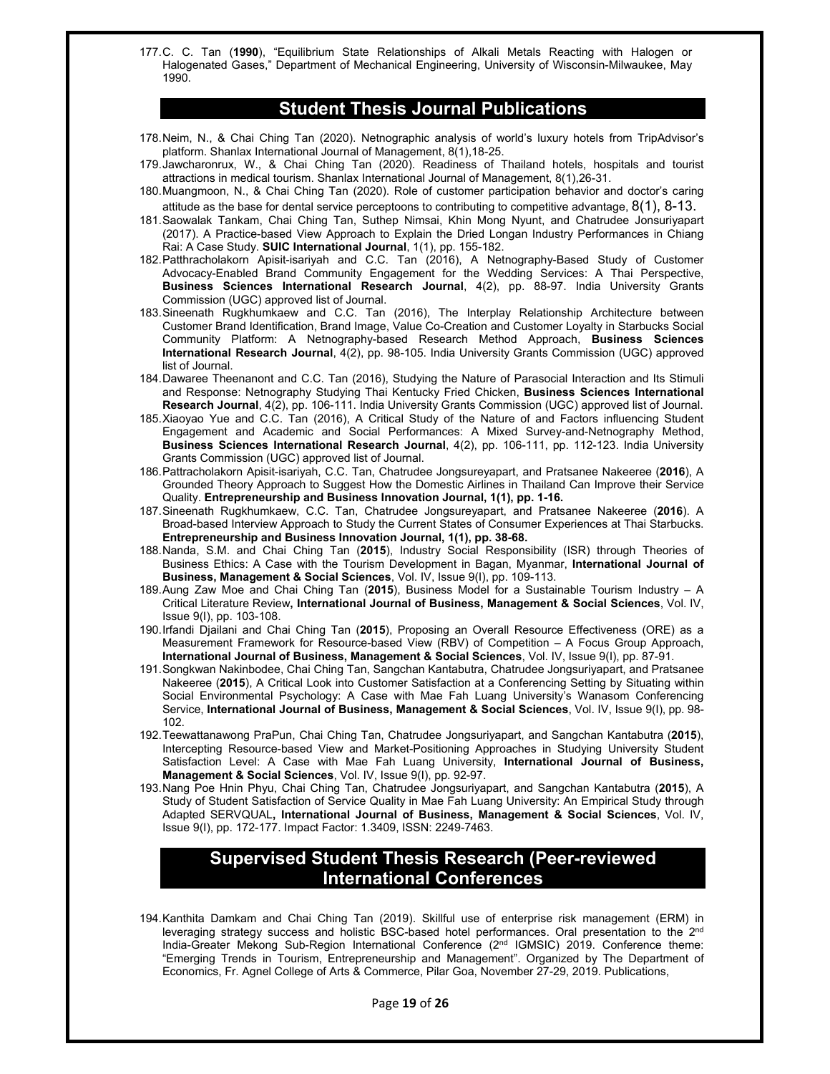177. C. C. Tan (**1990**), "Equilibrium State Relationships of Alkali Metals Reacting with Halogen or Halogenated Gases," Department of Mechanical Engineering, University of Wisconsin-Milwaukee, May 1990.

#### **Student Thesis Journal Publications**

- 178. Neim, N., & Chai Ching Tan (2020). Netnographic analysis of world's luxury hotels from TripAdvisor's platform. Shanlax International Journal of Management, 8(1),18-25.
- 179. Jawcharonrux, W., & Chai Ching Tan (2020). Readiness of Thailand hotels, hospitals and tourist attractions in medical tourism. Shanlax International Journal of Management, 8(1),26-31.
- 180. Muangmoon, N., & Chai Ching Tan (2020). Role of customer participation behavior and doctor's caring attitude as the base for dental service perceptoons to contributing to competitive advantage,  $8(1)$ ,  $8-13$ .
- 181. Saowalak Tankam, Chai Ching Tan, Suthep Nimsai, Khin Mong Nyunt, and Chatrudee Jonsuriyapart (2017). A Practice-based View Approach to Explain the Dried Longan Industry Performances in Chiang Rai: A Case Study. **SUIC International Journal**, 1(1), pp. 155-182.
- 182. Patthracholakorn Apisit-isariyah and C.C. Tan (2016), A Netnography-Based Study of Customer Advocacy-Enabled Brand Community Engagement for the Wedding Services: A Thai Perspective, Business Sciences International Research Journal, 4(2), pp. 88-97. India University Grants Commission (UGC) approved list of Journal.
- 183. Sineenath Rugkhumkaew and C.C. Tan (2016), The Interplay Relationship Architecture between Customer Brand Identification, Brand Image, Value Co-Creation and Customer Loyalty in Starbucks Social Community Platform: A Netnography-based Research Method Approach, **Business Sciences International Research Journal**, 4(2), pp. 98-105. India University Grants Commission (UGC) approved list of Journal.
- 184. Dawaree Theenanont and C.C. Tan (2016), Studying the Nature of Parasocial Interaction and Its Stimuli and Response: Netnography Studying Thai Kentucky Fried Chicken, **Business Sciences International Research Journal**, 4(2), pp. 106-111. India University Grants Commission (UGC) approved list of Journal.
- 185. Xiaoyao Yue and C.C. Tan (2016), A Critical Study of the Nature of and Factors influencing Student Engagement and Academic and Social Performances: A Mixed Survey-and-Netnography Method, **Business Sciences International Research Journal**, 4(2), pp. 106-111, pp. 112-123. India University Grants Commission (UGC) approved list of Journal.
- 186. Pattracholakorn Apisit-isariyah, C.C. Tan, Chatrudee Jongsureyapart, and Pratsanee Nakeeree (**2016**), A Grounded Theory Approach to Suggest How the Domestic Airlines in Thailand Can Improve their Service Quality. **Entrepreneurship and Business Innovation Journal, 1(1), pp. 1-16.**
- 187. Sineenath Rugkhumkaew, C.C. Tan, Chatrudee Jongsureyapart, and Pratsanee Nakeeree (**2016**). A Broad-based Interview Approach to Study the Current States of Consumer Experiences at Thai Starbucks. **Entrepreneurship and Business Innovation Journal, 1(1), pp. 38-68.**
- 188. Nanda, S.M. and Chai Ching Tan (**2015**), Industry Social Responsibility (ISR) through Theories of Business Ethics: A Case with the Tourism Development in Bagan, Myanmar, **International Journal of Business, Management & Social Sciences**, Vol. IV, Issue 9(I), pp. 109-113.
- 189. Aung Zaw Moe and Chai Ching Tan (**2015**), Business Model for a Sustainable Tourism Industry A Critical Literature Review**, International Journal of Business, Management & Social Sciences**, Vol. IV, Issue 9(I), pp. 103-108.
- 190. Irfandi Djailani and Chai Ching Tan (**2015**), Proposing an Overall Resource Effectiveness (ORE) as a Measurement Framework for Resource-based View (RBV) of Competition – A Focus Group Approach, **International Journal of Business, Management & Social Sciences**, Vol. IV, Issue 9(I), pp. 87-91.
- 191. Songkwan Nakinbodee, Chai Ching Tan, Sangchan Kantabutra, Chatrudee Jongsuriyapart, and Pratsanee Nakeeree (**2015**), A Critical Look into Customer Satisfaction at a Conferencing Setting by Situating within Social Environmental Psychology: A Case with Mae Fah Luang University's Wanasom Conferencing Service, **International Journal of Business, Management & Social Sciences**, Vol. IV, Issue 9(I), pp. 98- 102.
- 192. Teewattanawong PraPun, Chai Ching Tan, Chatrudee Jongsuriyapart, and Sangchan Kantabutra (**2015**), Intercepting Resource-based View and Market-Positioning Approaches in Studying University Student Satisfaction Level: A Case with Mae Fah Luang University, **International Journal of Business, Management & Social Sciences**, Vol. IV, Issue 9(I), pp. 92-97.
- 193. Nang Poe Hnin Phyu, Chai Ching Tan, Chatrudee Jongsuriyapart, and Sangchan Kantabutra (**2015**), A Study of Student Satisfaction of Service Quality in Mae Fah Luang University: An Empirical Study through Adapted SERVQUAL**, International Journal of Business, Management & Social Sciences**, Vol. IV, Issue 9(I), pp. 172-177. Impact Factor: 1.3409, ISSN: 2249-7463.

# **Supervised Student Thesis Research (Peer-reviewed International Conferences**

194. Kanthita Damkam and Chai Ching Tan (2019). Skillful use of enterprise risk management (ERM) in leveraging strategy success and holistic BSC-based hotel performances. Oral presentation to the 2<sup>nd</sup> India-Greater Mekong Sub-Region International Conference (2<sup>nd</sup> IGMSIC) 2019. Conference theme: "Emerging Trends in Tourism, Entrepreneurship and Management". Organized by The Department of Economics, Fr. Agnel College of Arts & Commerce, Pilar Goa, November 27-29, 2019. Publications,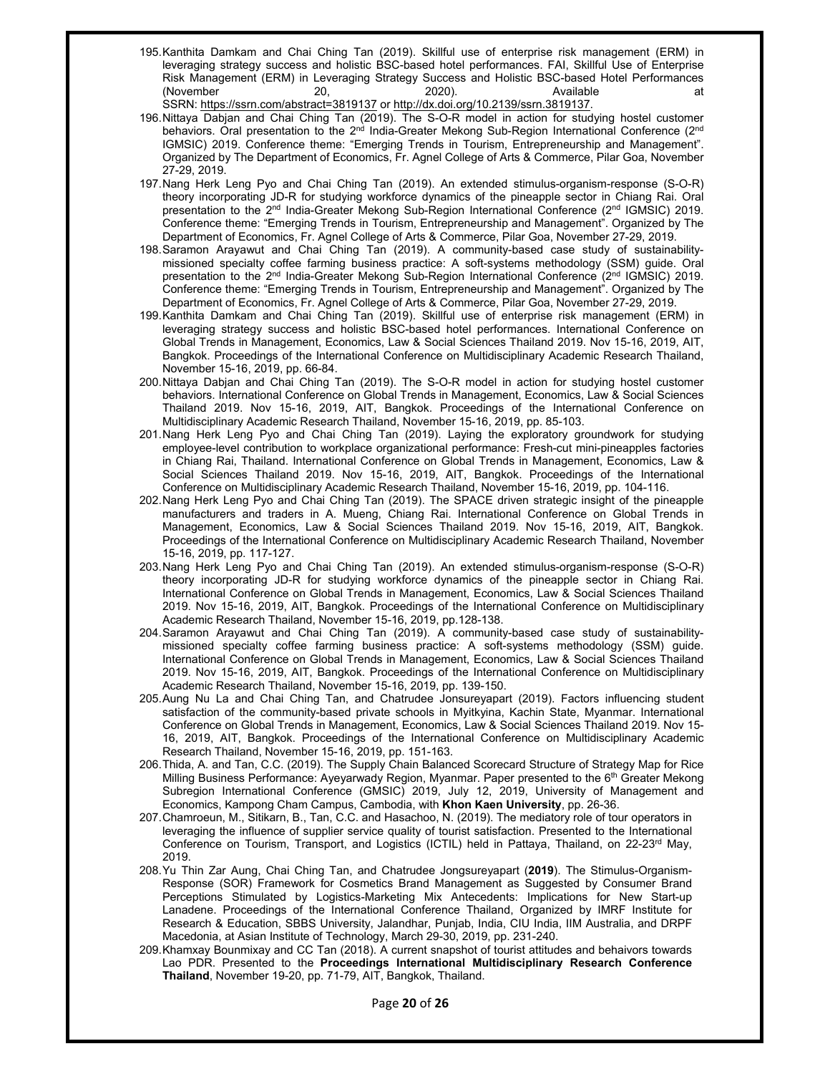- 195. Kanthita Damkam and Chai Ching Tan (2019). Skillful use of enterprise risk management (ERM) in leveraging strategy success and holistic BSC-based hotel performances. FAI, Skillful Use of Enterprise Risk Management (ERM) in Leveraging Strategy Success and Holistic BSC-based Hotel Performances (November 20, 2020). Available at the control of the control of the control of the control of the control of the control of the control of the control of the control of the control of the control of the control of the cont SSRN: https://ssrn.com/abstract=3819137 or http://dx.doi.org/10.2139/ssrn.3819137.
- 196. Nittaya Dabjan and Chai Ching Tan (2019). The S-O-R model in action for studying hostel customer behaviors. Oral presentation to the 2<sup>nd</sup> India-Greater Mekong Sub-Region International Conference (2<sup>nd</sup> IGMSIC) 2019. Conference theme: "Emerging Trends in Tourism, Entrepreneurship and Management". Organized by The Department of Economics, Fr. Agnel College of Arts & Commerce, Pilar Goa, November 27-29, 2019.
- 197. Nang Herk Leng Pyo and Chai Ching Tan (2019). An extended stimulus-organism-response (S-O-R) theory incorporating JD-R for studying workforce dynamics of the pineapple sector in Chiang Rai. Oral presentation to the 2<sup>nd</sup> India-Greater Mekong Sub-Region International Conference (2<sup>nd</sup> IGMSIC) 2019. Conference theme: "Emerging Trends in Tourism, Entrepreneurship and Management". Organized by The Department of Economics, Fr. Agnel College of Arts & Commerce, Pilar Goa, November 27-29, 2019.
- 198. Saramon Arayawut and Chai Ching Tan (2019). A community-based case study of sustainabilitymissioned specialty coffee farming business practice: A soft-systems methodology (SSM) guide. Oral presentation to the 2<sup>nd</sup> India-Greater Mekong Sub-Region International Conference (2<sup>nd</sup> IGMSIC) 2019. Conference theme: "Emerging Trends in Tourism, Entrepreneurship and Management". Organized by The Department of Economics, Fr. Agnel College of Arts & Commerce, Pilar Goa, November 27-29, 2019.
- 199. Kanthita Damkam and Chai Ching Tan (2019). Skillful use of enterprise risk management (ERM) in leveraging strategy success and holistic BSC-based hotel performances. International Conference on Global Trends in Management, Economics, Law & Social Sciences Thailand 2019. Nov 15-16, 2019, AIT, Bangkok. Proceedings of the International Conference on Multidisciplinary Academic Research Thailand, November 15-16, 2019, pp. 66-84.
- 200. Nittaya Dabjan and Chai Ching Tan (2019). The S-O-R model in action for studying hostel customer behaviors. International Conference on Global Trends in Management, Economics, Law & Social Sciences Thailand 2019. Nov 15-16, 2019, AIT, Bangkok. Proceedings of the International Conference on Multidisciplinary Academic Research Thailand, November 15-16, 2019, pp. 85-103.
- 201. Nang Herk Leng Pyo and Chai Ching Tan (2019). Laying the exploratory groundwork for studying employee-level contribution to workplace organizational performance: Fresh-cut mini-pineapples factories in Chiang Rai, Thailand. International Conference on Global Trends in Management, Economics, Law & Social Sciences Thailand 2019. Nov 15-16, 2019, AIT, Bangkok. Proceedings of the International Conference on Multidisciplinary Academic Research Thailand, November 15-16, 2019, pp. 104-116.
- 202. Nang Herk Leng Pyo and Chai Ching Tan (2019). The SPACE driven strategic insight of the pineapple manufacturers and traders in A. Mueng, Chiang Rai. International Conference on Global Trends in Management, Economics, Law & Social Sciences Thailand 2019. Nov 15-16, 2019, AIT, Bangkok. Proceedings of the International Conference on Multidisciplinary Academic Research Thailand, November 15-16, 2019, pp. 117-127.
- 203. Nang Herk Leng Pyo and Chai Ching Tan (2019). An extended stimulus-organism-response (S-O-R) theory incorporating JD-R for studying workforce dynamics of the pineapple sector in Chiang Rai. International Conference on Global Trends in Management, Economics, Law & Social Sciences Thailand 2019. Nov 15-16, 2019, AIT, Bangkok. Proceedings of the International Conference on Multidisciplinary Academic Research Thailand, November 15-16, 2019, pp.128-138.
- 204. Saramon Arayawut and Chai Ching Tan (2019). A community-based case study of sustainabilitymissioned specialty coffee farming business practice: A soft-systems methodology (SSM) guide. International Conference on Global Trends in Management, Economics, Law & Social Sciences Thailand 2019. Nov 15-16, 2019, AIT, Bangkok. Proceedings of the International Conference on Multidisciplinary Academic Research Thailand, November 15-16, 2019, pp. 139-150.
- 205. Aung Nu La and Chai Ching Tan, and Chatrudee Jonsureyapart (2019). Factors influencing student satisfaction of the community-based private schools in Myitkyina, Kachin State, Myanmar. International Conference on Global Trends in Management, Economics, Law & Social Sciences Thailand 2019. Nov 15- 16, 2019, AIT, Bangkok. Proceedings of the International Conference on Multidisciplinary Academic Research Thailand, November 15-16, 2019, pp. 151-163.
- 206. Thida, A. and Tan, C.C. (2019). The Supply Chain Balanced Scorecard Structure of Strategy Map for Rice Milling Business Performance: Ayeyarwady Region, Myanmar. Paper presented to the 6<sup>th</sup> Greater Mekong Subregion International Conference (GMSIC) 2019, July 12, 2019, University of Management and Economics, Kampong Cham Campus, Cambodia, with **Khon Kaen University**, pp. 26-36.
- 207. Chamroeun, M., Sitikarn, B., Tan, C.C. and Hasachoo, N. (2019). The mediatory role of tour operators in leveraging the influence of supplier service quality of tourist satisfaction. Presented to the International Conference on Tourism, Transport, and Logistics (ICTIL) held in Pattaya, Thailand, on 22-23<sup>rd</sup> May, 2019.
- 208. Yu Thin Zar Aung, Chai Ching Tan, and Chatrudee Jongsureyapart (**2019**). The Stimulus-Organism-Response (SOR) Framework for Cosmetics Brand Management as Suggested by Consumer Brand Perceptions Stimulated by Logistics-Marketing Mix Antecedents: Implications for New Start-up Lanadene. Proceedings of the International Conference Thailand, Organized by IMRF Institute for Research & Education, SBBS University, Jalandhar, Punjab, India, CIU India, IIM Australia, and DRPF Macedonia, at Asian Institute of Technology, March 29-30, 2019, pp. 231-240.
- 209. Khamxay Bounmixay and CC Tan (2018). A current snapshot of tourist attitudes and behaivors towards Lao PDR. Presented to the **Proceedings International Multidisciplinary Research Conference Thailand**, November 19-20, pp. 71-79, AIT, Bangkok, Thailand.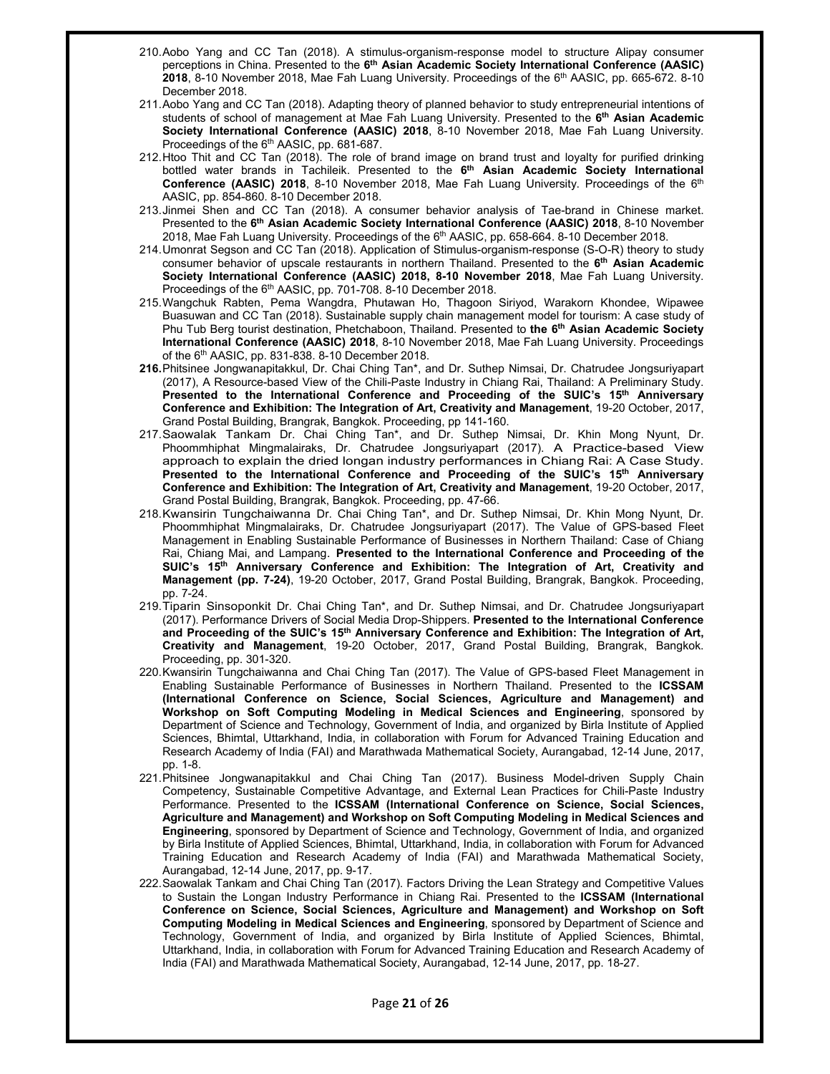- 210. Aobo Yang and CC Tan (2018). A stimulus-organism-response model to structure Alipay consumer perceptions in China. Presented to the **6th Asian Academic Society International Conference (AASIC) 2018**, 8-10 November 2018, Mae Fah Luang University. Proceedings of the 6th AASIC, pp. 665-672. 8-10 December 2018.
- 211. Aobo Yang and CC Tan (2018). Adapting theory of planned behavior to study entrepreneurial intentions of students of school of management at Mae Fah Luang University. Presented to the **6th Asian Academic Society International Conference (AASIC) 2018**, 8-10 November 2018, Mae Fah Luang University. Proceedings of the 6<sup>th</sup> AASIC, pp. 681-687.
- 212. Htoo Thit and CC Tan (2018). The role of brand image on brand trust and loyalty for purified drinking bottled water brands in Tachileik. Presented to the **6th Asian Academic Society International**  Conference (AASIC) 2018, 8-10 November 2018, Mae Fah Luang University. Proceedings of the 6<sup>th</sup> AASIC, pp. 854-860. 8-10 December 2018.
- 213. Jinmei Shen and CC Tan (2018). A consumer behavior analysis of Tae-brand in Chinese market. Presented to the **6th Asian Academic Society International Conference (AASIC) 2018**, 8-10 November 2018, Mae Fah Luang University. Proceedings of the 6<sup>th</sup> AASIC, pp. 658-664. 8-10 December 2018.
- 214. Umonrat Segson and CC Tan (2018). Application of Stimulus-organism-response (S-O-R) theory to study consumer behavior of upscale restaurants in northern Thailand. Presented to the **6th Asian Academic Society International Conference (AASIC) 2018, 8-10 November 2018**, Mae Fah Luang University. Proceedings of the 6<sup>th</sup> AASIC, pp. 701-708. 8-10 December 2018.
- 215. Wangchuk Rabten, Pema Wangdra, Phutawan Ho, Thagoon Siriyod, Warakorn Khondee, Wipawee Buasuwan and CC Tan (2018). Sustainable supply chain management model for tourism: A case study of Phu Tub Berg tourist destination, Phetchaboon, Thailand. Presented to **the 6th Asian Academic Society International Conference (AASIC) 2018**, 8-10 November 2018, Mae Fah Luang University. Proceedings of the 6th AASIC, pp. 831-838. 8-10 December 2018.
- **216.** Phitsinee Jongwanapitakkul, Dr. Chai Ching Tan\*, and Dr. Suthep Nimsai, Dr. Chatrudee Jongsuriyapart (2017), A Resource-based View of the Chili-Paste Industry in Chiang Rai, Thailand: A Preliminary Study. **Presented to the International Conference and Proceeding of the SUIC's 15th Anniversary Conference and Exhibition: The Integration of Art, Creativity and Management**, 19-20 October, 2017, Grand Postal Building, Brangrak, Bangkok. Proceeding, pp 141-160.
- 217. Saowalak Tankam Dr. Chai Ching Tan\*, and Dr. Suthep Nimsai, Dr. Khin Mong Nyunt, Dr. Phoommhiphat Mingmalairaks, Dr. Chatrudee Jongsuriyapart (2017). A Practice-based View approach to explain the dried longan industry performances in Chiang Rai: A Case Study. **Presented to the International Conference and Proceeding of the SUIC's 15th Anniversary Conference and Exhibition: The Integration of Art, Creativity and Management**, 19-20 October, 2017, Grand Postal Building, Brangrak, Bangkok. Proceeding, pp. 47-66.
- 218. Kwansirin Tungchaiwanna Dr. Chai Ching Tan\*, and Dr. Suthep Nimsai, Dr. Khin Mong Nyunt, Dr. Phoommhiphat Mingmalairaks, Dr. Chatrudee Jongsuriyapart (2017). The Value of GPS-based Fleet Management in Enabling Sustainable Performance of Businesses in Northern Thailand: Case of Chiang Rai, Chiang Mai, and Lampang. **Presented to the International Conference and Proceeding of the** SUIC's 15<sup>th</sup> Anniversary Conference and Exhibition: The Integration of Art, Creativity and **Management (pp. 7-24)**, 19-20 October, 2017, Grand Postal Building, Brangrak, Bangkok. Proceeding, pp. 7-24.
- 219. Tiparin Sinsoponkit Dr. Chai Ching Tan\*, and Dr. Suthep Nimsai, and Dr. Chatrudee Jongsuriyapart (2017). Performance Drivers of Social Media Drop-Shippers. **Presented to the International Conference and Proceeding of the SUIC's 15th Anniversary Conference and Exhibition: The Integration of Art, Creativity and Management**, 19-20 October, 2017, Grand Postal Building, Brangrak, Bangkok. Proceeding, pp. 301-320.
- 220. Kwansirin Tungchaiwanna and Chai Ching Tan (2017). The Value of GPS-based Fleet Management in Enabling Sustainable Performance of Businesses in Northern Thailand. Presented to the **ICSSAM (International Conference on Science, Social Sciences, Agriculture and Management) and Workshop on Soft Computing Modeling in Medical Sciences and Engineering**, sponsored by Department of Science and Technology, Government of India, and organized by Birla Institute of Applied Sciences, Bhimtal, Uttarkhand, India, in collaboration with Forum for Advanced Training Education and Research Academy of India (FAI) and Marathwada Mathematical Society, Aurangabad, 12-14 June, 2017, pp. 1-8.
- 221. Phitsinee Jongwanapitakkul and Chai Ching Tan (2017). Business Model-driven Supply Chain Competency, Sustainable Competitive Advantage, and External Lean Practices for Chili-Paste Industry Performance. Presented to the **ICSSAM (International Conference on Science, Social Sciences, Agriculture and Management) and Workshop on Soft Computing Modeling in Medical Sciences and Engineering**, sponsored by Department of Science and Technology, Government of India, and organized by Birla Institute of Applied Sciences, Bhimtal, Uttarkhand, India, in collaboration with Forum for Advanced Training Education and Research Academy of India (FAI) and Marathwada Mathematical Society, Aurangabad, 12-14 June, 2017, pp. 9-17.
- 222. Saowalak Tankam and Chai Ching Tan (2017). Factors Driving the Lean Strategy and Competitive Values to Sustain the Longan Industry Performance in Chiang Rai. Presented to the **ICSSAM (International Conference on Science, Social Sciences, Agriculture and Management) and Workshop on Soft Computing Modeling in Medical Sciences and Engineering**, sponsored by Department of Science and Technology, Government of India, and organized by Birla Institute of Applied Sciences, Bhimtal, Uttarkhand, India, in collaboration with Forum for Advanced Training Education and Research Academy of India (FAI) and Marathwada Mathematical Society, Aurangabad, 12-14 June, 2017, pp. 18-27.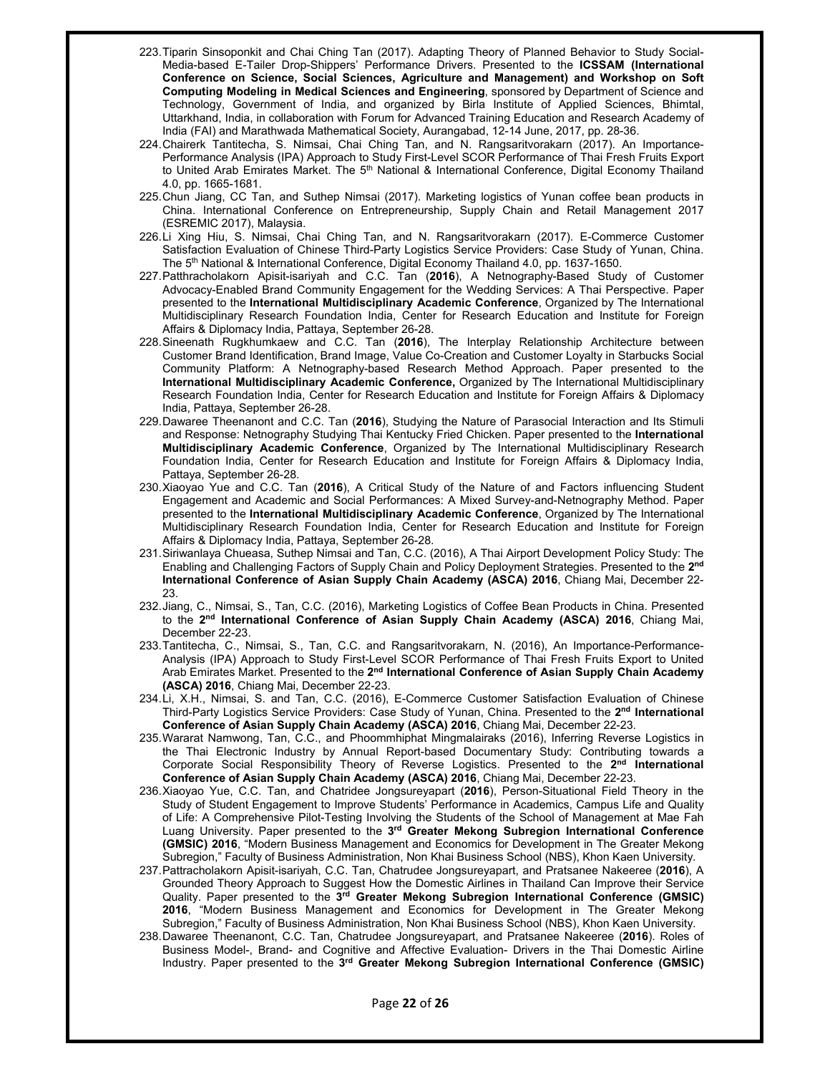- 223. Tiparin Sinsoponkit and Chai Ching Tan (2017). Adapting Theory of Planned Behavior to Study Social-Media-based E-Tailer Drop-Shippers' Performance Drivers. Presented to the **ICSSAM (International Conference on Science, Social Sciences, Agriculture and Management) and Workshop on Soft Computing Modeling in Medical Sciences and Engineering**, sponsored by Department of Science and Technology, Government of India, and organized by Birla Institute of Applied Sciences, Bhimtal, Uttarkhand, India, in collaboration with Forum for Advanced Training Education and Research Academy of India (FAI) and Marathwada Mathematical Society, Aurangabad, 12-14 June, 2017, pp. 28-36.
- 224. Chairerk Tantitecha, S. Nimsai, Chai Ching Tan, and N. Rangsaritvorakarn (2017). An Importance-Performance Analysis (IPA) Approach to Study First-Level SCOR Performance of Thai Fresh Fruits Export to United Arab Emirates Market. The 5<sup>th</sup> National & International Conference, Digital Economy Thailand 4.0, pp. 1665-1681.
- 225. Chun Jiang, CC Tan, and Suthep Nimsai (2017). Marketing logistics of Yunan coffee bean products in China. International Conference on Entrepreneurship, Supply Chain and Retail Management 2017 (ESREMIC 2017), Malaysia.
- 226. Li Xing Hiu, S. Nimsai, Chai Ching Tan, and N. Rangsaritvorakarn (2017). E-Commerce Customer Satisfaction Evaluation of Chinese Third-Party Logistics Service Providers: Case Study of Yunan, China. The 5<sup>th</sup> National & International Conference, Digital Economy Thailand 4.0, pp. 1637-1650.
- 227. Patthracholakorn Apisit-isariyah and C.C. Tan (**2016**), A Netnography-Based Study of Customer Advocacy-Enabled Brand Community Engagement for the Wedding Services: A Thai Perspective. Paper presented to the **International Multidisciplinary Academic Conference**, Organized by The International Multidisciplinary Research Foundation India, Center for Research Education and Institute for Foreign Affairs & Diplomacy India, Pattaya, September 26-28.
- 228. Sineenath Rugkhumkaew and C.C. Tan (**2016**), The Interplay Relationship Architecture between Customer Brand Identification, Brand Image, Value Co-Creation and Customer Loyalty in Starbucks Social Community Platform: A Netnography-based Research Method Approach. Paper presented to the **International Multidisciplinary Academic Conference,** Organized by The International Multidisciplinary Research Foundation India, Center for Research Education and Institute for Foreign Affairs & Diplomacy India, Pattaya, September 26-28.
- 229. Dawaree Theenanont and C.C. Tan (**2016**), Studying the Nature of Parasocial Interaction and Its Stimuli and Response: Netnography Studying Thai Kentucky Fried Chicken. Paper presented to the **International Multidisciplinary Academic Conference**, Organized by The International Multidisciplinary Research Foundation India, Center for Research Education and Institute for Foreign Affairs & Diplomacy India, Pattaya, September 26-28.
- 230. Xiaoyao Yue and C.C. Tan (**2016**), A Critical Study of the Nature of and Factors influencing Student Engagement and Academic and Social Performances: A Mixed Survey-and-Netnography Method. Paper presented to the **International Multidisciplinary Academic Conference**, Organized by The International Multidisciplinary Research Foundation India, Center for Research Education and Institute for Foreign Affairs & Diplomacy India, Pattaya, September 26-28.
- 231. Siriwanlaya Chueasa, Suthep Nimsai and Tan, C.C. (2016), A Thai Airport Development Policy Study: The Enabling and Challenging Factors of Supply Chain and Policy Deployment Strategies. Presented to the **2nd International Conference of Asian Supply Chain Academy (ASCA) 2016**, Chiang Mai, December 22- 23.
- 232. Jiang, C., Nimsai, S., Tan, C.C. (2016), Marketing Logistics of Coffee Bean Products in China. Presented to the **2nd International Conference of Asian Supply Chain Academy (ASCA) 2016**, Chiang Mai, December 22-23.
- 233. Tantitecha, C., Nimsai, S., Tan, C.C. and Rangsaritvorakarn, N. (2016), An Importance-Performance-Analysis (IPA) Approach to Study First-Level SCOR Performance of Thai Fresh Fruits Export to United Arab Emirates Market. Presented to the **2nd International Conference of Asian Supply Chain Academy (ASCA) 2016**, Chiang Mai, December 22-23.
- 234. Li, X.H., Nimsai, S. and Tan, C.C. (2016), E-Commerce Customer Satisfaction Evaluation of Chinese Third-Party Logistics Service Providers: Case Study of Yunan, China. Presented to the **2nd International Conference of Asian Supply Chain Academy (ASCA) 2016**, Chiang Mai, December 22-23.
- 235. Wararat Namwong, Tan, C.C., and Phoommhiphat Mingmalairaks (2016), Inferring Reverse Logistics in the Thai Electronic Industry by Annual Report-based Documentary Study: Contributing towards a Corporate Social Responsibility Theory of Reverse Logistics. Presented to the **2nd International Conference of Asian Supply Chain Academy (ASCA) 2016**, Chiang Mai, December 22-23.
- 236. Xiaoyao Yue, C.C. Tan, and Chatridee Jongsureyapart (**2016**), Person-Situational Field Theory in the Study of Student Engagement to Improve Students' Performance in Academics, Campus Life and Quality of Life: A Comprehensive Pilot-Testing Involving the Students of the School of Management at Mae Fah Luang University. Paper presented to the **3rd Greater Mekong Subregion International Conference (GMSIC) 2016**, "Modern Business Management and Economics for Development in The Greater Mekong Subregion," Faculty of Business Administration, Non Khai Business School (NBS), Khon Kaen University.
- 237. Pattracholakorn Apisit-isariyah, C.C. Tan, Chatrudee Jongsureyapart, and Pratsanee Nakeeree (**2016**), A Grounded Theory Approach to Suggest How the Domestic Airlines in Thailand Can Improve their Service Quality. Paper presented to the **3rd Greater Mekong Subregion International Conference (GMSIC) 2016**, "Modern Business Management and Economics for Development in The Greater Mekong Subregion," Faculty of Business Administration, Non Khai Business School (NBS), Khon Kaen University.
- 238. Dawaree Theenanont, C.C. Tan, Chatrudee Jongsureyapart, and Pratsanee Nakeeree (**2016**). Roles of Business Model-, Brand- and Cognitive and Affective Evaluation- Drivers in the Thai Domestic Airline Industry. Paper presented to the **3rd Greater Mekong Subregion International Conference (GMSIC)**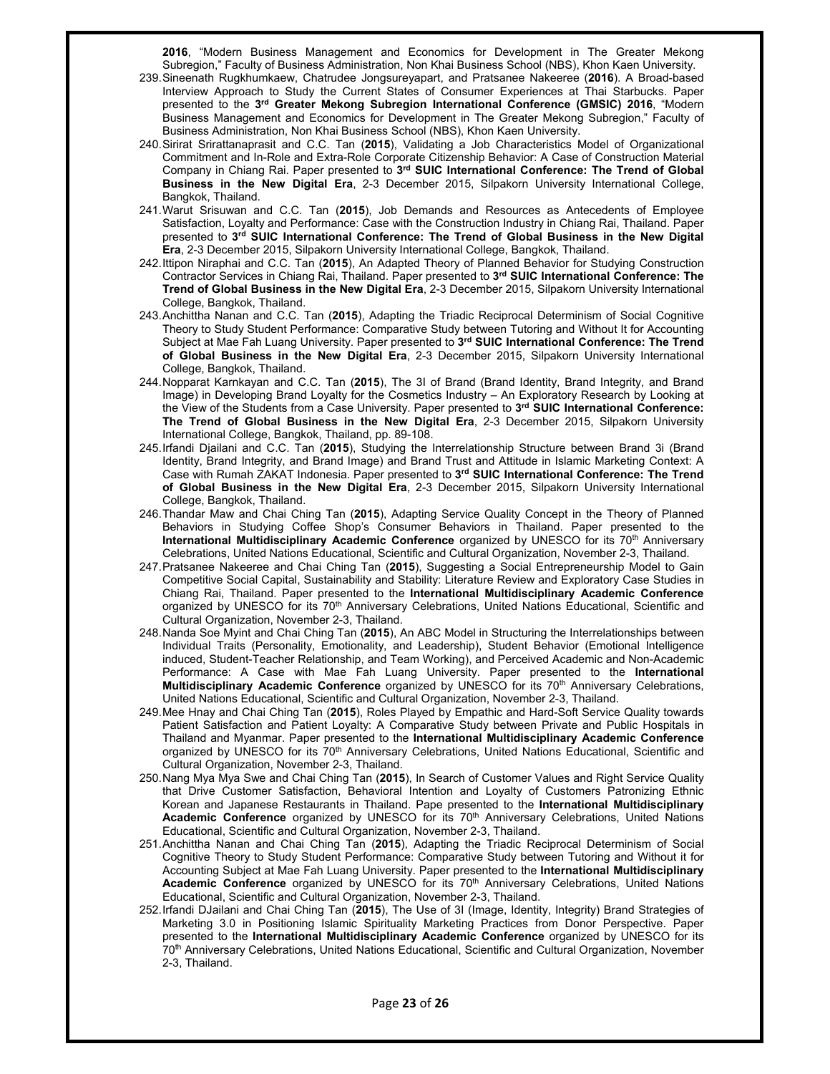**2016**, "Modern Business Management and Economics for Development in The Greater Mekong Subregion," Faculty of Business Administration, Non Khai Business School (NBS), Khon Kaen University.

- 239. Sineenath Rugkhumkaew, Chatrudee Jongsureyapart, and Pratsanee Nakeeree (**2016**). A Broad-based Interview Approach to Study the Current States of Consumer Experiences at Thai Starbucks. Paper presented to the **3rd Greater Mekong Subregion International Conference (GMSIC) 2016**, "Modern Business Management and Economics for Development in The Greater Mekong Subregion," Faculty of Business Administration, Non Khai Business School (NBS), Khon Kaen University.
- 240. Sirirat Srirattanaprasit and C.C. Tan (**2015**), Validating a Job Characteristics Model of Organizational Commitment and In-Role and Extra-Role Corporate Citizenship Behavior: A Case of Construction Material Company in Chiang Rai. Paper presented to **3rd SUIC International Conference: The Trend of Global Business in the New Digital Era**, 2-3 December 2015, Silpakorn University International College, Bangkok, Thailand.
- 241. Warut Srisuwan and C.C. Tan (**2015**), Job Demands and Resources as Antecedents of Employee Satisfaction, Loyalty and Performance: Case with the Construction Industry in Chiang Rai, Thailand. Paper presented to **3rd SUIC International Conference: The Trend of Global Business in the New Digital Era**, 2-3 December 2015, Silpakorn University International College, Bangkok, Thailand.
- 242. Ittipon Niraphai and C.C. Tan (**2015**), An Adapted Theory of Planned Behavior for Studying Construction Contractor Services in Chiang Rai, Thailand. Paper presented to **3rd SUIC International Conference: The Trend of Global Business in the New Digital Era**, 2-3 December 2015, Silpakorn University International College, Bangkok, Thailand.
- 243. Anchittha Nanan and C.C. Tan (**2015**), Adapting the Triadic Reciprocal Determinism of Social Cognitive Theory to Study Student Performance: Comparative Study between Tutoring and Without It for Accounting Subject at Mae Fah Luang University. Paper presented to **3rd SUIC International Conference: The Trend of Global Business in the New Digital Era**, 2-3 December 2015, Silpakorn University International College, Bangkok, Thailand.
- 244. Nopparat Karnkayan and C.C. Tan (**2015**), The 3I of Brand (Brand Identity, Brand Integrity, and Brand Image) in Developing Brand Loyalty for the Cosmetics Industry – An Exploratory Research by Looking at the View of the Students from a Case University. Paper presented to **3rd SUIC International Conference: The Trend of Global Business in the New Digital Era**, 2-3 December 2015, Silpakorn University International College, Bangkok, Thailand, pp. 89-108.
- 245. Irfandi Djailani and C.C. Tan (**2015**), Studying the Interrelationship Structure between Brand 3i (Brand Identity, Brand Integrity, and Brand Image) and Brand Trust and Attitude in Islamic Marketing Context: A Case with Rumah ZAKAT Indonesia. Paper presented to **3rd SUIC International Conference: The Trend of Global Business in the New Digital Era**, 2-3 December 2015, Silpakorn University International College, Bangkok, Thailand.
- 246. Thandar Maw and Chai Ching Tan (**2015**), Adapting Service Quality Concept in the Theory of Planned Behaviors in Studying Coffee Shop's Consumer Behaviors in Thailand. Paper presented to the **International Multidisciplinary Academic Conference** organized by UNESCO for its 70<sup>th</sup> Anniversary Celebrations, United Nations Educational, Scientific and Cultural Organization, November 2-3, Thailand.
- 247. Pratsanee Nakeeree and Chai Ching Tan (**2015**), Suggesting a Social Entrepreneurship Model to Gain Competitive Social Capital, Sustainability and Stability: Literature Review and Exploratory Case Studies in Chiang Rai, Thailand. Paper presented to the **International Multidisciplinary Academic Conference** organized by UNESCO for its 70<sup>th</sup> Anniversary Celebrations, United Nations Educational, Scientific and Cultural Organization, November 2-3, Thailand.
- 248. Nanda Soe Myint and Chai Ching Tan (**2015**), An ABC Model in Structuring the Interrelationships between Individual Traits (Personality, Emotionality, and Leadership), Student Behavior (Emotional Intelligence induced, Student-Teacher Relationship, and Team Working), and Perceived Academic and Non-Academic Performance: A Case with Mae Fah Luang University. Paper presented to the **International Multidisciplinary Academic Conference** organized by UNESCO for its 70th Anniversary Celebrations, United Nations Educational, Scientific and Cultural Organization, November 2-3, Thailand.
- 249. Mee Hnay and Chai Ching Tan (**2015**), Roles Played by Empathic and Hard-Soft Service Quality towards Patient Satisfaction and Patient Loyalty: A Comparative Study between Private and Public Hospitals in Thailand and Myanmar. Paper presented to the **International Multidisciplinary Academic Conference** organized by UNESCO for its 70<sup>th</sup> Anniversary Celebrations, United Nations Educational, Scientific and Cultural Organization, November 2-3, Thailand.
- 250. Nang Mya Mya Swe and Chai Ching Tan (**2015**), In Search of Customer Values and Right Service Quality that Drive Customer Satisfaction, Behavioral Intention and Loyalty of Customers Patronizing Ethnic Korean and Japanese Restaurants in Thailand. Pape presented to the **International Multidisciplinary Academic Conference** organized by UNESCO for its 70th Anniversary Celebrations, United Nations Educational, Scientific and Cultural Organization, November 2-3, Thailand.
- 251. Anchittha Nanan and Chai Ching Tan (**2015**), Adapting the Triadic Reciprocal Determinism of Social Cognitive Theory to Study Student Performance: Comparative Study between Tutoring and Without it for Accounting Subject at Mae Fah Luang University. Paper presented to the **International Multidisciplinary**  Academic Conference organized by UNESCO for its 70<sup>th</sup> Anniversary Celebrations, United Nations Educational, Scientific and Cultural Organization, November 2-3, Thailand.
- 252. Irfandi DJailani and Chai Ching Tan (**2015**), The Use of 3I (Image, Identity, Integrity) Brand Strategies of Marketing 3.0 in Positioning Islamic Spirituality Marketing Practices from Donor Perspective. Paper presented to the **International Multidisciplinary Academic Conference** organized by UNESCO for its 70th Anniversary Celebrations, United Nations Educational, Scientific and Cultural Organization, November 2-3, Thailand.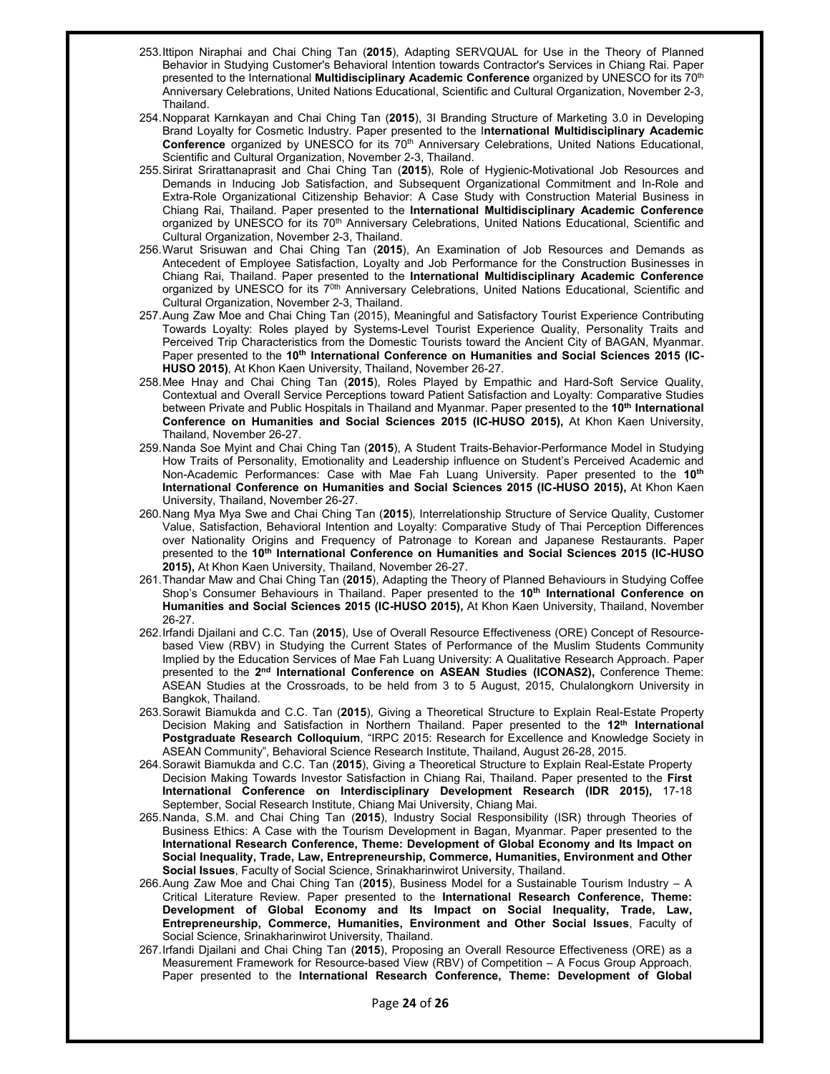- 253. Ittipon Niraphai and Chai Ching Tan (**2015**), Adapting SERVQUAL for Use in the Theory of Planned Behavior in Studying Customer's Behavioral Intention towards Contractor's Services in Chiang Rai. Paper presented to the International **Multidisciplinary Academic Conference** organized by UNESCO for its 70th Anniversary Celebrations, United Nations Educational, Scientific and Cultural Organization, November 2-3, Thailand.
- 254. Nopparat Karnkayan and Chai Ching Tan (**2015**), 3I Branding Structure of Marketing 3.0 in Developing Brand Loyalty for Cosmetic Industry. Paper presented to the I**nternational Multidisciplinary Academic Conference** organized by UNESCO for its 70th Anniversary Celebrations, United Nations Educational, Scientific and Cultural Organization, November 2-3, Thailand.
- 255. Sirirat Srirattanaprasit and Chai Ching Tan (**2015**), Role of Hygienic-Motivational Job Resources and Demands in Inducing Job Satisfaction, and Subsequent Organizational Commitment and In-Role and Extra-Role Organizational Citizenship Behavior: A Case Study with Construction Material Business in Chiang Rai, Thailand. Paper presented to the **International Multidisciplinary Academic Conference** organized by UNESCO for its 70<sup>th</sup> Anniversary Celebrations, United Nations Educational, Scientific and Cultural Organization, November 2-3, Thailand.
- 256. Warut Srisuwan and Chai Ching Tan (**2015**), An Examination of Job Resources and Demands as Antecedent of Employee Satisfaction, Loyalty and Job Performance for the Construction Businesses in Chiang Rai, Thailand. Paper presented to the **International Multidisciplinary Academic Conference** organized by UNESCO for its 7<sup>0th</sup> Anniversary Celebrations, United Nations Educational, Scientific and Cultural Organization, November 2-3, Thailand.
- 257. Aung Zaw Moe and Chai Ching Tan (2015), Meaningful and Satisfactory Tourist Experience Contributing Towards Loyalty: Roles played by Systems-Level Tourist Experience Quality, Personality Traits and Perceived Trip Characteristics from the Domestic Tourists toward the Ancient City of BAGAN, Myanmar. Paper presented to the 10<sup>th</sup> International Conference on Humanities and Social Sciences 2015 (IC-**HUSO 2015)**, At Khon Kaen University, Thailand, November 26-27.
- 258. Mee Hnay and Chai Ching Tan (**2015**), Roles Played by Empathic and Hard-Soft Service Quality, Contextual and Overall Service Perceptions toward Patient Satisfaction and Loyalty: Comparative Studies between Private and Public Hospitals in Thailand and Myanmar. Paper presented to the **10th International Conference on Humanities and Social Sciences 2015 (IC-HUSO 2015),** At Khon Kaen University, Thailand, November 26-27.
- 259. Nanda Soe Myint and Chai Ching Tan (**2015**), A Student Traits-Behavior-Performance Model in Studying How Traits of Personality, Emotionality and Leadership influence on Student's Perceived Academic and Non-Academic Performances: Case with Mae Fah Luang University. Paper presented to the **10th International Conference on Humanities and Social Sciences 2015 (IC-HUSO 2015),** At Khon Kaen University, Thailand, November 26-27.
- 260. Nang Mya Mya Swe and Chai Ching Tan (**2015**), Interrelationship Structure of Service Quality, Customer Value, Satisfaction, Behavioral Intention and Loyalty: Comparative Study of Thai Perception Differences over Nationality Origins and Frequency of Patronage to Korean and Japanese Restaurants. Paper presented to the **10th International Conference on Humanities and Social Sciences 2015 (IC-HUSO 2015),** At Khon Kaen University, Thailand, November 26-27.
- 261. Thandar Maw and Chai Ching Tan (**2015**), Adapting the Theory of Planned Behaviours in Studying Coffee Shop's Consumer Behaviours in Thailand. Paper presented to the **10th International Conference on Humanities and Social Sciences 2015 (IC-HUSO 2015),** At Khon Kaen University, Thailand, November 26-27.
- 262. Irfandi Djailani and C.C. Tan (**2015**), Use of Overall Resource Effectiveness (ORE) Concept of Resourcebased View (RBV) in Studying the Current States of Performance of the Muslim Students Community Implied by the Education Services of Mae Fah Luang University: A Qualitative Research Approach. Paper presented to the **2nd International Conference on ASEAN Studies (ICONAS2),** Conference Theme: ASEAN Studies at the Crossroads, to be held from 3 to 5 August, 2015, Chulalongkorn University in Bangkok, Thailand.
- 263. Sorawit Biamukda and C.C. Tan (**2015**), Giving a Theoretical Structure to Explain Real-Estate Property Decision Making and Satisfaction in Northern Thailand. Paper presented to the **12th International Postgraduate Research Colloquium**, "IRPC 2015: Research for Excellence and Knowledge Society in ASEAN Community", Behavioral Science Research Institute, Thailand, August 26-28, 2015.
- 264. Sorawit Biamukda and C.C. Tan (**2015**), Giving a Theoretical Structure to Explain Real-Estate Property Decision Making Towards Investor Satisfaction in Chiang Rai, Thailand. Paper presented to the **First International Conference on Interdisciplinary Development Research (IDR 2015),** 17-18 September, Social Research Institute, Chiang Mai University, Chiang Mai.
- 265. Nanda, S.M. and Chai Ching Tan (**2015**), Industry Social Responsibility (ISR) through Theories of Business Ethics: A Case with the Tourism Development in Bagan, Myanmar. Paper presented to the **International Research Conference, Theme: Development of Global Economy and Its Impact on Social Inequality, Trade, Law, Entrepreneurship, Commerce, Humanities, Environment and Other Social Issues**, Faculty of Social Science, Srinakharinwirot University, Thailand.
- 266. Aung Zaw Moe and Chai Ching Tan (**2015**), Business Model for a Sustainable Tourism Industry A Critical Literature Review. Paper presented to the **International Research Conference, Theme: Development of Global Economy and Its Impact on Social Inequality, Trade, Law, Entrepreneurship, Commerce, Humanities, Environment and Other Social Issues**, Faculty of Social Science, Srinakharinwirot University, Thailand.
- 267. Irfandi Djailani and Chai Ching Tan (**2015**), Proposing an Overall Resource Effectiveness (ORE) as a Measurement Framework for Resource-based View (RBV) of Competition – A Focus Group Approach. Paper presented to the **International Research Conference, Theme: Development of Global**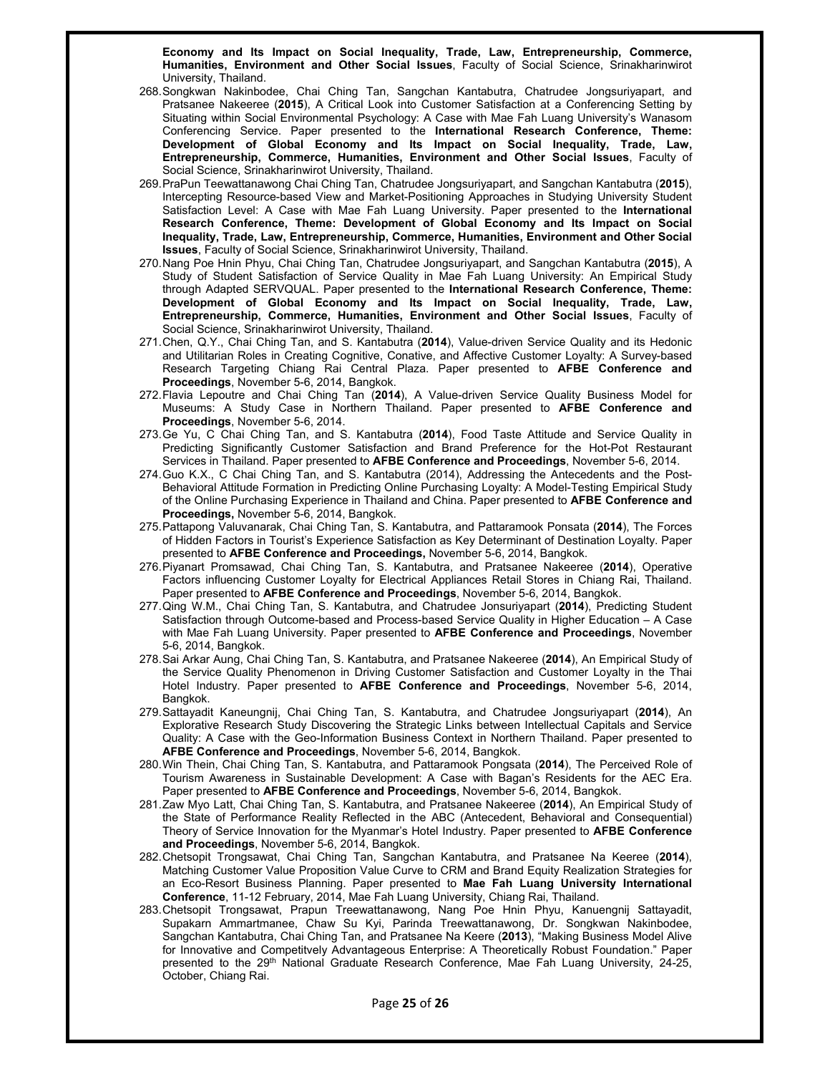**Economy and Its Impact on Social Inequality, Trade, Law, Entrepreneurship, Commerce, Humanities, Environment and Other Social Issues**, Faculty of Social Science, Srinakharinwirot University, Thailand.

- 268. Songkwan Nakinbodee, Chai Ching Tan, Sangchan Kantabutra, Chatrudee Jongsuriyapart, and Pratsanee Nakeeree (**2015**), A Critical Look into Customer Satisfaction at a Conferencing Setting by Situating within Social Environmental Psychology: A Case with Mae Fah Luang University's Wanasom Conferencing Service. Paper presented to the **International Research Conference, Theme: Development of Global Economy and Its Impact on Social Inequality, Trade, Law, Entrepreneurship, Commerce, Humanities, Environment and Other Social Issues**, Faculty of Social Science, Srinakharinwirot University, Thailand.
- 269. PraPun Teewattanawong Chai Ching Tan, Chatrudee Jongsuriyapart, and Sangchan Kantabutra (**2015**), Intercepting Resource-based View and Market-Positioning Approaches in Studying University Student Satisfaction Level: A Case with Mae Fah Luang University. Paper presented to the **International Research Conference, Theme: Development of Global Economy and Its Impact on Social Inequality, Trade, Law, Entrepreneurship, Commerce, Humanities, Environment and Other Social Issues**, Faculty of Social Science, Srinakharinwirot University, Thailand.
- 270. Nang Poe Hnin Phyu, Chai Ching Tan, Chatrudee Jongsuriyapart, and Sangchan Kantabutra (**2015**), A Study of Student Satisfaction of Service Quality in Mae Fah Luang University: An Empirical Study through Adapted SERVQUAL. Paper presented to the **International Research Conference, Theme: Development of Global Economy and Its Impact on Social Inequality, Trade, Law, Entrepreneurship, Commerce, Humanities, Environment and Other Social Issues**, Faculty of Social Science, Srinakharinwirot University, Thailand.
- 271. Chen, Q.Y., Chai Ching Tan, and S. Kantabutra (**2014**), Value-driven Service Quality and its Hedonic and Utilitarian Roles in Creating Cognitive, Conative, and Affective Customer Loyalty: A Survey-based Research Targeting Chiang Rai Central Plaza. Paper presented to **AFBE Conference and Proceedings**, November 5-6, 2014, Bangkok.
- 272. Flavia Lepoutre and Chai Ching Tan (**2014**), A Value-driven Service Quality Business Model for Museums: A Study Case in Northern Thailand. Paper presented to **AFBE Conference and Proceedings**, November 5-6, 2014.
- 273. Ge Yu, C Chai Ching Tan, and S. Kantabutra (**2014**), Food Taste Attitude and Service Quality in Predicting Significantly Customer Satisfaction and Brand Preference for the Hot-Pot Restaurant Services in Thailand. Paper presented to **AFBE Conference and Proceedings**, November 5-6, 2014.
- 274. Guo K.X., C Chai Ching Tan, and S. Kantabutra (2014), Addressing the Antecedents and the Post-Behavioral Attitude Formation in Predicting Online Purchasing Loyalty: A Model-Testing Empirical Study of the Online Purchasing Experience in Thailand and China. Paper presented to **AFBE Conference and Proceedings,** November 5-6, 2014, Bangkok.
- 275. Pattapong Valuvanarak, Chai Ching Tan, S. Kantabutra, and Pattaramook Ponsata (**2014**), The Forces of Hidden Factors in Tourist's Experience Satisfaction as Key Determinant of Destination Loyalty. Paper presented to **AFBE Conference and Proceedings,** November 5-6, 2014, Bangkok.
- 276. Piyanart Promsawad, Chai Ching Tan, S. Kantabutra, and Pratsanee Nakeeree (**2014**), Operative Factors influencing Customer Loyalty for Electrical Appliances Retail Stores in Chiang Rai, Thailand. Paper presented to **AFBE Conference and Proceedings**, November 5-6, 2014, Bangkok.
- 277. Qing W.M., Chai Ching Tan, S. Kantabutra, and Chatrudee Jonsuriyapart (**2014**), Predicting Student Satisfaction through Outcome-based and Process-based Service Quality in Higher Education – A Case with Mae Fah Luang University. Paper presented to **AFBE Conference and Proceedings**, November 5-6, 2014, Bangkok.
- 278. Sai Arkar Aung, Chai Ching Tan, S. Kantabutra, and Pratsanee Nakeeree (**2014**), An Empirical Study of the Service Quality Phenomenon in Driving Customer Satisfaction and Customer Loyalty in the Thai Hotel Industry. Paper presented to **AFBE Conference and Proceedings**, November 5-6, 2014, Bangkok.
- 279. Sattayadit Kaneungnij, Chai Ching Tan, S. Kantabutra, and Chatrudee Jongsuriyapart (**2014**), An Explorative Research Study Discovering the Strategic Links between Intellectual Capitals and Service Quality: A Case with the Geo-Information Business Context in Northern Thailand. Paper presented to **AFBE Conference and Proceedings**, November 5-6, 2014, Bangkok.
- 280. Win Thein, Chai Ching Tan, S. Kantabutra, and Pattaramook Pongsata (**2014**), The Perceived Role of Tourism Awareness in Sustainable Development: A Case with Bagan's Residents for the AEC Era. Paper presented to **AFBE Conference and Proceedings**, November 5-6, 2014, Bangkok.
- 281. Zaw Myo Latt, Chai Ching Tan, S. Kantabutra, and Pratsanee Nakeeree (**2014**), An Empirical Study of the State of Performance Reality Reflected in the ABC (Antecedent, Behavioral and Consequential) Theory of Service Innovation for the Myanmar's Hotel Industry. Paper presented to **AFBE Conference and Proceedings**, November 5-6, 2014, Bangkok.
- 282. Chetsopit Trongsawat, Chai Ching Tan, Sangchan Kantabutra, and Pratsanee Na Keeree (**2014**), Matching Customer Value Proposition Value Curve to CRM and Brand Equity Realization Strategies for an Eco-Resort Business Planning. Paper presented to **Mae Fah Luang University International Conference**, 11-12 February, 2014, Mae Fah Luang University, Chiang Rai, Thailand.
- 283. Chetsopit Trongsawat, Prapun Treewattanawong, Nang Poe Hnin Phyu, Kanuengnij Sattayadit, Supakarn Ammartmanee, Chaw Su Kyi, Parinda Treewattanawong, Dr. Songkwan Nakinbodee, Sangchan Kantabutra, Chai Ching Tan, and Pratsanee Na Keere (**2013**), "Making Business Model Alive for Innovative and Competitvely Advantageous Enterprise: A Theoretically Robust Foundation." Paper presented to the 29<sup>th</sup> National Graduate Research Conference, Mae Fah Luang University, 24-25, October, Chiang Rai.